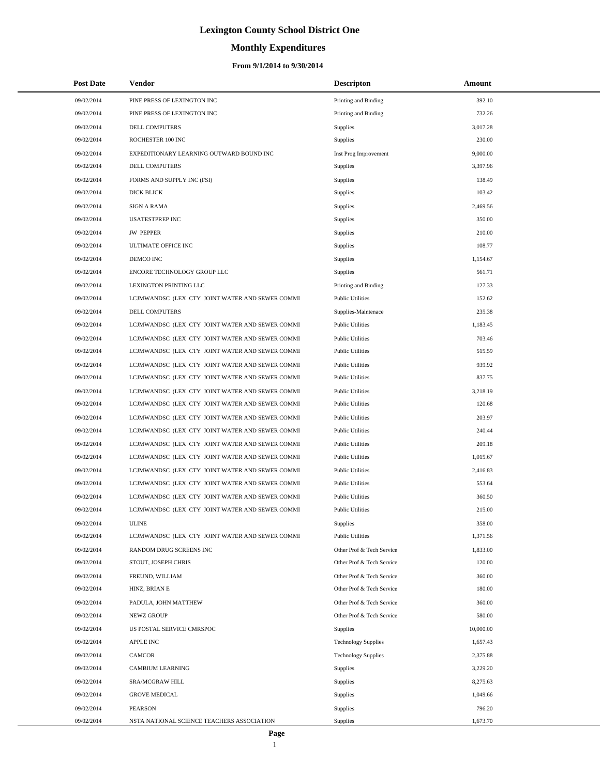# **Monthly Expenditures**

| <b>Post Date</b> | Vendor                                          | <b>Descripton</b>          | Amount    |
|------------------|-------------------------------------------------|----------------------------|-----------|
| 09/02/2014       | PINE PRESS OF LEXINGTON INC                     | Printing and Binding       | 392.10    |
| 09/02/2014       | PINE PRESS OF LEXINGTON INC                     | Printing and Binding       | 732.26    |
| 09/02/2014       | DELL COMPUTERS                                  | Supplies                   | 3,017.28  |
| 09/02/2014       | ROCHESTER 100 INC                               | Supplies                   | 230.00    |
| 09/02/2014       | EXPEDITIONARY LEARNING OUTWARD BOUND INC        | Inst Prog Improvement      | 9,000.00  |
| 09/02/2014       | DELL COMPUTERS                                  | Supplies                   | 3,397.96  |
| 09/02/2014       | FORMS AND SUPPLY INC (FSI)                      | <b>Supplies</b>            | 138.49    |
| 09/02/2014       | <b>DICK BLICK</b>                               | Supplies                   | 103.42    |
| 09/02/2014       | <b>SIGN A RAMA</b>                              | Supplies                   | 2,469.56  |
| 09/02/2014       | <b>USATESTPREP INC</b>                          | Supplies                   | 350.00    |
| 09/02/2014       | <b>JW PEPPER</b>                                | Supplies                   | 210.00    |
| 09/02/2014       | ULTIMATE OFFICE INC                             | Supplies                   | 108.77    |
| 09/02/2014       | DEMCO INC                                       | Supplies                   | 1,154.67  |
| 09/02/2014       | ENCORE TECHNOLOGY GROUP LLC                     | Supplies                   | 561.71    |
| 09/02/2014       | LEXINGTON PRINTING LLC                          | Printing and Binding       | 127.33    |
| 09/02/2014       | LCJMWANDSC (LEX CTY JOINT WATER AND SEWER COMMI | <b>Public Utilities</b>    | 152.62    |
| 09/02/2014       | DELL COMPUTERS                                  | Supplies-Maintenace        | 235.38    |
| 09/02/2014       | LCJMWANDSC (LEX CTY JOINT WATER AND SEWER COMMI | <b>Public Utilities</b>    | 1,183.45  |
| 09/02/2014       | LCJMWANDSC (LEX CTY JOINT WATER AND SEWER COMMI | <b>Public Utilities</b>    | 703.46    |
| 09/02/2014       | LCJMWANDSC (LEX CTY JOINT WATER AND SEWER COMMI | <b>Public Utilities</b>    | 515.59    |
| 09/02/2014       | LCJMWANDSC (LEX CTY JOINT WATER AND SEWER COMMI | <b>Public Utilities</b>    | 939.92    |
| 09/02/2014       | LCJMWANDSC (LEX CTY JOINT WATER AND SEWER COMMI | <b>Public Utilities</b>    | 837.75    |
| 09/02/2014       | LCJMWANDSC (LEX CTY JOINT WATER AND SEWER COMMI | <b>Public Utilities</b>    | 3,218.19  |
| 09/02/2014       | LCJMWANDSC (LEX CTY JOINT WATER AND SEWER COMMI | <b>Public Utilities</b>    | 120.68    |
| 09/02/2014       | LCJMWANDSC (LEX CTY JOINT WATER AND SEWER COMMI | <b>Public Utilities</b>    | 203.97    |
| 09/02/2014       | LCJMWANDSC (LEX CTY JOINT WATER AND SEWER COMMI | <b>Public Utilities</b>    | 240.44    |
| 09/02/2014       | LCJMWANDSC (LEX CTY JOINT WATER AND SEWER COMMI | <b>Public Utilities</b>    | 209.18    |
| 09/02/2014       | LCJMWANDSC (LEX CTY JOINT WATER AND SEWER COMMI | <b>Public Utilities</b>    | 1,015.67  |
| 09/02/2014       | LCJMWANDSC (LEX CTY JOINT WATER AND SEWER COMMI | <b>Public Utilities</b>    | 2,416.83  |
| 09/02/2014       | LCJMWANDSC (LEX CTY JOINT WATER AND SEWER COMMI | <b>Public Utilities</b>    | 553.64    |
| 09/02/2014       | LCJMWANDSC (LEX CTY JOINT WATER AND SEWER COMMI | <b>Public Utilities</b>    | 360.50    |
| 09/02/2014       | LCJMWANDSC (LEX CTY JOINT WATER AND SEWER COMMI | <b>Public Utilities</b>    | 215.00    |
| 09/02/2014       | <b>ULINE</b>                                    | Supplies                   | 358.00    |
| 09/02/2014       | LCJMWANDSC (LEX CTY JOINT WATER AND SEWER COMMI | <b>Public Utilities</b>    | 1,371.56  |
| 09/02/2014       | RANDOM DRUG SCREENS INC                         | Other Prof & Tech Service  | 1,833.00  |
| 09/02/2014       | STOUT, JOSEPH CHRIS                             | Other Prof & Tech Service  | 120.00    |
| 09/02/2014       | FREUND, WILLIAM                                 | Other Prof & Tech Service  | 360.00    |
| 09/02/2014       | HINZ, BRIAN E                                   | Other Prof & Tech Service  | 180.00    |
| 09/02/2014       | PADULA, JOHN MATTHEW                            | Other Prof & Tech Service  | 360.00    |
| 09/02/2014       | <b>NEWZ GROUP</b>                               | Other Prof & Tech Service  | 580.00    |
| 09/02/2014       | US POSTAL SERVICE CMRSPOC                       | <b>Supplies</b>            | 10,000.00 |
| 09/02/2014       | <b>APPLE INC</b>                                | <b>Technology Supplies</b> | 1,657.43  |
| 09/02/2014       | <b>CAMCOR</b>                                   | <b>Technology Supplies</b> | 2,375.88  |
| 09/02/2014       | <b>CAMBIUM LEARNING</b>                         | Supplies                   | 3,229.20  |
| 09/02/2014       | SRA/MCGRAW HILL                                 | Supplies                   | 8,275.63  |
| 09/02/2014       | <b>GROVE MEDICAL</b>                            | Supplies                   | 1,049.66  |
| 09/02/2014       | <b>PEARSON</b>                                  | Supplies                   | 796.20    |
| 09/02/2014       | NSTA NATIONAL SCIENCE TEACHERS ASSOCIATION      | Supplies                   | 1,673.70  |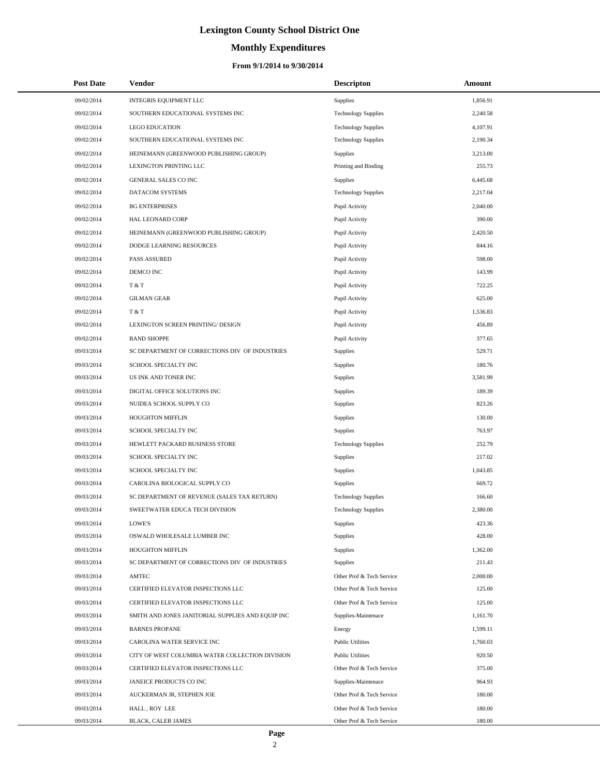# **Monthly Expenditures**

| <b>Post Date</b> | Vendor                                            | <b>Descripton</b>          | Amount   |
|------------------|---------------------------------------------------|----------------------------|----------|
| 09/02/2014       | INTEGRIS EQUIPMENT LLC                            | Supplies                   | 1,856.91 |
| 09/02/2014       | SOUTHERN EDUCATIONAL SYSTEMS INC                  | <b>Technology Supplies</b> | 2,240.58 |
| 09/02/2014       | <b>LEGO EDUCATION</b>                             | <b>Technology Supplies</b> | 4,107.91 |
| 09/02/2014       | SOUTHERN EDUCATIONAL SYSTEMS INC                  | <b>Technology Supplies</b> | 2,190.34 |
| 09/02/2014       | HEINEMANN (GREENWOOD PUBLISHING GROUP)            | Supplies                   | 3,213.00 |
| 09/02/2014       | LEXINGTON PRINTING LLC                            | Printing and Binding       | 255.73   |
| 09/02/2014       | GENERAL SALES CO INC                              | Supplies                   | 6,445.68 |
| 09/02/2014       | DATACOM SYSTEMS                                   | <b>Technology Supplies</b> | 2,217.04 |
| 09/02/2014       | <b>BG ENTERPRISES</b>                             | Pupil Activity             | 2,040.00 |
| 09/02/2014       | HAL LEONARD CORP                                  | Pupil Activity             | 390.00   |
| 09/02/2014       | HEINEMANN (GREENWOOD PUBLISHING GROUP)            | Pupil Activity             | 2,420.50 |
| 09/02/2014       | DODGE LEARNING RESOURCES                          | Pupil Activity             | 844.16   |
| 09/02/2014       | <b>PASS ASSURED</b>                               | Pupil Activity             | 598.00   |
| 09/02/2014       | DEMCO INC                                         | Pupil Activity             | 143.99   |
| 09/02/2014       | T & T                                             | Pupil Activity             | 722.25   |
| 09/02/2014       | <b>GILMAN GEAR</b>                                | Pupil Activity             | 625.00   |
| 09/02/2014       | T & T                                             | Pupil Activity             | 1,536.83 |
| 09/02/2014       | LEXINGTON SCREEN PRINTING/ DESIGN                 | Pupil Activity             | 456.89   |
| 09/02/2014       | <b>BAND SHOPPE</b>                                | Pupil Activity             | 377.65   |
| 09/03/2014       | SC DEPARTMENT OF CORRECTIONS DIV OF INDUSTRIES    | Supplies                   | 529.71   |
| 09/03/2014       | SCHOOL SPECIALTY INC                              | Supplies                   | 180.76   |
| 09/03/2014       | US INK AND TONER INC                              | Supplies                   | 3,581.99 |
| 09/03/2014       | DIGITAL OFFICE SOLUTIONS INC                      | Supplies                   | 189.39   |
| 09/03/2014       | NUIDEA SCHOOL SUPPLY CO                           | Supplies                   | 823.26   |
| 09/03/2014       | HOUGHTON MIFFLIN                                  | Supplies                   | 130.00   |
| 09/03/2014       | SCHOOL SPECIALTY INC                              | Supplies                   | 763.97   |
| 09/03/2014       | HEWLETT PACKARD BUSINESS STORE                    | <b>Technology Supplies</b> | 252.79   |
| 09/03/2014       | SCHOOL SPECIALTY INC                              | Supplies                   | 217.02   |
| 09/03/2014       | SCHOOL SPECIALTY INC                              | Supplies                   | 1,043.85 |
| 09/03/2014       | CAROLINA BIOLOGICAL SUPPLY CO                     | Supplies                   | 669.72   |
| 09/03/2014       | SC DEPARTMENT OF REVENUE (SALES TAX RETURN)       | <b>Technology Supplies</b> | 166.60   |
| 09/03/2014       | SWEETWATER EDUCA TECH DIVISION                    | <b>Technology Supplies</b> | 2.380.00 |
| 09/03/2014       | LOWE'S                                            | Supplies                   | 423.36   |
| 09/03/2014       | OSWALD WHOLESALE LUMBER INC                       | Supplies                   | 428.00   |
| 09/03/2014       | HOUGHTON MIFFLIN                                  | Supplies                   | 1,362.00 |
| 09/03/2014       | SC DEPARTMENT OF CORRECTIONS DIV OF INDUSTRIES    | Supplies                   | 211.43   |
| 09/03/2014       | AMTEC                                             | Other Prof & Tech Service  | 2,000.00 |
| 09/03/2014       | CERTIFIED ELEVATOR INSPECTIONS LLC                | Other Prof & Tech Service  | 125.00   |
| 09/03/2014       | CERTIFIED ELEVATOR INSPECTIONS LLC                | Other Prof & Tech Service  | 125.00   |
| 09/03/2014       | SMITH AND JONES JANITORIAL SUPPLIES AND EQUIP INC | Supplies-Maintenace        | 1.161.70 |
| 09/03/2014       | <b>BARNES PROPANE</b>                             | Energy                     | 1,599.11 |
| 09/03/2014       | CAROLINA WATER SERVICE INC                        | <b>Public Utilities</b>    | 1,760.03 |
| 09/03/2014       | CITY OF WEST COLUMBIA WATER COLLECTION DIVISION   | <b>Public Utilities</b>    | 920.50   |
| 09/03/2014       | CERTIFIED ELEVATOR INSPECTIONS LLC                | Other Prof & Tech Service  | 375.00   |
| 09/03/2014       | JANEICE PRODUCTS CO INC                           | Supplies-Maintenace        | 964.93   |
| 09/03/2014       | AUCKERMAN JR, STEPHEN JOE                         | Other Prof & Tech Service  | 180.00   |
| 09/03/2014       | HALL, ROY LEE                                     | Other Prof & Tech Service  | 180.00   |
| 09/03/2014       | BLACK, CALEB JAMES                                | Other Prof & Tech Service  | 180.00   |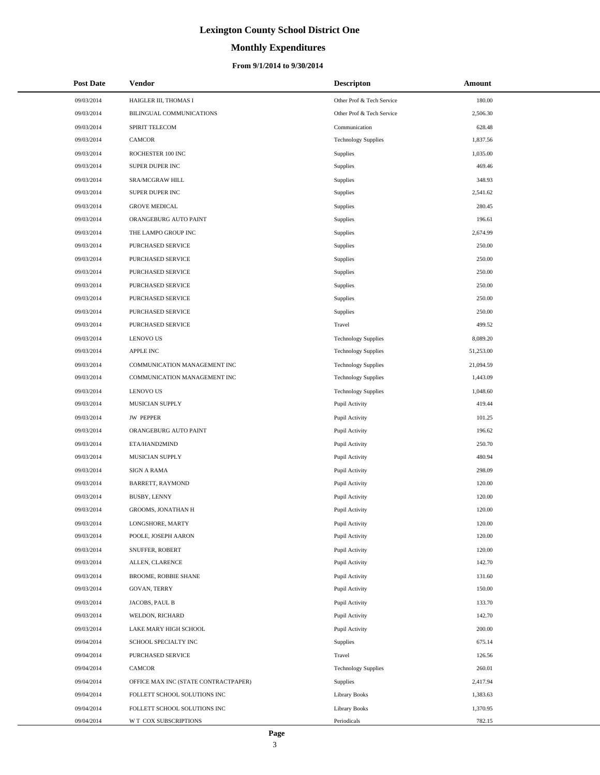# **Monthly Expenditures**

#### **From 9/1/2014 to 9/30/2014**

| <b>Post Date</b> | Vendor                               | <b>Descripton</b>          | Amount    |
|------------------|--------------------------------------|----------------------------|-----------|
| 09/03/2014       | HAIGLER III, THOMAS I                | Other Prof & Tech Service  | 180.00    |
| 09/03/2014       | BILINGUAL COMMUNICATIONS             | Other Prof & Tech Service  | 2,506.30  |
| 09/03/2014       | SPIRIT TELECOM                       | Communication              | 628.48    |
| 09/03/2014       | <b>CAMCOR</b>                        | <b>Technology Supplies</b> | 1,837.56  |
| 09/03/2014       | ROCHESTER 100 INC                    | Supplies                   | 1,035.00  |
| 09/03/2014       | SUPER DUPER INC                      | Supplies                   | 469.46    |
| 09/03/2014       | SRA/MCGRAW HILL                      | Supplies                   | 348.93    |
| 09/03/2014       | SUPER DUPER INC                      | Supplies                   | 2,541.62  |
| 09/03/2014       | <b>GROVE MEDICAL</b>                 | Supplies                   | 280.45    |
| 09/03/2014       | ORANGEBURG AUTO PAINT                | Supplies                   | 196.61    |
| 09/03/2014       | THE LAMPO GROUP INC                  | Supplies                   | 2,674.99  |
| 09/03/2014       | PURCHASED SERVICE                    | Supplies                   | 250.00    |
| 09/03/2014       | PURCHASED SERVICE                    | Supplies                   | 250.00    |
| 09/03/2014       | <b>PURCHASED SERVICE</b>             | Supplies                   | 250.00    |
| 09/03/2014       | PURCHASED SERVICE                    | Supplies                   | 250.00    |
| 09/03/2014       | PURCHASED SERVICE                    | Supplies                   | 250.00    |
| 09/03/2014       | PURCHASED SERVICE                    | Supplies                   | 250.00    |
| 09/03/2014       | PURCHASED SERVICE                    | Travel                     | 499.52    |
| 09/03/2014       | <b>LENOVO US</b>                     | <b>Technology Supplies</b> | 8,089.20  |
| 09/03/2014       | <b>APPLE INC</b>                     | <b>Technology Supplies</b> | 51,253.00 |
| 09/03/2014       | COMMUNICATION MANAGEMENT INC         | <b>Technology Supplies</b> | 21,094.59 |
| 09/03/2014       | COMMUNICATION MANAGEMENT INC         | <b>Technology Supplies</b> | 1,443.09  |
| 09/03/2014       | <b>LENOVO US</b>                     | <b>Technology Supplies</b> | 1,048.60  |
| 09/03/2014       | MUSICIAN SUPPLY                      | Pupil Activity             | 419.44    |
| 09/03/2014       | <b>JW PEPPER</b>                     | Pupil Activity             | 101.25    |
| 09/03/2014       | ORANGEBURG AUTO PAINT                | Pupil Activity             | 196.62    |
| 09/03/2014       | ETA/HAND2MIND                        | Pupil Activity             | 250.70    |
| 09/03/2014       | MUSICIAN SUPPLY                      | Pupil Activity             | 480.94    |
| 09/03/2014       | <b>SIGN A RAMA</b>                   | Pupil Activity             | 298.09    |
| 09/03/2014       | BARRETT, RAYMOND                     | Pupil Activity             | 120.00    |
| 09/03/2014       | <b>BUSBY, LENNY</b>                  | Pupil Activity             | 120.00    |
| 09/03/2014       | <b>GROOMS, JONATHAN H</b>            | Pupil Activity             | 120.00    |
| 09/03/2014       | LONGSHORE, MARTY                     | Pupil Activity             | 120.00    |
| 09/03/2014       | POOLE, JOSEPH AARON                  | Pupil Activity             | 120.00    |
| 09/03/2014       | SNUFFER, ROBERT                      | Pupil Activity             | 120.00    |
| 09/03/2014       | ALLEN, CLARENCE                      | Pupil Activity             | 142.70    |
| 09/03/2014       | <b>BROOME, ROBBIE SHANE</b>          | Pupil Activity             | 131.60    |
| 09/03/2014       | GOVAN, TERRY                         | Pupil Activity             | 150.00    |
| 09/03/2014       | JACOBS, PAUL B                       | Pupil Activity             | 133.70    |
| 09/03/2014       | WELDON, RICHARD                      | Pupil Activity             | 142.70    |
| 09/03/2014       | LAKE MARY HIGH SCHOOL                | Pupil Activity             | 200.00    |
| 09/04/2014       | SCHOOL SPECIALTY INC                 | Supplies                   | 675.14    |
| 09/04/2014       | PURCHASED SERVICE                    | Travel                     | 126.56    |
| 09/04/2014       | CAMCOR                               | <b>Technology Supplies</b> | 260.01    |
| 09/04/2014       | OFFICE MAX INC (STATE CONTRACTPAPER) | Supplies                   | 2,417.94  |
| 09/04/2014       | FOLLETT SCHOOL SOLUTIONS INC         | Library Books              | 1,383.63  |
| 09/04/2014       | FOLLETT SCHOOL SOLUTIONS INC         | <b>Library Books</b>       | 1,370.95  |
| 09/04/2014       | W T COX SUBSCRIPTIONS                | Periodicals                | 782.15    |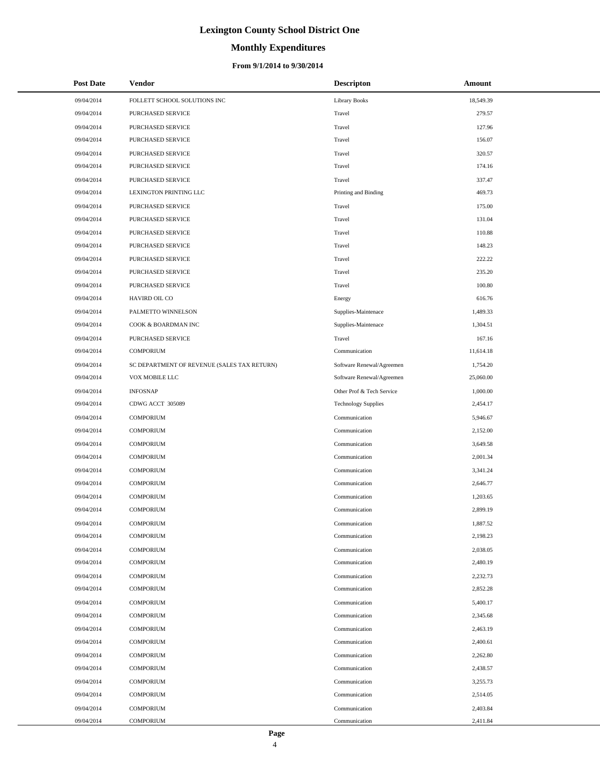# **Monthly Expenditures**

#### **From 9/1/2014 to 9/30/2014**

| <b>Post Date</b>         | <b>Vendor</b>                               | <b>Descripton</b>              | <b>Amount</b>        |
|--------------------------|---------------------------------------------|--------------------------------|----------------------|
| 09/04/2014               | FOLLETT SCHOOL SOLUTIONS INC                | <b>Library Books</b>           | 18,549.39            |
| 09/04/2014               | PURCHASED SERVICE                           | Travel                         | 279.57               |
| 09/04/2014               | PURCHASED SERVICE                           | Travel                         | 127.96               |
| 09/04/2014               | PURCHASED SERVICE                           | Travel                         | 156.07               |
| 09/04/2014               | PURCHASED SERVICE                           | Travel                         | 320.57               |
| 09/04/2014               | PURCHASED SERVICE                           | Travel                         | 174.16               |
| 09/04/2014               | PURCHASED SERVICE                           | Travel                         | 337.47               |
| 09/04/2014               | LEXINGTON PRINTING LLC                      | Printing and Binding           | 469.73               |
| 09/04/2014               | PURCHASED SERVICE                           | Travel                         | 175.00               |
| 09/04/2014               | PURCHASED SERVICE                           | Travel                         | 131.04               |
| 09/04/2014               | PURCHASED SERVICE                           | Travel                         | 110.88               |
| 09/04/2014               | PURCHASED SERVICE                           | Travel                         | 148.23               |
| 09/04/2014               | PURCHASED SERVICE                           | Travel                         | 222.22               |
| 09/04/2014               | PURCHASED SERVICE                           | Travel                         | 235.20               |
| 09/04/2014               | PURCHASED SERVICE                           | Travel                         | 100.80               |
| 09/04/2014               | HAVIRD OIL CO                               | Energy                         | 616.76               |
| 09/04/2014               | PALMETTO WINNELSON                          | Supplies-Maintenace            | 1,489.33             |
| 09/04/2014               | COOK & BOARDMAN INC                         | Supplies-Maintenace            | 1,304.51             |
| 09/04/2014               | PURCHASED SERVICE                           | Travel                         | 167.16               |
| 09/04/2014               | <b>COMPORIUM</b>                            | Communication                  | 11,614.18            |
| 09/04/2014               | SC DEPARTMENT OF REVENUE (SALES TAX RETURN) | Software Renewal/Agreemen      | 1,754.20             |
| 09/04/2014               | VOX MOBILE LLC                              | Software Renewal/Agreemen      | 25,060.00            |
| 09/04/2014               | <b>INFOSNAP</b>                             | Other Prof & Tech Service      | 1,000.00             |
| 09/04/2014               | CDWG ACCT 305089                            | <b>Technology Supplies</b>     | 2,454.17             |
| 09/04/2014               | <b>COMPORIUM</b>                            | Communication                  | 5,946.67             |
| 09/04/2014               | <b>COMPORIUM</b>                            | Communication                  | 2,152.00             |
| 09/04/2014               | <b>COMPORIUM</b>                            | Communication                  | 3,649.58             |
| 09/04/2014               | <b>COMPORIUM</b>                            | Communication                  | 2,001.34             |
| 09/04/2014               | <b>COMPORIUM</b>                            | Communication                  | 3,341.24             |
| 09/04/2014               | <b>COMPORIUM</b>                            | Communication                  | 2,646.77             |
| 09/04/2014               | <b>COMPORIUM</b>                            | Communication                  | 1,203.65             |
| 09/04/2014               | <b>COMPORIUM</b>                            | Communication                  | 2,899.19             |
| 09/04/2014               | <b>COMPORIUM</b>                            | Communication                  | 1,887.52             |
| 09/04/2014               | <b>COMPORIUM</b>                            | Communication                  | 2,198.23             |
| 09/04/2014               | <b>COMPORIUM</b>                            | Communication                  | 2,038.05             |
| 09/04/2014               | <b>COMPORIUM</b>                            | Communication                  | 2,480.19             |
| 09/04/2014               | <b>COMPORIUM</b>                            | Communication                  | 2,232.73             |
| 09/04/2014               | <b>COMPORIUM</b>                            | Communication                  | 2,852.28             |
| 09/04/2014               | <b>COMPORIUM</b>                            | Communication                  | 5,400.17             |
| 09/04/2014               | <b>COMPORIUM</b>                            | Communication                  | 2,345.68             |
| 09/04/2014               | <b>COMPORIUM</b>                            | Communication                  | 2,463.19             |
| 09/04/2014               | <b>COMPORIUM</b>                            | Communication                  | 2,400.61             |
| 09/04/2014               | <b>COMPORIUM</b>                            | Communication                  | 2,262.80             |
| 09/04/2014               | <b>COMPORIUM</b>                            | Communication                  | 2,438.57             |
| 09/04/2014<br>09/04/2014 | <b>COMPORIUM</b><br><b>COMPORIUM</b>        | Communication<br>Communication | 3,255.73<br>2,514.05 |
|                          |                                             |                                |                      |
| 09/04/2014<br>09/04/2014 | <b>COMPORIUM</b><br><b>COMPORIUM</b>        | Communication<br>Communication | 2,403.84<br>2,411.84 |
|                          |                                             |                                |                      |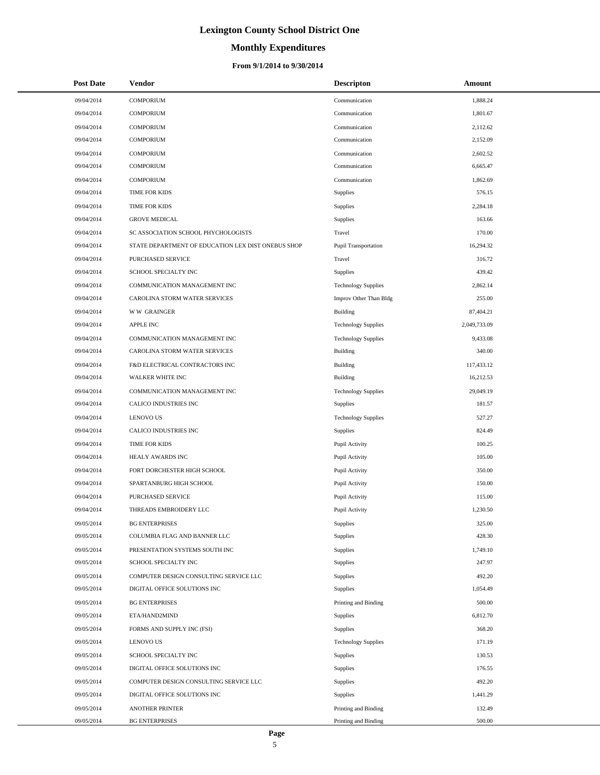# **Monthly Expenditures**

#### **From 9/1/2014 to 9/30/2014**

| <b>Post Date</b> | <b>Vendor</b>                                      | <b>Descripton</b>          | Amount       |
|------------------|----------------------------------------------------|----------------------------|--------------|
| 09/04/2014       | <b>COMPORIUM</b>                                   | Communication              | 1,888.24     |
| 09/04/2014       | <b>COMPORIUM</b>                                   | Communication              | 1,801.67     |
| 09/04/2014       | <b>COMPORIUM</b>                                   | Communication              | 2,112.62     |
| 09/04/2014       | <b>COMPORIUM</b>                                   | Communication              | 2,152.09     |
| 09/04/2014       | <b>COMPORIUM</b>                                   | Communication              | 2,602.52     |
| 09/04/2014       | <b>COMPORIUM</b>                                   | Communication              | 6,665.47     |
| 09/04/2014       | <b>COMPORIUM</b>                                   | Communication              | 1,862.69     |
| 09/04/2014       | <b>TIME FOR KIDS</b>                               | Supplies                   | 576.15       |
| 09/04/2014       | <b>TIME FOR KIDS</b>                               | Supplies                   | 2,284.18     |
| 09/04/2014       | <b>GROVE MEDICAL</b>                               | Supplies                   | 163.66       |
| 09/04/2014       | SC ASSOCIATION SCHOOL PHYCHOLOGISTS                | Travel                     | 170.00       |
| 09/04/2014       | STATE DEPARTMENT OF EDUCATION LEX DIST ONEBUS SHOP | Pupil Transportation       | 16,294.32    |
| 09/04/2014       | PURCHASED SERVICE                                  | Travel                     | 316.72       |
| 09/04/2014       | SCHOOL SPECIALTY INC                               | Supplies                   | 439.42       |
| 09/04/2014       | COMMUNICATION MANAGEMENT INC                       | <b>Technology Supplies</b> | 2,862.14     |
| 09/04/2014       | CAROLINA STORM WATER SERVICES                      | Improv Other Than Bldg     | 255.00       |
| 09/04/2014       | <b>WW GRAINGER</b>                                 | Building                   | 87,404.21    |
| 09/04/2014       | <b>APPLE INC</b>                                   | <b>Technology Supplies</b> | 2,049,733.09 |
| 09/04/2014       | COMMUNICATION MANAGEMENT INC                       | <b>Technology Supplies</b> | 9,433.08     |
| 09/04/2014       | CAROLINA STORM WATER SERVICES                      | <b>Building</b>            | 340.00       |
| 09/04/2014       | F&D ELECTRICAL CONTRACTORS INC                     | <b>Building</b>            | 117,433.12   |
| 09/04/2014       | <b>WALKER WHITE INC</b>                            | <b>Building</b>            | 16,212.53    |
| 09/04/2014       | COMMUNICATION MANAGEMENT INC                       | <b>Technology Supplies</b> | 29,049.19    |
| 09/04/2014       | CALICO INDUSTRIES INC                              | Supplies                   | 181.57       |
| 09/04/2014       | <b>LENOVO US</b>                                   | <b>Technology Supplies</b> | 527.27       |
| 09/04/2014       | CALICO INDUSTRIES INC                              | Supplies                   | 824.49       |
| 09/04/2014       | <b>TIME FOR KIDS</b>                               | Pupil Activity             | 100.25       |
| 09/04/2014       | <b>HEALY AWARDS INC</b>                            | Pupil Activity             | 105.00       |
| 09/04/2014       | FORT DORCHESTER HIGH SCHOOL                        | Pupil Activity             | 350.00       |
| 09/04/2014       | SPARTANBURG HIGH SCHOOL                            | Pupil Activity             | 150.00       |
| 09/04/2014       | PURCHASED SERVICE                                  | Pupil Activity             | 115.00       |
| 09/04/2014       | THREADS EMBROIDERY LLC                             | Pupil Activity             | 1,230.50     |
| 09/05/2014       | <b>BG ENTERPRISES</b>                              | Supplies                   | 325.00       |
| 09/05/2014       | COLUMBIA FLAG AND BANNER LLC                       | Supplies                   | 428.30       |
| 09/05/2014       | PRESENTATION SYSTEMS SOUTH INC                     | Supplies                   | 1,749.10     |
| 09/05/2014       | SCHOOL SPECIALTY INC                               | Supplies                   | 247.97       |
| 09/05/2014       | COMPUTER DESIGN CONSULTING SERVICE LLC             | Supplies                   | 492.20       |
| 09/05/2014       | DIGITAL OFFICE SOLUTIONS INC                       | Supplies                   | 1,054.49     |
| 09/05/2014       | <b>BG ENTERPRISES</b>                              | Printing and Binding       | 500.00       |
| 09/05/2014       | ETA/HAND2MIND                                      | Supplies                   | 6,812.70     |
| 09/05/2014       | FORMS AND SUPPLY INC (FSI)                         | Supplies                   | 368.20       |
| 09/05/2014       | <b>LENOVO US</b>                                   | <b>Technology Supplies</b> | 171.19       |
| 09/05/2014       | SCHOOL SPECIALTY INC                               | Supplies                   | 130.53       |
| 09/05/2014       | DIGITAL OFFICE SOLUTIONS INC                       | Supplies                   | 176.55       |
| 09/05/2014       | COMPUTER DESIGN CONSULTING SERVICE LLC             | Supplies                   | 492.20       |
| 09/05/2014       | DIGITAL OFFICE SOLUTIONS INC                       | Supplies                   | 1,441.29     |
| 09/05/2014       | <b>ANOTHER PRINTER</b>                             | Printing and Binding       | 132.49       |
| 09/05/2014       | <b>BG ENTERPRISES</b>                              | Printing and Binding       | 500.00       |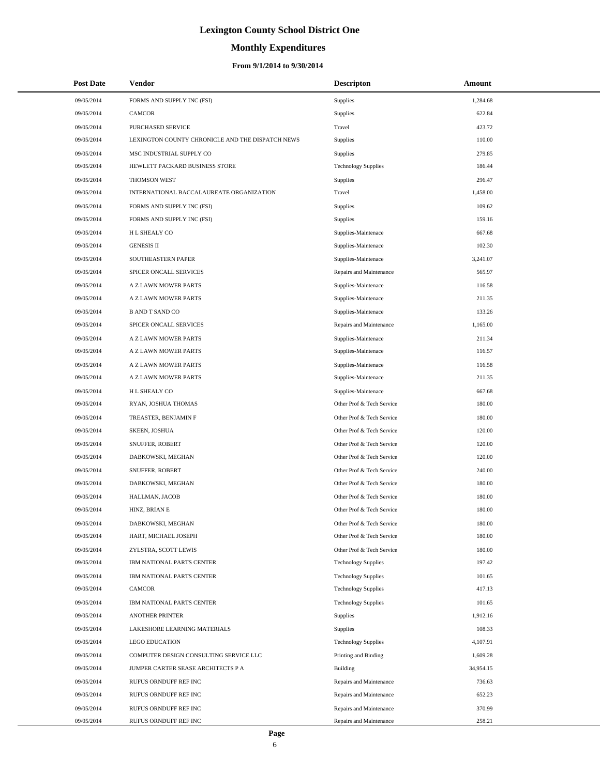# **Monthly Expenditures**

#### **From 9/1/2014 to 9/30/2014**

| <b>Post Date</b> | Vendor                                           | <b>Descripton</b>          | Amount    |
|------------------|--------------------------------------------------|----------------------------|-----------|
| 09/05/2014       | FORMS AND SUPPLY INC (FSI)                       | Supplies                   | 1,284.68  |
| 09/05/2014       | CAMCOR                                           | Supplies                   | 622.84    |
| 09/05/2014       | PURCHASED SERVICE                                | Travel                     | 423.72    |
| 09/05/2014       | LEXINGTON COUNTY CHRONICLE AND THE DISPATCH NEWS | Supplies                   | 110.00    |
| 09/05/2014       | MSC INDUSTRIAL SUPPLY CO                         | Supplies                   | 279.85    |
| 09/05/2014       | HEWLETT PACKARD BUSINESS STORE                   | <b>Technology Supplies</b> | 186.44    |
| 09/05/2014       | <b>THOMSON WEST</b>                              | Supplies                   | 296.47    |
| 09/05/2014       | INTERNATIONAL BACCALAUREATE ORGANIZATION         | Travel                     | 1,458.00  |
| 09/05/2014       | FORMS AND SUPPLY INC (FSI)                       | Supplies                   | 109.62    |
| 09/05/2014       | FORMS AND SUPPLY INC (FSI)                       | Supplies                   | 159.16    |
| 09/05/2014       | H L SHEALY CO                                    | Supplies-Maintenace        | 667.68    |
| 09/05/2014       | <b>GENESIS II</b>                                | Supplies-Maintenace        | 102.30    |
| 09/05/2014       | SOUTHEASTERN PAPER                               | Supplies-Maintenace        | 3,241.07  |
| 09/05/2014       | SPICER ONCALL SERVICES                           | Repairs and Maintenance    | 565.97    |
| 09/05/2014       | A Z LAWN MOWER PARTS                             | Supplies-Maintenace        | 116.58    |
| 09/05/2014       | A Z LAWN MOWER PARTS                             | Supplies-Maintenace        | 211.35    |
| 09/05/2014       | <b>B AND T SAND CO</b>                           | Supplies-Maintenace        | 133.26    |
| 09/05/2014       | SPICER ONCALL SERVICES                           | Repairs and Maintenance    | 1,165.00  |
| 09/05/2014       | A Z LAWN MOWER PARTS                             | Supplies-Maintenace        | 211.34    |
| 09/05/2014       | A Z LAWN MOWER PARTS                             | Supplies-Maintenace        | 116.57    |
| 09/05/2014       | A Z LAWN MOWER PARTS                             | Supplies-Maintenace        | 116.58    |
| 09/05/2014       | A Z LAWN MOWER PARTS                             | Supplies-Maintenace        | 211.35    |
| 09/05/2014       | H L SHEALY CO                                    | Supplies-Maintenace        | 667.68    |
| 09/05/2014       | RYAN, JOSHUA THOMAS                              | Other Prof & Tech Service  | 180.00    |
| 09/05/2014       | TREASTER, BENJAMIN F                             | Other Prof & Tech Service  | 180.00    |
| 09/05/2014       | SKEEN, JOSHUA                                    | Other Prof & Tech Service  | 120.00    |
| 09/05/2014       | SNUFFER, ROBERT                                  | Other Prof & Tech Service  | 120.00    |
| 09/05/2014       | DABKOWSKI, MEGHAN                                | Other Prof & Tech Service  | 120.00    |
| 09/05/2014       | SNUFFER, ROBERT                                  | Other Prof & Tech Service  | 240.00    |
| 09/05/2014       | DABKOWSKI, MEGHAN                                | Other Prof & Tech Service  | 180.00    |
| 09/05/2014       | HALLMAN, JACOB                                   | Other Prof & Tech Service  | 180.00    |
| 09/05/2014       | HINZ, BRIAN E                                    | Other Prof & Tech Service  | 180.00    |
| 09/05/2014       | DABKOWSKI, MEGHAN                                | Other Prof & Tech Service  | 180.00    |
| 09/05/2014       | HART, MICHAEL JOSEPH                             | Other Prof & Tech Service  | 180.00    |
| 09/05/2014       | ZYLSTRA, SCOTT LEWIS                             | Other Prof & Tech Service  | 180.00    |
| 09/05/2014       | IBM NATIONAL PARTS CENTER                        | <b>Technology Supplies</b> | 197.42    |
| 09/05/2014       | IBM NATIONAL PARTS CENTER                        | <b>Technology Supplies</b> | 101.65    |
| 09/05/2014       | CAMCOR                                           | <b>Technology Supplies</b> | 417.13    |
| 09/05/2014       | IBM NATIONAL PARTS CENTER                        | <b>Technology Supplies</b> | 101.65    |
| 09/05/2014       | <b>ANOTHER PRINTER</b>                           | Supplies                   | 1,912.16  |
| 09/05/2014       | LAKESHORE LEARNING MATERIALS                     | Supplies                   | 108.33    |
| 09/05/2014       | <b>LEGO EDUCATION</b>                            | <b>Technology Supplies</b> | 4,107.91  |
| 09/05/2014       | COMPUTER DESIGN CONSULTING SERVICE LLC           | Printing and Binding       | 1,609.28  |
| 09/05/2014       | JUMPER CARTER SEASE ARCHITECTS P A               | Building                   | 34,954.15 |
| 09/05/2014       | RUFUS ORNDUFF REF INC                            | Repairs and Maintenance    | 736.63    |
| 09/05/2014       | RUFUS ORNDUFF REF INC                            | Repairs and Maintenance    | 652.23    |
| 09/05/2014       | RUFUS ORNDUFF REF INC                            | Repairs and Maintenance    | 370.99    |
| 09/05/2014       | RUFUS ORNDUFF REF INC                            | Repairs and Maintenance    | 258.21    |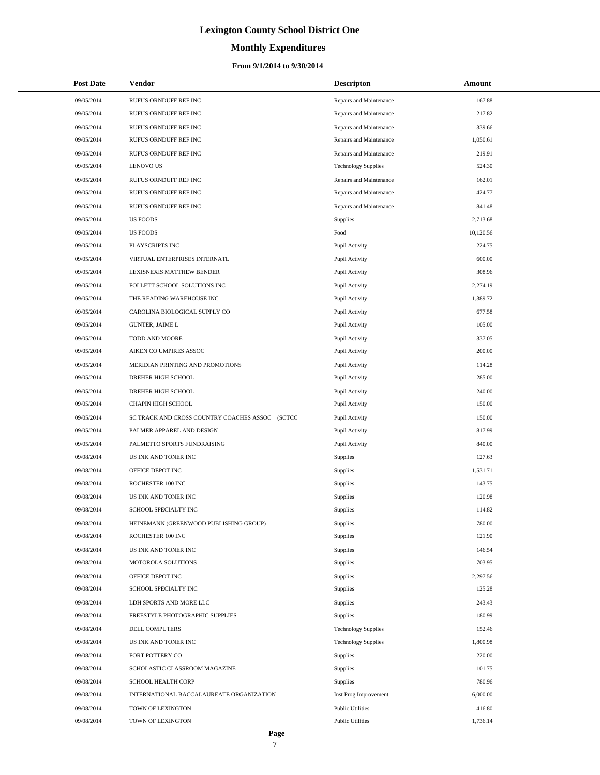#### **Monthly Expenditures**

#### **From 9/1/2014 to 9/30/2014**

| <b>Post Date</b> | Vendor                                          | <b>Descripton</b>          | Amount    |
|------------------|-------------------------------------------------|----------------------------|-----------|
| 09/05/2014       | RUFUS ORNDUFF REF INC                           | Repairs and Maintenance    | 167.88    |
| 09/05/2014       | RUFUS ORNDUFF REF INC                           | Repairs and Maintenance    | 217.82    |
| 09/05/2014       | RUFUS ORNDUFF REF INC                           | Repairs and Maintenance    | 339.66    |
| 09/05/2014       | RUFUS ORNDUFF REF INC                           | Repairs and Maintenance    | 1,050.61  |
| 09/05/2014       | RUFUS ORNDUFF REF INC                           | Repairs and Maintenance    | 219.91    |
| 09/05/2014       | <b>LENOVO US</b>                                | <b>Technology Supplies</b> | 524.30    |
| 09/05/2014       | RUFUS ORNDUFF REF INC                           | Repairs and Maintenance    | 162.01    |
| 09/05/2014       | RUFUS ORNDUFF REF INC                           | Repairs and Maintenance    | 424.77    |
| 09/05/2014       | RUFUS ORNDUFF REF INC                           | Repairs and Maintenance    | 841.48    |
| 09/05/2014       | <b>US FOODS</b>                                 | Supplies                   | 2,713.68  |
| 09/05/2014       | <b>US FOODS</b>                                 | Food                       | 10,120.56 |
| 09/05/2014       | PLAYSCRIPTS INC                                 | Pupil Activity             | 224.75    |
| 09/05/2014       | VIRTUAL ENTERPRISES INTERNATL                   | Pupil Activity             | 600.00    |
| 09/05/2014       | LEXISNEXIS MATTHEW BENDER                       | Pupil Activity             | 308.96    |
| 09/05/2014       | FOLLETT SCHOOL SOLUTIONS INC                    | Pupil Activity             | 2,274.19  |
| 09/05/2014       | THE READING WAREHOUSE INC                       | Pupil Activity             | 1,389.72  |
| 09/05/2014       | CAROLINA BIOLOGICAL SUPPLY CO                   | Pupil Activity             | 677.58    |
| 09/05/2014       | <b>GUNTER, JAIME L</b>                          | Pupil Activity             | 105.00    |
| 09/05/2014       | TODD AND MOORE                                  | Pupil Activity             | 337.05    |
| 09/05/2014       | AIKEN CO UMPIRES ASSOC                          | Pupil Activity             | 200.00    |
| 09/05/2014       | MERIDIAN PRINTING AND PROMOTIONS                | Pupil Activity             | 114.28    |
| 09/05/2014       | DREHER HIGH SCHOOL                              | Pupil Activity             | 285.00    |
| 09/05/2014       | DREHER HIGH SCHOOL                              | Pupil Activity             | 240.00    |
| 09/05/2014       | CHAPIN HIGH SCHOOL                              | Pupil Activity             | 150.00    |
| 09/05/2014       | SC TRACK AND CROSS COUNTRY COACHES ASSOC (SCTCC | Pupil Activity             | 150.00    |
| 09/05/2014       | PALMER APPAREL AND DESIGN                       | Pupil Activity             | 817.99    |
| 09/05/2014       | PALMETTO SPORTS FUNDRAISING                     | Pupil Activity             | 840.00    |
| 09/08/2014       | US INK AND TONER INC                            | <b>Supplies</b>            | 127.63    |
| 09/08/2014       | OFFICE DEPOT INC                                | Supplies                   | 1,531.71  |
| 09/08/2014       | ROCHESTER 100 INC                               | <b>Supplies</b>            | 143.75    |
| 09/08/2014       | US INK AND TONER INC                            | Supplies                   | 120.98    |
| 09/08/2014       | SCHOOL SPECIALTY INC                            | Supplies                   | 114.82    |
| 09/08/2014       | HEINEMANN (GREENWOOD PUBLISHING GROUP)          | Supplies                   | 780.00    |
| 09/08/2014       | ROCHESTER 100 INC                               | Supplies                   | 121.90    |
| 09/08/2014       | US INK AND TONER INC                            | Supplies                   | 146.54    |
| 09/08/2014       | MOTOROLA SOLUTIONS                              | Supplies                   | 703.95    |
| 09/08/2014       | OFFICE DEPOT INC                                | Supplies                   | 2,297.56  |
| 09/08/2014       | SCHOOL SPECIALTY INC                            | <b>Supplies</b>            | 125.28    |
| 09/08/2014       | LDH SPORTS AND MORE LLC                         | Supplies                   | 243.43    |
| 09/08/2014       | FREESTYLE PHOTOGRAPHIC SUPPLIES                 | <b>Supplies</b>            | 180.99    |
| 09/08/2014       | <b>DELL COMPUTERS</b>                           | <b>Technology Supplies</b> | 152.46    |
| 09/08/2014       | US INK AND TONER INC                            | <b>Technology Supplies</b> | 1,800.98  |
| 09/08/2014       | FORT POTTERY CO                                 | <b>Supplies</b>            | 220.00    |
| 09/08/2014       | SCHOLASTIC CLASSROOM MAGAZINE                   | Supplies                   | 101.75    |
| 09/08/2014       | SCHOOL HEALTH CORP                              | Supplies                   | 780.96    |
| 09/08/2014       | INTERNATIONAL BACCALAUREATE ORGANIZATION        | Inst Prog Improvement      | 6,000.00  |
| 09/08/2014       | TOWN OF LEXINGTON                               | <b>Public Utilities</b>    | 416.80    |
| 09/08/2014       | TOWN OF LEXINGTON                               | <b>Public Utilities</b>    | 1,736.14  |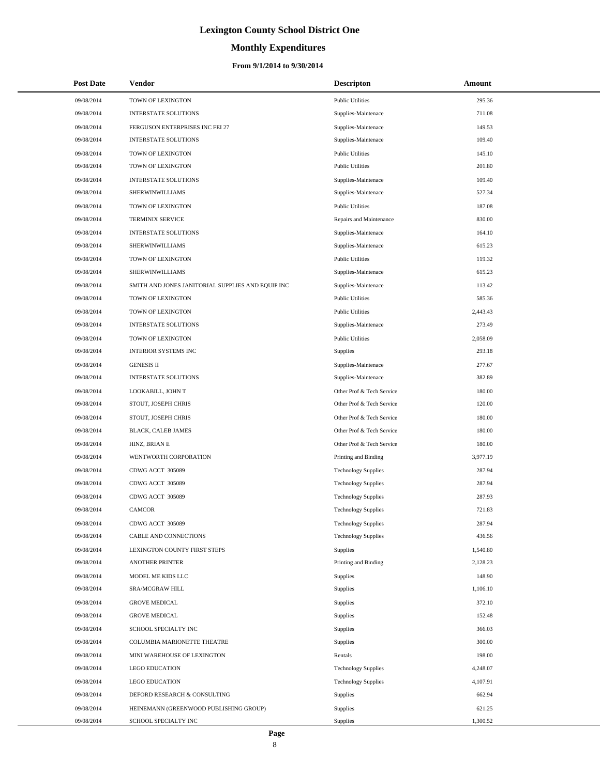# **Monthly Expenditures**

#### **From 9/1/2014 to 9/30/2014**

| <b>Post Date</b> | Vendor                                            | <b>Descripton</b>          | Amount   |
|------------------|---------------------------------------------------|----------------------------|----------|
| 09/08/2014       | TOWN OF LEXINGTON                                 | <b>Public Utilities</b>    | 295.36   |
| 09/08/2014       | <b>INTERSTATE SOLUTIONS</b>                       | Supplies-Maintenace        | 711.08   |
| 09/08/2014       | FERGUSON ENTERPRISES INC FEI 27                   | Supplies-Maintenace        | 149.53   |
| 09/08/2014       | <b>INTERSTATE SOLUTIONS</b>                       | Supplies-Maintenace        | 109.40   |
| 09/08/2014       | TOWN OF LEXINGTON                                 | <b>Public Utilities</b>    | 145.10   |
| 09/08/2014       | TOWN OF LEXINGTON                                 | <b>Public Utilities</b>    | 201.80   |
| 09/08/2014       | <b>INTERSTATE SOLUTIONS</b>                       | Supplies-Maintenace        | 109.40   |
| 09/08/2014       | SHERWINWILLIAMS                                   | Supplies-Maintenace        | 527.34   |
| 09/08/2014       | TOWN OF LEXINGTON                                 | <b>Public Utilities</b>    | 187.08   |
| 09/08/2014       | TERMINIX SERVICE                                  | Repairs and Maintenance    | 830.00   |
| 09/08/2014       | <b>INTERSTATE SOLUTIONS</b>                       | Supplies-Maintenace        | 164.10   |
| 09/08/2014       | SHERWINWILLIAMS                                   | Supplies-Maintenace        | 615.23   |
| 09/08/2014       | TOWN OF LEXINGTON                                 | <b>Public Utilities</b>    | 119.32   |
| 09/08/2014       | SHERWINWILLIAMS                                   | Supplies-Maintenace        | 615.23   |
| 09/08/2014       | SMITH AND JONES JANITORIAL SUPPLIES AND EQUIP INC | Supplies-Maintenace        | 113.42   |
| 09/08/2014       | TOWN OF LEXINGTON                                 | <b>Public Utilities</b>    | 585.36   |
| 09/08/2014       | TOWN OF LEXINGTON                                 | <b>Public Utilities</b>    | 2,443.43 |
| 09/08/2014       | <b>INTERSTATE SOLUTIONS</b>                       | Supplies-Maintenace        | 273.49   |
| 09/08/2014       | TOWN OF LEXINGTON                                 | <b>Public Utilities</b>    | 2,058.09 |
| 09/08/2014       | <b>INTERIOR SYSTEMS INC</b>                       | Supplies                   | 293.18   |
| 09/08/2014       | <b>GENESIS II</b>                                 | Supplies-Maintenace        | 277.67   |
| 09/08/2014       | <b>INTERSTATE SOLUTIONS</b>                       | Supplies-Maintenace        | 382.89   |
| 09/08/2014       | LOOKABILL, JOHN T                                 | Other Prof & Tech Service  | 180.00   |
| 09/08/2014       | STOUT, JOSEPH CHRIS                               | Other Prof & Tech Service  | 120.00   |
| 09/08/2014       | STOUT, JOSEPH CHRIS                               | Other Prof & Tech Service  | 180.00   |
| 09/08/2014       | BLACK, CALEB JAMES                                | Other Prof & Tech Service  | 180.00   |
| 09/08/2014       | HINZ, BRIAN E                                     | Other Prof & Tech Service  | 180.00   |
| 09/08/2014       | WENTWORTH CORPORATION                             | Printing and Binding       | 3,977.19 |
| 09/08/2014       | CDWG ACCT 305089                                  | <b>Technology Supplies</b> | 287.94   |
| 09/08/2014       | CDWG ACCT 305089                                  | <b>Technology Supplies</b> | 287.94   |
| 09/08/2014       | CDWG ACCT 305089                                  | <b>Technology Supplies</b> | 287.93   |
| 09/08/2014       | <b>CAMCOR</b>                                     | <b>Technology Supplies</b> | 721.83   |
| 09/08/2014       | CDWG ACCT 305089                                  | <b>Technology Supplies</b> | 287.94   |
| 09/08/2014       | CABLE AND CONNECTIONS                             | <b>Technology Supplies</b> | 436.56   |
| 09/08/2014       | LEXINGTON COUNTY FIRST STEPS                      | Supplies                   | 1,540.80 |
| 09/08/2014       | <b>ANOTHER PRINTER</b>                            | Printing and Binding       | 2,128.23 |
| 09/08/2014       | MODEL ME KIDS LLC                                 | Supplies                   | 148.90   |
| 09/08/2014       | SRA/MCGRAW HILL                                   | Supplies                   | 1,106.10 |
| 09/08/2014       | <b>GROVE MEDICAL</b>                              | Supplies                   | 372.10   |
| 09/08/2014       | <b>GROVE MEDICAL</b>                              | Supplies                   | 152.48   |
| 09/08/2014       | SCHOOL SPECIALTY INC                              | Supplies                   | 366.03   |
| 09/08/2014       | COLUMBIA MARIONETTE THEATRE                       | Supplies                   | 300.00   |
| 09/08/2014       | MINI WAREHOUSE OF LEXINGTON                       | Rentals                    | 198.00   |
| 09/08/2014       | <b>LEGO EDUCATION</b>                             | <b>Technology Supplies</b> | 4,248.07 |
| 09/08/2014       | <b>LEGO EDUCATION</b>                             | <b>Technology Supplies</b> | 4,107.91 |
| 09/08/2014       | DEFORD RESEARCH & CONSULTING                      | Supplies                   | 662.94   |
| 09/08/2014       | HEINEMANN (GREENWOOD PUBLISHING GROUP)            | <b>Supplies</b>            | 621.25   |
| 09/08/2014       | SCHOOL SPECIALTY INC                              | Supplies                   | 1,300.52 |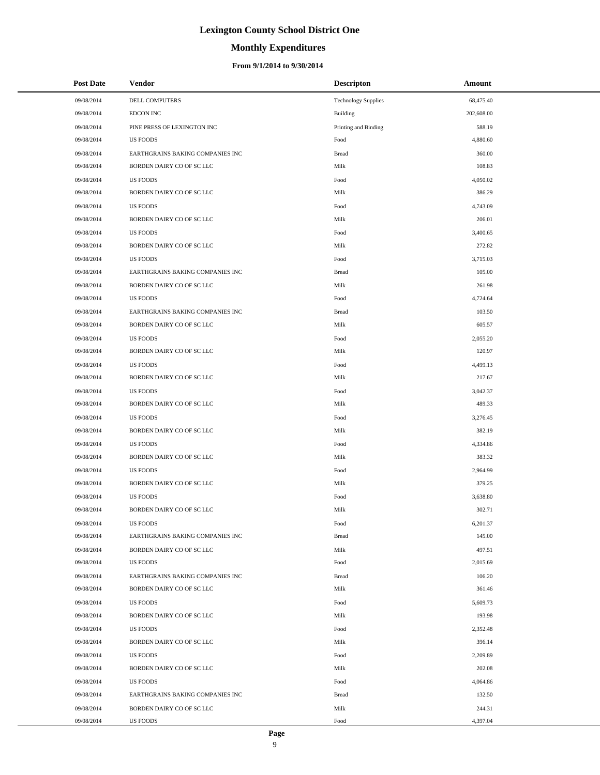#### **Monthly Expenditures**

#### **From 9/1/2014 to 9/30/2014**

| <b>Post Date</b> | Vendor                           | <b>Descripton</b>          | Amount     |
|------------------|----------------------------------|----------------------------|------------|
| 09/08/2014       | DELL COMPUTERS                   | <b>Technology Supplies</b> | 68,475.40  |
| 09/08/2014       | <b>EDCON INC</b>                 | <b>Building</b>            | 202,608.00 |
| 09/08/2014       | PINE PRESS OF LEXINGTON INC      | Printing and Binding       | 588.19     |
| 09/08/2014       | <b>US FOODS</b>                  | Food                       | 4,880.60   |
| 09/08/2014       | EARTHGRAINS BAKING COMPANIES INC | <b>Bread</b>               | 360.00     |
| 09/08/2014       | BORDEN DAIRY CO OF SC LLC        | Milk                       | 108.83     |
| 09/08/2014       | <b>US FOODS</b>                  | Food                       | 4,050.02   |
| 09/08/2014       | BORDEN DAIRY CO OF SC LLC        | Milk                       | 386.29     |
| 09/08/2014       | <b>US FOODS</b>                  | Food                       | 4,743.09   |
| 09/08/2014       | BORDEN DAIRY CO OF SC LLC        | Milk                       | 206.01     |
| 09/08/2014       | <b>US FOODS</b>                  | Food                       | 3,400.65   |
| 09/08/2014       | BORDEN DAIRY CO OF SC LLC        | Milk                       | 272.82     |
| 09/08/2014       | <b>US FOODS</b>                  | Food                       | 3,715.03   |
| 09/08/2014       | EARTHGRAINS BAKING COMPANIES INC | <b>Bread</b>               | 105.00     |
| 09/08/2014       | BORDEN DAIRY CO OF SC LLC        | Milk                       | 261.98     |
| 09/08/2014       | <b>US FOODS</b>                  | Food                       | 4,724.64   |
| 09/08/2014       | EARTHGRAINS BAKING COMPANIES INC | <b>Bread</b>               | 103.50     |
| 09/08/2014       | BORDEN DAIRY CO OF SC LLC        | Milk                       | 605.57     |
| 09/08/2014       | <b>US FOODS</b>                  | Food                       | 2,055.20   |
| 09/08/2014       | BORDEN DAIRY CO OF SC LLC        | Milk                       | 120.97     |
| 09/08/2014       | <b>US FOODS</b>                  | Food                       | 4,499.13   |
| 09/08/2014       | BORDEN DAIRY CO OF SC LLC        | Milk                       | 217.67     |
| 09/08/2014       | <b>US FOODS</b>                  | Food                       | 3,042.37   |
| 09/08/2014       | BORDEN DAIRY CO OF SC LLC        | Milk                       | 489.33     |
| 09/08/2014       | <b>US FOODS</b>                  | Food                       | 3,276.45   |
| 09/08/2014       | BORDEN DAIRY CO OF SC LLC        | Milk                       | 382.19     |
| 09/08/2014       | <b>US FOODS</b>                  | Food                       | 4,334.86   |
| 09/08/2014       | BORDEN DAIRY CO OF SC LLC        | Milk                       | 383.32     |
| 09/08/2014       | <b>US FOODS</b>                  | Food                       | 2,964.99   |
| 09/08/2014       | BORDEN DAIRY CO OF SC LLC        | Milk                       | 379.25     |
| 09/08/2014       | US FOODS                         | Food                       | 3,638.80   |
| 09/08/2014       | BORDEN DAIRY CO OF SC LLC        | Milk                       | 302.71     |
| 09/08/2014       | <b>US FOODS</b>                  | Food                       | 6,201.37   |
| 09/08/2014       | EARTHGRAINS BAKING COMPANIES INC | <b>Bread</b>               | 145.00     |
| 09/08/2014       | BORDEN DAIRY CO OF SC LLC        | Milk                       | 497.51     |
| 09/08/2014       | <b>US FOODS</b>                  | Food                       | 2,015.69   |
| 09/08/2014       | EARTHGRAINS BAKING COMPANIES INC | <b>Bread</b>               | 106.20     |
| 09/08/2014       | BORDEN DAIRY CO OF SC LLC        | Milk                       | 361.46     |
| 09/08/2014       | <b>US FOODS</b>                  | Food                       | 5,609.73   |
| 09/08/2014       | BORDEN DAIRY CO OF SC LLC        | Milk                       | 193.98     |
| 09/08/2014       | <b>US FOODS</b>                  | Food                       | 2,352.48   |
| 09/08/2014       | BORDEN DAIRY CO OF SC LLC        | Milk                       | 396.14     |
| 09/08/2014       | <b>US FOODS</b>                  | Food                       | 2,209.89   |
| 09/08/2014       | BORDEN DAIRY CO OF SC LLC        | Milk                       | 202.08     |
| 09/08/2014       | <b>US FOODS</b>                  | Food                       | 4,064.86   |
| 09/08/2014       | EARTHGRAINS BAKING COMPANIES INC | <b>Bread</b>               | 132.50     |
| 09/08/2014       | BORDEN DAIRY CO OF SC LLC        | Milk                       | 244.31     |
| 09/08/2014       | US FOODS                         | Food                       | 4,397.04   |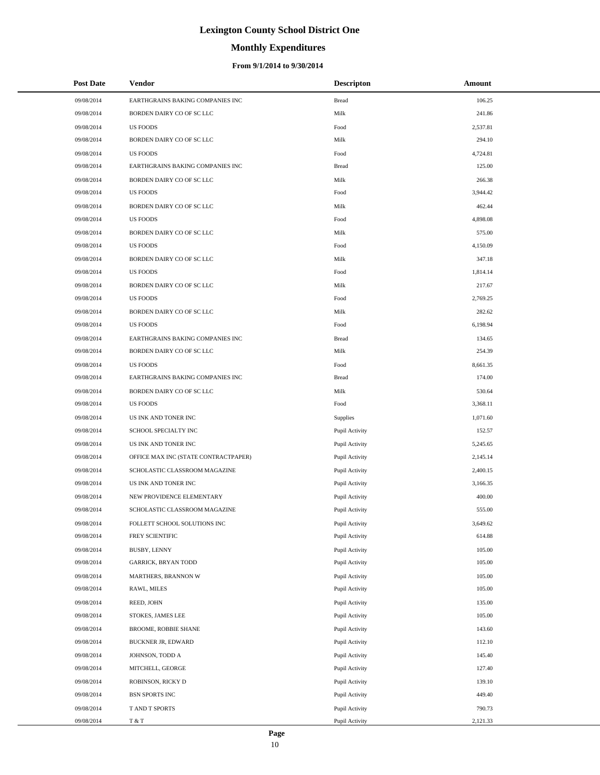# **Monthly Expenditures**

#### **From 9/1/2014 to 9/30/2014**

| <b>Post Date</b> | Vendor                               | <b>Descripton</b> | Amount   |
|------------------|--------------------------------------|-------------------|----------|
| 09/08/2014       | EARTHGRAINS BAKING COMPANIES INC     | <b>Bread</b>      | 106.25   |
| 09/08/2014       | BORDEN DAIRY CO OF SC LLC            | Milk              | 241.86   |
| 09/08/2014       | <b>US FOODS</b>                      | Food              | 2,537.81 |
| 09/08/2014       | BORDEN DAIRY CO OF SC LLC            | Milk              | 294.10   |
| 09/08/2014       | <b>US FOODS</b>                      | Food              | 4,724.81 |
| 09/08/2014       | EARTHGRAINS BAKING COMPANIES INC     | <b>Bread</b>      | 125.00   |
| 09/08/2014       | BORDEN DAIRY CO OF SC LLC            | Milk              | 266.38   |
| 09/08/2014       | <b>US FOODS</b>                      | Food              | 3,944.42 |
| 09/08/2014       | BORDEN DAIRY CO OF SC LLC            | Milk              | 462.44   |
| 09/08/2014       | <b>US FOODS</b>                      | Food              | 4,898.08 |
| 09/08/2014       | BORDEN DAIRY CO OF SC LLC            | Milk              | 575.00   |
| 09/08/2014       | <b>US FOODS</b>                      | Food              | 4,150.09 |
| 09/08/2014       | BORDEN DAIRY CO OF SC LLC            | Milk              | 347.18   |
| 09/08/2014       | <b>US FOODS</b>                      | Food              | 1,814.14 |
| 09/08/2014       | BORDEN DAIRY CO OF SC LLC            | Milk              | 217.67   |
| 09/08/2014       | <b>US FOODS</b>                      | Food              | 2,769.25 |
| 09/08/2014       | BORDEN DAIRY CO OF SC LLC            | Milk              | 282.62   |
| 09/08/2014       | <b>US FOODS</b>                      | Food              | 6,198.94 |
| 09/08/2014       | EARTHGRAINS BAKING COMPANIES INC     | <b>Bread</b>      | 134.65   |
| 09/08/2014       | BORDEN DAIRY CO OF SC LLC            | Milk              | 254.39   |
| 09/08/2014       | <b>US FOODS</b>                      | Food              | 8,661.35 |
| 09/08/2014       | EARTHGRAINS BAKING COMPANIES INC     | <b>Bread</b>      | 174.00   |
| 09/08/2014       | BORDEN DAIRY CO OF SC LLC            | Milk              | 530.64   |
| 09/08/2014       | <b>US FOODS</b>                      | Food              | 3,368.11 |
| 09/08/2014       | US INK AND TONER INC                 | Supplies          | 1,071.60 |
| 09/08/2014       | SCHOOL SPECIALTY INC                 | Pupil Activity    | 152.57   |
| 09/08/2014       | US INK AND TONER INC                 | Pupil Activity    | 5,245.65 |
| 09/08/2014       | OFFICE MAX INC (STATE CONTRACTPAPER) | Pupil Activity    | 2,145.14 |
| 09/08/2014       | SCHOLASTIC CLASSROOM MAGAZINE        | Pupil Activity    | 2,400.15 |
| 09/08/2014       | US INK AND TONER INC                 | Pupil Activity    | 3,166.35 |
| 09/08/2014       | NEW PROVIDENCE ELEMENTARY            | Pupil Activity    | 400.00   |
| 09/08/2014       | SCHOLASTIC CLASSROOM MAGAZINE        | Pupil Activity    | 555.00   |
| 09/08/2014       | FOLLETT SCHOOL SOLUTIONS INC         | Pupil Activity    | 3,649.62 |
| 09/08/2014       | FREY SCIENTIFIC                      | Pupil Activity    | 614.88   |
| 09/08/2014       | BUSBY, LENNY                         | Pupil Activity    | 105.00   |
| 09/08/2014       | <b>GARRICK, BRYAN TODD</b>           | Pupil Activity    | 105.00   |
| 09/08/2014       | MARTHERS, BRANNON W                  | Pupil Activity    | 105.00   |
| 09/08/2014       | RAWL, MILES                          | Pupil Activity    | 105.00   |
| 09/08/2014       | REED, JOHN                           | Pupil Activity    | 135.00   |
| 09/08/2014       | STOKES, JAMES LEE                    | Pupil Activity    | 105.00   |
| 09/08/2014       | BROOME, ROBBIE SHANE                 | Pupil Activity    | 143.60   |
| 09/08/2014       | <b>BUCKNER JR, EDWARD</b>            | Pupil Activity    | 112.10   |
| 09/08/2014       | JOHNSON, TODD A                      | Pupil Activity    | 145.40   |
| 09/08/2014       | MITCHELL, GEORGE                     | Pupil Activity    | 127.40   |
| 09/08/2014       | ROBINSON, RICKY D                    | Pupil Activity    | 139.10   |
| 09/08/2014       | <b>BSN SPORTS INC</b>                | Pupil Activity    | 449.40   |
| 09/08/2014       | T AND T SPORTS                       | Pupil Activity    | 790.73   |
| 09/08/2014       | T & T                                | Pupil Activity    | 2,121.33 |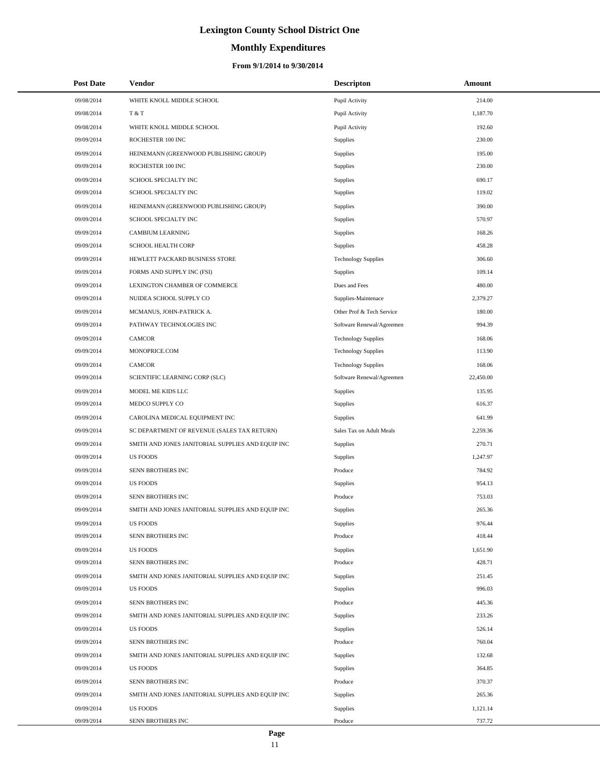# **Monthly Expenditures**

#### **From 9/1/2014 to 9/30/2014**

| <b>Post Date</b> | Vendor                                            | <b>Descripton</b>          | Amount    |
|------------------|---------------------------------------------------|----------------------------|-----------|
| 09/08/2014       | WHITE KNOLL MIDDLE SCHOOL                         | Pupil Activity             | 214.00    |
| 09/08/2014       | T & T                                             | Pupil Activity             | 1,187.70  |
| 09/08/2014       | WHITE KNOLL MIDDLE SCHOOL                         | Pupil Activity             | 192.60    |
| 09/09/2014       | ROCHESTER 100 INC                                 | Supplies                   | 230.00    |
| 09/09/2014       | HEINEMANN (GREENWOOD PUBLISHING GROUP)            | Supplies                   | 195.00    |
| 09/09/2014       | ROCHESTER 100 INC                                 | Supplies                   | 230.00    |
| 09/09/2014       | SCHOOL SPECIALTY INC                              | Supplies                   | 690.17    |
| 09/09/2014       | SCHOOL SPECIALTY INC                              | Supplies                   | 119.02    |
| 09/09/2014       | HEINEMANN (GREENWOOD PUBLISHING GROUP)            | Supplies                   | 390.00    |
| 09/09/2014       | SCHOOL SPECIALTY INC                              | Supplies                   | 570.97    |
| 09/09/2014       | <b>CAMBIUM LEARNING</b>                           | Supplies                   | 168.26    |
| 09/09/2014       | <b>SCHOOL HEALTH CORP</b>                         | Supplies                   | 458.28    |
| 09/09/2014       | HEWLETT PACKARD BUSINESS STORE                    | <b>Technology Supplies</b> | 306.60    |
| 09/09/2014       | FORMS AND SUPPLY INC (FSI)                        | Supplies                   | 109.14    |
| 09/09/2014       | LEXINGTON CHAMBER OF COMMERCE                     | Dues and Fees              | 480.00    |
| 09/09/2014       | NUIDEA SCHOOL SUPPLY CO                           | Supplies-Maintenace        | 2,379.27  |
| 09/09/2014       | MCMANUS, JOHN-PATRICK A.                          | Other Prof & Tech Service  | 180.00    |
| 09/09/2014       | PATHWAY TECHNOLOGIES INC                          | Software Renewal/Agreemen  | 994.39    |
| 09/09/2014       | <b>CAMCOR</b>                                     | <b>Technology Supplies</b> | 168.06    |
| 09/09/2014       | MONOPRICE.COM                                     | <b>Technology Supplies</b> | 113.90    |
| 09/09/2014       | <b>CAMCOR</b>                                     | <b>Technology Supplies</b> | 168.06    |
| 09/09/2014       | SCIENTIFIC LEARNING CORP (SLC)                    | Software Renewal/Agreemen  | 22,450.00 |
| 09/09/2014       | MODEL ME KIDS LLC                                 | <b>Supplies</b>            | 135.95    |
| 09/09/2014       | MEDCO SUPPLY CO                                   | Supplies                   | 616.37    |
| 09/09/2014       | CAROLINA MEDICAL EQUIPMENT INC                    | <b>Supplies</b>            | 641.99    |
| 09/09/2014       | SC DEPARTMENT OF REVENUE (SALES TAX RETURN)       | Sales Tax on Adult Meals   | 2,259.36  |
| 09/09/2014       | SMITH AND JONES JANITORIAL SUPPLIES AND EQUIP INC | <b>Supplies</b>            | 270.71    |
| 09/09/2014       | <b>US FOODS</b>                                   | Supplies                   | 1,247.97  |
| 09/09/2014       | SENN BROTHERS INC                                 | Produce                    | 784.92    |
| 09/09/2014       | <b>US FOODS</b>                                   | Supplies                   | 954.13    |
| 09/09/2014       | SENN BROTHERS INC                                 | Produce                    | 753.03    |
| 09/09/2014       | SMITH AND JONES JANITORIAL SUPPLIES AND EQUIP INC | Supplies                   | 265.36    |
| 09/09/2014       | <b>US FOODS</b>                                   | Supplies                   | 976.44    |
| 09/09/2014       | SENN BROTHERS INC                                 | Produce                    | 418.44    |
| 09/09/2014       | <b>US FOODS</b>                                   | Supplies                   | 1,651.90  |
| 09/09/2014       | SENN BROTHERS INC                                 | Produce                    | 428.71    |
| 09/09/2014       | SMITH AND JONES JANITORIAL SUPPLIES AND EQUIP INC | Supplies                   | 251.45    |
| 09/09/2014       | <b>US FOODS</b>                                   | Supplies                   | 996.03    |
| 09/09/2014       | SENN BROTHERS INC                                 | Produce                    | 445.36    |
| 09/09/2014       | SMITH AND JONES JANITORIAL SUPPLIES AND EQUIP INC | Supplies                   | 233.26    |
| 09/09/2014       | <b>US FOODS</b>                                   | Supplies                   | 526.14    |
| 09/09/2014       | SENN BROTHERS INC                                 | Produce                    | 760.04    |
| 09/09/2014       | SMITH AND JONES JANITORIAL SUPPLIES AND EQUIP INC | Supplies                   | 132.68    |
| 09/09/2014       | <b>US FOODS</b>                                   | Supplies                   | 364.85    |
| 09/09/2014       | SENN BROTHERS INC                                 | Produce                    | 370.37    |
| 09/09/2014       | SMITH AND JONES JANITORIAL SUPPLIES AND EQUIP INC | Supplies                   | 265.36    |
| 09/09/2014       | <b>US FOODS</b>                                   | Supplies                   | 1,121.14  |
| 09/09/2014       | SENN BROTHERS INC                                 | Produce                    | 737.72    |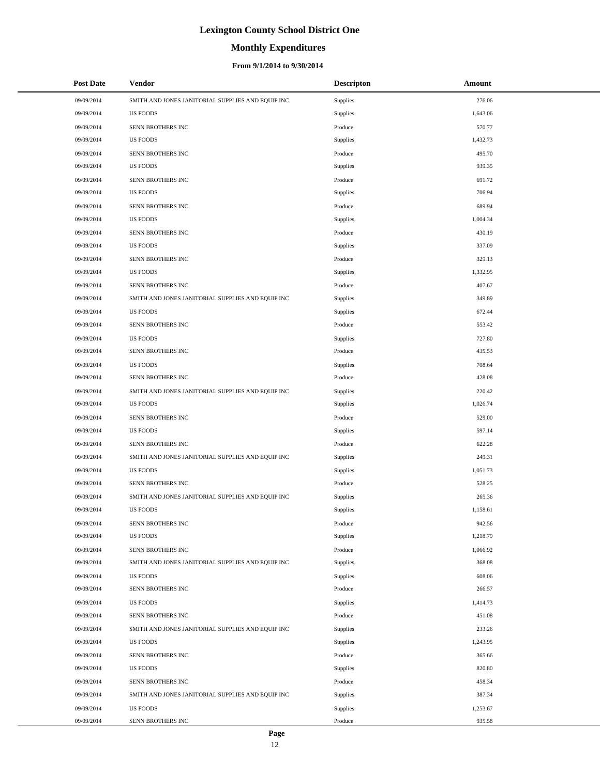# **Monthly Expenditures**

#### **From 9/1/2014 to 9/30/2014**

| <b>Post Date</b> | Vendor                                            | <b>Descripton</b> | Amount   |  |
|------------------|---------------------------------------------------|-------------------|----------|--|
| 09/09/2014       | SMITH AND JONES JANITORIAL SUPPLIES AND EQUIP INC | Supplies          | 276.06   |  |
| 09/09/2014       | <b>US FOODS</b>                                   | Supplies          | 1,643.06 |  |
| 09/09/2014       | SENN BROTHERS INC                                 | Produce           | 570.77   |  |
| 09/09/2014       | <b>US FOODS</b>                                   | Supplies          | 1,432.73 |  |
| 09/09/2014       | SENN BROTHERS INC                                 | Produce           | 495.70   |  |
| 09/09/2014       | <b>US FOODS</b>                                   | Supplies          | 939.35   |  |
| 09/09/2014       | SENN BROTHERS INC                                 | Produce           | 691.72   |  |
| 09/09/2014       | <b>US FOODS</b>                                   | Supplies          | 706.94   |  |
| 09/09/2014       | SENN BROTHERS INC                                 | Produce           | 689.94   |  |
| 09/09/2014       | <b>US FOODS</b>                                   | Supplies          | 1,004.34 |  |
| 09/09/2014       | SENN BROTHERS INC                                 | Produce           | 430.19   |  |
| 09/09/2014       | <b>US FOODS</b>                                   | Supplies          | 337.09   |  |
| 09/09/2014       | SENN BROTHERS INC                                 | Produce           | 329.13   |  |
| 09/09/2014       | <b>US FOODS</b>                                   | Supplies          | 1,332.95 |  |
| 09/09/2014       | SENN BROTHERS INC                                 | Produce           | 407.67   |  |
| 09/09/2014       | SMITH AND JONES JANITORIAL SUPPLIES AND EQUIP INC | Supplies          | 349.89   |  |
| 09/09/2014       | <b>US FOODS</b>                                   | Supplies          | 672.44   |  |
| 09/09/2014       | SENN BROTHERS INC                                 | Produce           | 553.42   |  |
| 09/09/2014       | <b>US FOODS</b>                                   | Supplies          | 727.80   |  |
| 09/09/2014       | SENN BROTHERS INC                                 | Produce           | 435.53   |  |
| 09/09/2014       | <b>US FOODS</b>                                   | Supplies          | 708.64   |  |
| 09/09/2014       | SENN BROTHERS INC                                 | Produce           | 428.08   |  |
| 09/09/2014       | SMITH AND JONES JANITORIAL SUPPLIES AND EQUIP INC | Supplies          | 220.42   |  |
| 09/09/2014       | <b>US FOODS</b>                                   | Supplies          | 1,026.74 |  |
| 09/09/2014       | SENN BROTHERS INC                                 | Produce           | 529.00   |  |
| 09/09/2014       | <b>US FOODS</b>                                   | Supplies          | 597.14   |  |
| 09/09/2014       | SENN BROTHERS INC                                 | Produce           | 622.28   |  |
| 09/09/2014       | SMITH AND JONES JANITORIAL SUPPLIES AND EQUIP INC | Supplies          | 249.31   |  |
| 09/09/2014       | <b>US FOODS</b>                                   | Supplies          | 1,051.73 |  |
| 09/09/2014       | SENN BROTHERS INC                                 | Produce           | 528.25   |  |
| 09/09/2014       | SMITH AND JONES JANITORIAL SUPPLIES AND EQUIP INC | Supplies          | 265.36   |  |
| 09/09/2014       | <b>US FOODS</b>                                   | Supplies          | 1,158.61 |  |
| 09/09/2014       | SENN BROTHERS INC                                 | Produce           | 942.56   |  |
| 09/09/2014       | <b>US FOODS</b>                                   | Supplies          | 1,218.79 |  |
| 09/09/2014       | SENN BROTHERS INC                                 | Produce           | 1,066.92 |  |
| 09/09/2014       | SMITH AND JONES JANITORIAL SUPPLIES AND EQUIP INC | Supplies          | 368.08   |  |
| 09/09/2014       | <b>US FOODS</b>                                   | Supplies          | 608.06   |  |
| 09/09/2014       | SENN BROTHERS INC                                 | Produce           | 266.57   |  |
| 09/09/2014       | <b>US FOODS</b>                                   | Supplies          | 1,414.73 |  |
| 09/09/2014       | SENN BROTHERS INC                                 | Produce           | 451.08   |  |
| 09/09/2014       | SMITH AND JONES JANITORIAL SUPPLIES AND EQUIP INC | Supplies          | 233.26   |  |
| 09/09/2014       | <b>US FOODS</b>                                   | Supplies          | 1,243.95 |  |
| 09/09/2014       | SENN BROTHERS INC                                 | Produce           | 365.66   |  |
| 09/09/2014       | <b>US FOODS</b>                                   | Supplies          | 820.80   |  |
| 09/09/2014       | SENN BROTHERS INC                                 | Produce           | 458.34   |  |
| 09/09/2014       | SMITH AND JONES JANITORIAL SUPPLIES AND EQUIP INC | Supplies          | 387.34   |  |
| 09/09/2014       | <b>US FOODS</b>                                   | Supplies          | 1,253.67 |  |
| 09/09/2014       | SENN BROTHERS INC                                 | Produce           | 935.58   |  |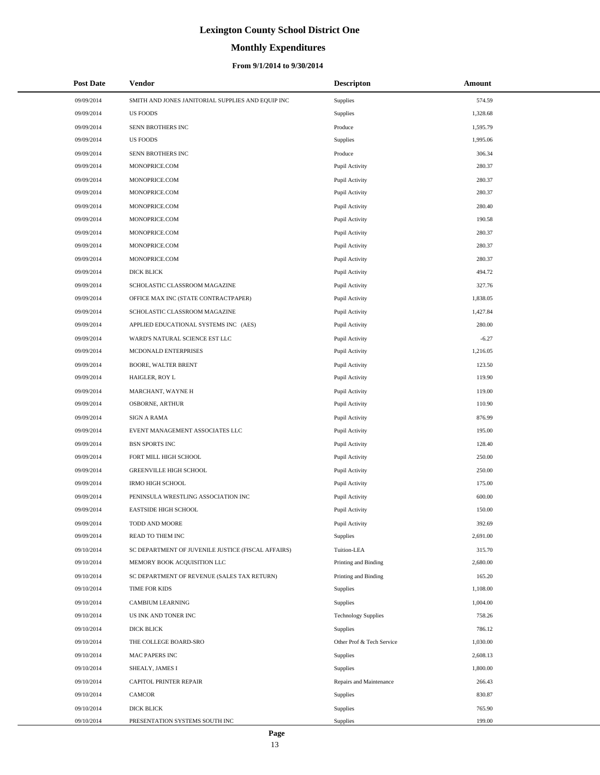# **Monthly Expenditures**

#### **From 9/1/2014 to 9/30/2014**

| <b>Post Date</b> | Vendor                                             | <b>Descripton</b>          | Amount   |
|------------------|----------------------------------------------------|----------------------------|----------|
| 09/09/2014       | SMITH AND JONES JANITORIAL SUPPLIES AND EQUIP INC  | Supplies                   | 574.59   |
| 09/09/2014       | <b>US FOODS</b>                                    | Supplies                   | 1,328.68 |
| 09/09/2014       | SENN BROTHERS INC                                  | Produce                    | 1,595.79 |
| 09/09/2014       | <b>US FOODS</b>                                    | Supplies                   | 1,995.06 |
| 09/09/2014       | SENN BROTHERS INC                                  | Produce                    | 306.34   |
| 09/09/2014       | MONOPRICE.COM                                      | Pupil Activity             | 280.37   |
| 09/09/2014       | MONOPRICE.COM                                      | Pupil Activity             | 280.37   |
| 09/09/2014       | MONOPRICE.COM                                      | Pupil Activity             | 280.37   |
| 09/09/2014       | MONOPRICE.COM                                      | Pupil Activity             | 280.40   |
| 09/09/2014       | MONOPRICE.COM                                      | Pupil Activity             | 190.58   |
| 09/09/2014       | MONOPRICE.COM                                      | Pupil Activity             | 280.37   |
| 09/09/2014       | MONOPRICE.COM                                      | Pupil Activity             | 280.37   |
| 09/09/2014       | MONOPRICE.COM                                      | Pupil Activity             | 280.37   |
| 09/09/2014       | DICK BLICK                                         | Pupil Activity             | 494.72   |
| 09/09/2014       | SCHOLASTIC CLASSROOM MAGAZINE                      | Pupil Activity             | 327.76   |
| 09/09/2014       | OFFICE MAX INC (STATE CONTRACTPAPER)               | Pupil Activity             | 1,838.05 |
| 09/09/2014       | SCHOLASTIC CLASSROOM MAGAZINE                      | Pupil Activity             | 1,427.84 |
| 09/09/2014       | APPLIED EDUCATIONAL SYSTEMS INC (AES)              | Pupil Activity             | 280.00   |
| 09/09/2014       | WARD'S NATURAL SCIENCE EST LLC                     | Pupil Activity             | $-6.27$  |
| 09/09/2014       | MCDONALD ENTERPRISES                               | Pupil Activity             | 1,216.05 |
| 09/09/2014       | BOORE, WALTER BRENT                                | Pupil Activity             | 123.50   |
| 09/09/2014       | HAIGLER, ROY L                                     | Pupil Activity             | 119.90   |
| 09/09/2014       | MARCHANT, WAYNE H                                  | Pupil Activity             | 119.00   |
| 09/09/2014       | OSBORNE, ARTHUR                                    | Pupil Activity             | 110.90   |
| 09/09/2014       | <b>SIGN A RAMA</b>                                 | Pupil Activity             | 876.99   |
| 09/09/2014       | EVENT MANAGEMENT ASSOCIATES LLC                    | Pupil Activity             | 195.00   |
| 09/09/2014       | <b>BSN SPORTS INC</b>                              | Pupil Activity             | 128.40   |
| 09/09/2014       | FORT MILL HIGH SCHOOL                              | Pupil Activity             | 250.00   |
| 09/09/2014       | <b>GREENVILLE HIGH SCHOOL</b>                      | Pupil Activity             | 250.00   |
| 09/09/2014       | <b>IRMO HIGH SCHOOL</b>                            | Pupil Activity             | 175.00   |
| 09/09/2014       | PENINSULA WRESTLING ASSOCIATION INC                | Pupil Activity             | 600.00   |
| 09/09/2014       | <b>EASTSIDE HIGH SCHOOL</b>                        | Pupil Activity             | 150.00   |
| 09/09/2014       | TODD AND MOORE                                     | Pupil Activity             | 392.69   |
| 09/09/2014       | READ TO THEM INC                                   | Supplies                   | 2,691.00 |
| 09/10/2014       | SC DEPARTMENT OF JUVENILE JUSTICE (FISCAL AFFAIRS) | Tuition-LEA                | 315.70   |
| 09/10/2014       | MEMORY BOOK ACQUISITION LLC                        | Printing and Binding       | 2,680.00 |
| 09/10/2014       | SC DEPARTMENT OF REVENUE (SALES TAX RETURN)        | Printing and Binding       | 165.20   |
| 09/10/2014       | TIME FOR KIDS                                      | Supplies                   | 1,108.00 |
| 09/10/2014       | <b>CAMBIUM LEARNING</b>                            | Supplies                   | 1,004.00 |
| 09/10/2014       | US INK AND TONER INC                               | <b>Technology Supplies</b> | 758.26   |
| 09/10/2014       | <b>DICK BLICK</b>                                  | Supplies                   | 786.12   |
| 09/10/2014       | THE COLLEGE BOARD-SRO                              | Other Prof & Tech Service  | 1,030.00 |
| 09/10/2014       | MAC PAPERS INC                                     | Supplies                   | 2,608.13 |
| 09/10/2014       | SHEALY, JAMES I                                    | Supplies                   | 1,800.00 |
| 09/10/2014       | CAPITOL PRINTER REPAIR                             | Repairs and Maintenance    | 266.43   |
| 09/10/2014       | <b>CAMCOR</b>                                      | Supplies                   | 830.87   |
| 09/10/2014       | <b>DICK BLICK</b>                                  | Supplies                   | 765.90   |
| 09/10/2014       | PRESENTATION SYSTEMS SOUTH INC                     | Supplies                   | 199.00   |

÷.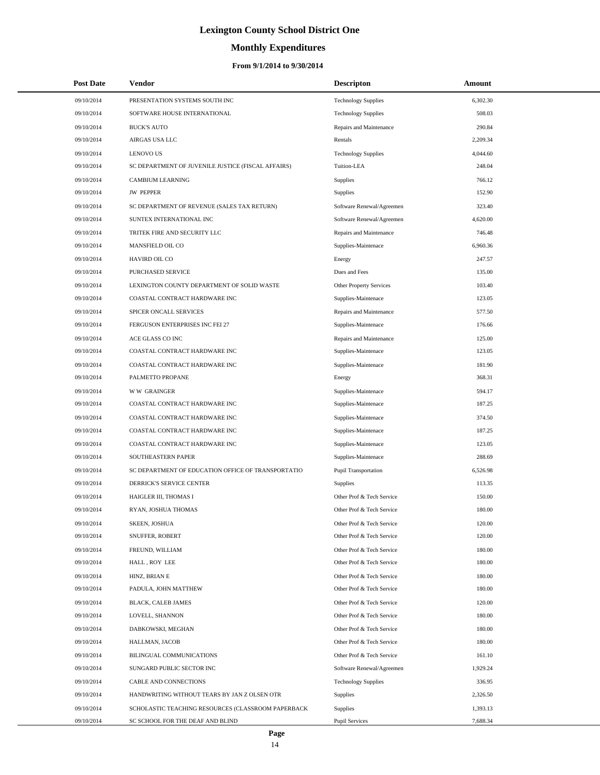# **Monthly Expenditures**

| <b>Post Date</b> | Vendor                                             | <b>Descripton</b>           | Amount   |
|------------------|----------------------------------------------------|-----------------------------|----------|
| 09/10/2014       | PRESENTATION SYSTEMS SOUTH INC                     | <b>Technology Supplies</b>  | 6,302.30 |
| 09/10/2014       | SOFTWARE HOUSE INTERNATIONAL                       | <b>Technology Supplies</b>  | 508.03   |
| 09/10/2014       | <b>BUCK'S AUTO</b>                                 | Repairs and Maintenance     | 290.84   |
| 09/10/2014       | AIRGAS USA LLC                                     | Rentals                     | 2.209.34 |
| 09/10/2014       | <b>LENOVO US</b>                                   | <b>Technology Supplies</b>  | 4,044.60 |
| 09/10/2014       | SC DEPARTMENT OF JUVENILE JUSTICE (FISCAL AFFAIRS) | Tuition-LEA                 | 248.04   |
| 09/10/2014       | <b>CAMBIUM LEARNING</b>                            | <b>Supplies</b>             | 766.12   |
| 09/10/2014       | <b>JW PEPPER</b>                                   | <b>Supplies</b>             | 152.90   |
| 09/10/2014       | SC DEPARTMENT OF REVENUE (SALES TAX RETURN)        | Software Renewal/Agreemen   | 323.40   |
| 09/10/2014       | SUNTEX INTERNATIONAL INC                           | Software Renewal/Agreemen   | 4,620.00 |
| 09/10/2014       | TRITEK FIRE AND SECURITY LLC                       | Repairs and Maintenance     | 746.48   |
| 09/10/2014       | MANSFIELD OIL CO                                   | Supplies-Maintenace         | 6,960.36 |
| 09/10/2014       | HAVIRD OIL CO                                      | Energy                      | 247.57   |
| 09/10/2014       | PURCHASED SERVICE                                  | Dues and Fees               | 135.00   |
| 09/10/2014       | LEXINGTON COUNTY DEPARTMENT OF SOLID WASTE         | Other Property Services     | 103.40   |
| 09/10/2014       | COASTAL CONTRACT HARDWARE INC                      | Supplies-Maintenace         | 123.05   |
| 09/10/2014       | SPICER ONCALL SERVICES                             | Repairs and Maintenance     | 577.50   |
| 09/10/2014       | FERGUSON ENTERPRISES INC FEI 27                    | Supplies-Maintenace         | 176.66   |
| 09/10/2014       | ACE GLASS CO INC                                   | Repairs and Maintenance     | 125.00   |
| 09/10/2014       | COASTAL CONTRACT HARDWARE INC                      | Supplies-Maintenace         | 123.05   |
| 09/10/2014       | COASTAL CONTRACT HARDWARE INC                      | Supplies-Maintenace         | 181.90   |
| 09/10/2014       | PALMETTO PROPANE                                   | Energy                      | 368.31   |
| 09/10/2014       | <b>WW GRAINGER</b>                                 | Supplies-Maintenace         | 594.17   |
| 09/10/2014       | COASTAL CONTRACT HARDWARE INC                      | Supplies-Maintenace         | 187.25   |
| 09/10/2014       | COASTAL CONTRACT HARDWARE INC                      | Supplies-Maintenace         | 374.50   |
| 09/10/2014       | COASTAL CONTRACT HARDWARE INC                      | Supplies-Maintenace         | 187.25   |
| 09/10/2014       | COASTAL CONTRACT HARDWARE INC                      | Supplies-Maintenace         | 123.05   |
| 09/10/2014       | SOUTHEASTERN PAPER                                 | Supplies-Maintenace         | 288.69   |
| 09/10/2014       | SC DEPARTMENT OF EDUCATION OFFICE OF TRANSPORTATIO | <b>Pupil Transportation</b> | 6,526.98 |
| 09/10/2014       | DERRICK'S SERVICE CENTER                           | Supplies                    | 113.35   |
| 09/10/2014       | HAIGLER III, THOMAS I                              | Other Prof & Tech Service   | 150.00   |
| 09/10/2014       | RYAN, JOSHUA THOMAS                                | Other Prof & Tech Service   | 180.00   |
| 09/10/2014       | <b>SKEEN, JOSHUA</b>                               | Other Prof & Tech Service   | 120.00   |
| 09/10/2014       | SNUFFER, ROBERT                                    | Other Prof & Tech Service   | 120.00   |
| 09/10/2014       | FREUND, WILLIAM                                    | Other Prof & Tech Service   | 180.00   |
| 09/10/2014       | HALL, ROY LEE                                      | Other Prof & Tech Service   | 180.00   |
| 09/10/2014       | HINZ, BRIAN E                                      | Other Prof & Tech Service   | 180.00   |
| 09/10/2014       | PADULA, JOHN MATTHEW                               | Other Prof & Tech Service   | 180.00   |
| 09/10/2014       | BLACK, CALEB JAMES                                 | Other Prof & Tech Service   | 120.00   |
| 09/10/2014       | LOVELL, SHANNON                                    | Other Prof & Tech Service   | 180.00   |
| 09/10/2014       | DABKOWSKI, MEGHAN                                  | Other Prof & Tech Service   | 180.00   |
| 09/10/2014       | HALLMAN, JACOB                                     | Other Prof & Tech Service   | 180.00   |
| 09/10/2014       | BILINGUAL COMMUNICATIONS                           | Other Prof & Tech Service   | 161.10   |
| 09/10/2014       | SUNGARD PUBLIC SECTOR INC                          | Software Renewal/Agreemen   | 1,929.24 |
| 09/10/2014       | CABLE AND CONNECTIONS                              | <b>Technology Supplies</b>  | 336.95   |
| 09/10/2014       | HANDWRITING WITHOUT TEARS BY JAN Z OLSEN OTR       | Supplies                    | 2,326.50 |
| 09/10/2014       | SCHOLASTIC TEACHING RESOURCES (CLASSROOM PAPERBACK | <b>Supplies</b>             | 1,393.13 |
| 09/10/2014       | SC SCHOOL FOR THE DEAF AND BLIND                   | <b>Pupil Services</b>       | 7,688.34 |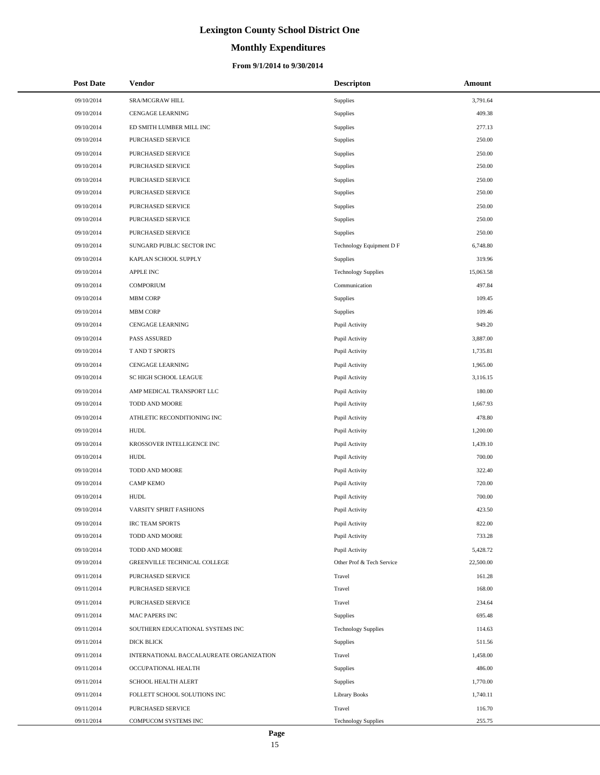# **Monthly Expenditures**

| <b>Post Date</b> | <b>Vendor</b>                            | <b>Descripton</b>          | Amount    |
|------------------|------------------------------------------|----------------------------|-----------|
| 09/10/2014       | SRA/MCGRAW HILL                          | Supplies                   | 3,791.64  |
| 09/10/2014       | <b>CENGAGE LEARNING</b>                  | Supplies                   | 409.38    |
| 09/10/2014       | ED SMITH LUMBER MILL INC                 | Supplies                   | 277.13    |
| 09/10/2014       | PURCHASED SERVICE                        | Supplies                   | 250.00    |
| 09/10/2014       | PURCHASED SERVICE                        | Supplies                   | 250.00    |
| 09/10/2014       | PURCHASED SERVICE                        | Supplies                   | 250.00    |
| 09/10/2014       | PURCHASED SERVICE                        | Supplies                   | 250.00    |
| 09/10/2014       | PURCHASED SERVICE                        | Supplies                   | 250.00    |
| 09/10/2014       | PURCHASED SERVICE                        | Supplies                   | 250.00    |
| 09/10/2014       | PURCHASED SERVICE                        | Supplies                   | 250.00    |
| 09/10/2014       | PURCHASED SERVICE                        | Supplies                   | 250.00    |
| 09/10/2014       | SUNGARD PUBLIC SECTOR INC                | Technology Equipment D F   | 6,748.80  |
| 09/10/2014       | KAPLAN SCHOOL SUPPLY                     | Supplies                   | 319.96    |
| 09/10/2014       | APPLE INC                                | <b>Technology Supplies</b> | 15,063.58 |
| 09/10/2014       | <b>COMPORIUM</b>                         | Communication              | 497.84    |
| 09/10/2014       | MBM CORP                                 | Supplies                   | 109.45    |
| 09/10/2014       | MBM CORP                                 | Supplies                   | 109.46    |
| 09/10/2014       | <b>CENGAGE LEARNING</b>                  | Pupil Activity             | 949.20    |
| 09/10/2014       | PASS ASSURED                             | Pupil Activity             | 3,887.00  |
| 09/10/2014       | T AND T SPORTS                           | Pupil Activity             | 1,735.81  |
| 09/10/2014       | <b>CENGAGE LEARNING</b>                  | Pupil Activity             | 1,965.00  |
| 09/10/2014       | SC HIGH SCHOOL LEAGUE                    | Pupil Activity             | 3,116.15  |
| 09/10/2014       | AMP MEDICAL TRANSPORT LLC                | Pupil Activity             | 180.00    |
| 09/10/2014       | TODD AND MOORE                           | Pupil Activity             | 1,667.93  |
| 09/10/2014       | ATHLETIC RECONDITIONING INC              | Pupil Activity             | 478.80    |
| 09/10/2014       | <b>HUDL</b>                              | Pupil Activity             | 1,200.00  |
| 09/10/2014       | KROSSOVER INTELLIGENCE INC               | Pupil Activity             | 1,439.10  |
| 09/10/2014       | <b>HUDL</b>                              | Pupil Activity             | 700.00    |
| 09/10/2014       | TODD AND MOORE                           | Pupil Activity             | 322.40    |
| 09/10/2014       | <b>CAMP KEMO</b>                         | Pupil Activity             | 720.00    |
| 09/10/2014       | <b>HUDL</b>                              | Pupil Activity             | 700.00    |
| 09/10/2014       | VARSITY SPIRIT FASHIONS                  | Pupil Activity             | 423.50    |
| 09/10/2014       | <b>IRC TEAM SPORTS</b>                   | Pupil Activity             | 822.00    |
| 09/10/2014       | TODD AND MOORE                           | Pupil Activity             | 733.28    |
| 09/10/2014       | TODD AND MOORE                           | Pupil Activity             | 5,428.72  |
| 09/10/2014       | GREENVILLE TECHNICAL COLLEGE             | Other Prof & Tech Service  | 22,500.00 |
| 09/11/2014       | PURCHASED SERVICE                        | Travel                     | 161.28    |
| 09/11/2014       | PURCHASED SERVICE                        | Travel                     | 168.00    |
| 09/11/2014       | PURCHASED SERVICE                        | Travel                     | 234.64    |
| 09/11/2014       | MAC PAPERS INC                           | Supplies                   | 695.48    |
| 09/11/2014       | SOUTHERN EDUCATIONAL SYSTEMS INC         | <b>Technology Supplies</b> | 114.63    |
| 09/11/2014       | DICK BLICK                               | Supplies                   | 511.56    |
| 09/11/2014       | INTERNATIONAL BACCALAUREATE ORGANIZATION | Travel                     | 1,458.00  |
| 09/11/2014       | OCCUPATIONAL HEALTH                      | Supplies                   | 486.00    |
| 09/11/2014       | SCHOOL HEALTH ALERT                      | Supplies                   | 1,770.00  |
| 09/11/2014       | FOLLETT SCHOOL SOLUTIONS INC             | <b>Library Books</b>       | 1,740.11  |
| 09/11/2014       | PURCHASED SERVICE                        | Travel                     | 116.70    |
| 09/11/2014       | COMPUCOM SYSTEMS INC                     | <b>Technology Supplies</b> | 255.75    |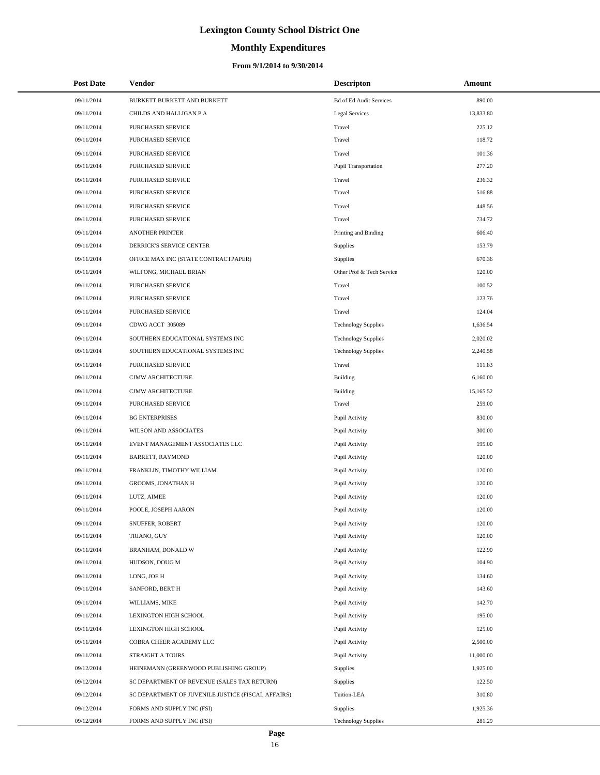# **Monthly Expenditures**

#### **From 9/1/2014 to 9/30/2014**

| <b>Post Date</b> | <b>Vendor</b>                                      | <b>Descripton</b>              | Amount    |
|------------------|----------------------------------------------------|--------------------------------|-----------|
| 09/11/2014       | BURKETT BURKETT AND BURKETT                        | <b>Bd of Ed Audit Services</b> | 890.00    |
| 09/11/2014       | CHILDS AND HALLIGAN P A                            | Legal Services                 | 13,833.80 |
| 09/11/2014       | PURCHASED SERVICE                                  | Travel                         | 225.12    |
| 09/11/2014       | PURCHASED SERVICE                                  | Travel                         | 118.72    |
| 09/11/2014       | PURCHASED SERVICE                                  | Travel                         | 101.36    |
| 09/11/2014       | PURCHASED SERVICE                                  | Pupil Transportation           | 277.20    |
| 09/11/2014       | <b>PURCHASED SERVICE</b>                           | Travel                         | 236.32    |
| 09/11/2014       | PURCHASED SERVICE                                  | Travel                         | 516.88    |
| 09/11/2014       | PURCHASED SERVICE                                  | Travel                         | 448.56    |
| 09/11/2014       | <b>PURCHASED SERVICE</b>                           | Travel                         | 734.72    |
| 09/11/2014       | ANOTHER PRINTER                                    | Printing and Binding           | 606.40    |
| 09/11/2014       | DERRICK'S SERVICE CENTER                           | Supplies                       | 153.79    |
| 09/11/2014       | OFFICE MAX INC (STATE CONTRACTPAPER)               | Supplies                       | 670.36    |
| 09/11/2014       | WILFONG, MICHAEL BRIAN                             | Other Prof & Tech Service      | 120.00    |
| 09/11/2014       | PURCHASED SERVICE                                  | Travel                         | 100.52    |
| 09/11/2014       | <b>PURCHASED SERVICE</b>                           | Travel                         | 123.76    |
| 09/11/2014       | PURCHASED SERVICE                                  | Travel                         | 124.04    |
| 09/11/2014       | CDWG ACCT 305089                                   | <b>Technology Supplies</b>     | 1,636.54  |
| 09/11/2014       | SOUTHERN EDUCATIONAL SYSTEMS INC                   | <b>Technology Supplies</b>     | 2,020.02  |
| 09/11/2014       | SOUTHERN EDUCATIONAL SYSTEMS INC                   | <b>Technology Supplies</b>     | 2,240.58  |
| 09/11/2014       | PURCHASED SERVICE                                  | Travel                         | 111.83    |
| 09/11/2014       | CJMW ARCHITECTURE                                  | Building                       | 6,160.00  |
| 09/11/2014       | CJMW ARCHITECTURE                                  | Building                       | 15,165.52 |
| 09/11/2014       | PURCHASED SERVICE                                  | Travel                         | 259.00    |
| 09/11/2014       | <b>BG ENTERPRISES</b>                              | Pupil Activity                 | 830.00    |
| 09/11/2014       | WILSON AND ASSOCIATES                              | Pupil Activity                 | 300.00    |
| 09/11/2014       | EVENT MANAGEMENT ASSOCIATES LLC                    | Pupil Activity                 | 195.00    |
| 09/11/2014       | BARRETT, RAYMOND                                   | Pupil Activity                 | 120.00    |
| 09/11/2014       | FRANKLIN, TIMOTHY WILLIAM                          | Pupil Activity                 | 120.00    |
| 09/11/2014       | GROOMS, JONATHAN H                                 | Pupil Activity                 | 120.00    |
| 09/11/2014       | LUTZ, AIMEE                                        | Pupil Activity                 | 120.00    |
| 09/11/2014       | POOLE, JOSEPH AARON                                | Pupil Activity                 | 120.00    |
| 09/11/2014       | SNUFFER, ROBERT                                    | Pupil Activity                 | 120.00    |
| 09/11/2014       | TRIANO, GUY                                        | Pupil Activity                 | 120.00    |
| 09/11/2014       | BRANHAM, DONALD W                                  | Pupil Activity                 | 122.90    |
| 09/11/2014       | HUDSON, DOUG M                                     | Pupil Activity                 | 104.90    |
| 09/11/2014       | LONG, JOE H                                        | Pupil Activity                 | 134.60    |
| 09/11/2014       | SANFORD, BERT H                                    | Pupil Activity                 | 143.60    |
| 09/11/2014       | WILLIAMS, MIKE                                     | Pupil Activity                 | 142.70    |
| 09/11/2014       | LEXINGTON HIGH SCHOOL                              | Pupil Activity                 | 195.00    |
| 09/11/2014       | LEXINGTON HIGH SCHOOL                              | Pupil Activity                 | 125.00    |
| 09/11/2014       | COBRA CHEER ACADEMY LLC                            | Pupil Activity                 | 2,500.00  |
| 09/11/2014       | STRAIGHT A TOURS                                   | Pupil Activity                 | 11,000.00 |
| 09/12/2014       | HEINEMANN (GREENWOOD PUBLISHING GROUP)             | Supplies                       | 1,925.00  |
| 09/12/2014       | SC DEPARTMENT OF REVENUE (SALES TAX RETURN)        | Supplies                       | 122.50    |
| 09/12/2014       | SC DEPARTMENT OF JUVENILE JUSTICE (FISCAL AFFAIRS) | Tuition-LEA                    | 310.80    |
| 09/12/2014       | FORMS AND SUPPLY INC (FSI)                         | Supplies                       | 1,925.36  |
| 09/12/2014       | FORMS AND SUPPLY INC (FSI)                         | <b>Technology Supplies</b>     | 281.29    |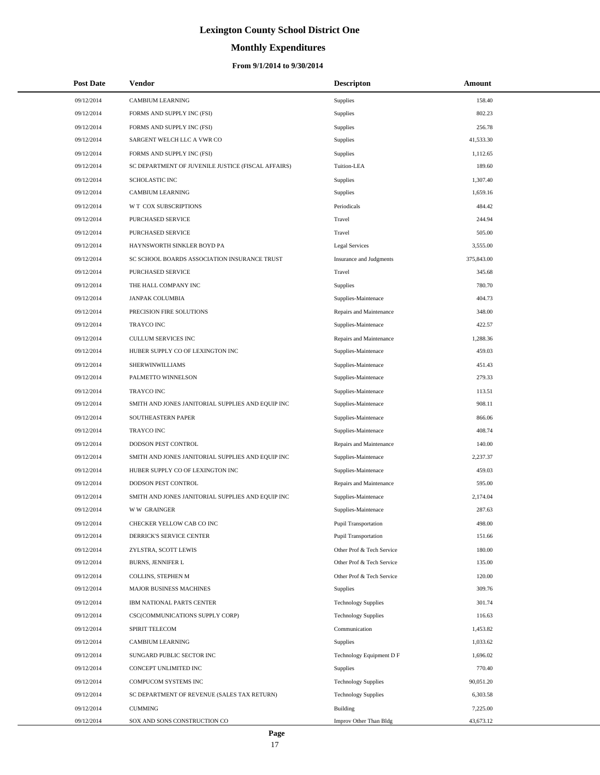# **Monthly Expenditures**

#### **From 9/1/2014 to 9/30/2014**

| <b>Post Date</b> | Vendor                                             | <b>Descripton</b>          | Amount     |
|------------------|----------------------------------------------------|----------------------------|------------|
| 09/12/2014       | CAMBIUM LEARNING                                   | <b>Supplies</b>            | 158.40     |
| 09/12/2014       | FORMS AND SUPPLY INC (FSI)                         | Supplies                   | 802.23     |
| 09/12/2014       | FORMS AND SUPPLY INC (FSI)                         | <b>Supplies</b>            | 256.78     |
| 09/12/2014       | SARGENT WELCH LLC A VWR CO                         | Supplies                   | 41,533.30  |
| 09/12/2014       | FORMS AND SUPPLY INC (FSI)                         | <b>Supplies</b>            | 1,112.65   |
| 09/12/2014       | SC DEPARTMENT OF JUVENILE JUSTICE (FISCAL AFFAIRS) | Tuition-LEA                | 189.60     |
| 09/12/2014       | <b>SCHOLASTIC INC</b>                              | Supplies                   | 1,307.40   |
| 09/12/2014       | <b>CAMBIUM LEARNING</b>                            | Supplies                   | 1,659.16   |
| 09/12/2014       | W T COX SUBSCRIPTIONS                              | Periodicals                | 484.42     |
| 09/12/2014       | PURCHASED SERVICE                                  | Travel                     | 244.94     |
| 09/12/2014       | PURCHASED SERVICE                                  | Travel                     | 505.00     |
| 09/12/2014       | HAYNSWORTH SINKLER BOYD PA                         | Legal Services             | 3,555.00   |
| 09/12/2014       | SC SCHOOL BOARDS ASSOCIATION INSURANCE TRUST       | Insurance and Judgments    | 375,843.00 |
| 09/12/2014       | PURCHASED SERVICE                                  | Travel                     | 345.68     |
| 09/12/2014       | THE HALL COMPANY INC                               | <b>Supplies</b>            | 780.70     |
| 09/12/2014       | <b>JANPAK COLUMBIA</b>                             | Supplies-Maintenace        | 404.73     |
| 09/12/2014       | PRECISION FIRE SOLUTIONS                           | Repairs and Maintenance    | 348.00     |
| 09/12/2014       | TRAYCO INC                                         | Supplies-Maintenace        | 422.57     |
| 09/12/2014       | <b>CULLUM SERVICES INC</b>                         | Repairs and Maintenance    | 1,288.36   |
| 09/12/2014       | HUBER SUPPLY CO OF LEXINGTON INC                   | Supplies-Maintenace        | 459.03     |
| 09/12/2014       | SHERWINWILLIAMS                                    | Supplies-Maintenace        | 451.43     |
| 09/12/2014       | PALMETTO WINNELSON                                 | Supplies-Maintenace        | 279.33     |
| 09/12/2014       | <b>TRAYCO INC</b>                                  | Supplies-Maintenace        | 113.51     |
| 09/12/2014       | SMITH AND JONES JANITORIAL SUPPLIES AND EQUIP INC  | Supplies-Maintenace        | 908.11     |
| 09/12/2014       | SOUTHEASTERN PAPER                                 | Supplies-Maintenace        | 866.06     |
| 09/12/2014       | TRAYCO INC                                         | Supplies-Maintenace        | 408.74     |
| 09/12/2014       | DODSON PEST CONTROL                                | Repairs and Maintenance    | 140.00     |
| 09/12/2014       | SMITH AND JONES JANITORIAL SUPPLIES AND EQUIP INC  | Supplies-Maintenace        | 2,237.37   |
| 09/12/2014       | HUBER SUPPLY CO OF LEXINGTON INC                   | Supplies-Maintenace        | 459.03     |
| 09/12/2014       | DODSON PEST CONTROL                                | Repairs and Maintenance    | 595.00     |
| 09/12/2014       | SMITH AND JONES JANITORIAL SUPPLIES AND EQUIP INC  | Supplies-Maintenace        | 2,174.04   |
| 09/12/2014       | <b>WW GRAINGER</b>                                 | Supplies-Maintenace        | 287.63     |
| 09/12/2014       | CHECKER YELLOW CAB CO INC                          | Pupil Transportation       | 498.00     |
| 09/12/2014       | DERRICK'S SERVICE CENTER                           | Pupil Transportation       | 151.66     |
| 09/12/2014       | ZYLSTRA, SCOTT LEWIS                               | Other Prof & Tech Service  | 180.00     |
| 09/12/2014       | <b>BURNS, JENNIFER L</b>                           | Other Prof & Tech Service  | 135.00     |
| 09/12/2014       | COLLINS, STEPHEN M                                 | Other Prof & Tech Service  | 120.00     |
| 09/12/2014       | MAJOR BUSINESS MACHINES                            | Supplies                   | 309.76     |
| 09/12/2014       | IBM NATIONAL PARTS CENTER                          | <b>Technology Supplies</b> | 301.74     |
| 09/12/2014       | CSC(COMMUNICATIONS SUPPLY CORP)                    | <b>Technology Supplies</b> | 116.63     |
| 09/12/2014       | SPIRIT TELECOM                                     | Communication              | 1,453.82   |
| 09/12/2014       | CAMBIUM LEARNING                                   | Supplies                   | 1,033.62   |
| 09/12/2014       | SUNGARD PUBLIC SECTOR INC                          | Technology Equipment D F   | 1,696.02   |
| 09/12/2014       | CONCEPT UNLIMITED INC                              | Supplies                   | 770.40     |
| 09/12/2014       | COMPUCOM SYSTEMS INC                               | <b>Technology Supplies</b> | 90,051.20  |
| 09/12/2014       | SC DEPARTMENT OF REVENUE (SALES TAX RETURN)        | <b>Technology Supplies</b> | 6,303.58   |
| 09/12/2014       | <b>CUMMING</b>                                     | Building                   | 7,225.00   |
| 09/12/2014       | SOX AND SONS CONSTRUCTION CO                       | Improv Other Than Bldg     | 43,673.12  |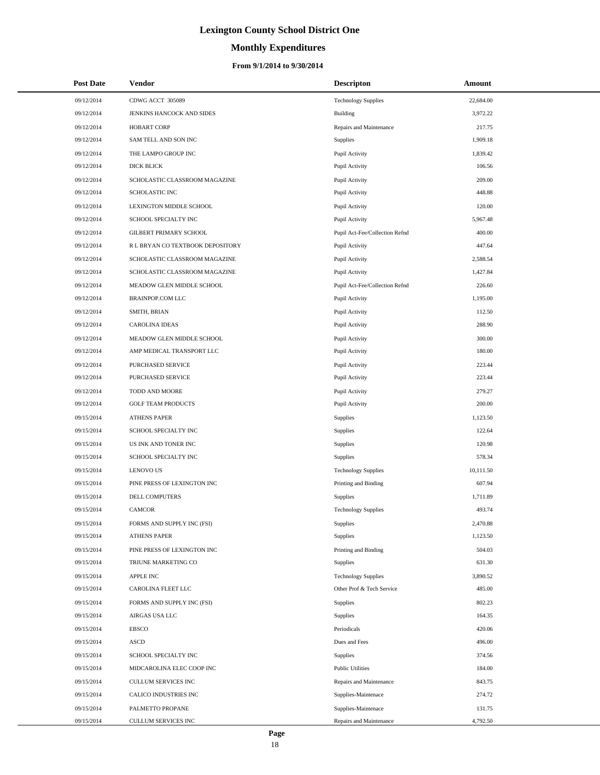# **Monthly Expenditures**

#### **From 9/1/2014 to 9/30/2014**

| <b>Post Date</b> | Vendor                           | <b>Descripton</b>              | Amount    |
|------------------|----------------------------------|--------------------------------|-----------|
| 09/12/2014       | CDWG ACCT 305089                 | <b>Technology Supplies</b>     | 22,684.00 |
| 09/12/2014       | JENKINS HANCOCK AND SIDES        | Building                       | 3,972.22  |
| 09/12/2014       | <b>HOBART CORP</b>               | Repairs and Maintenance        | 217.75    |
| 09/12/2014       | SAM TELL AND SON INC             | Supplies                       | 1,909.18  |
| 09/12/2014       | THE LAMPO GROUP INC              | Pupil Activity                 | 1,839.42  |
| 09/12/2014       | DICK BLICK                       | Pupil Activity                 | 106.56    |
| 09/12/2014       | SCHOLASTIC CLASSROOM MAGAZINE    | Pupil Activity                 | 209.00    |
| 09/12/2014       | SCHOLASTIC INC                   | Pupil Activity                 | 448.88    |
| 09/12/2014       | LEXINGTON MIDDLE SCHOOL          | Pupil Activity                 | 120.00    |
| 09/12/2014       | SCHOOL SPECIALTY INC             | Pupil Activity                 | 5,967.48  |
| 09/12/2014       | GILBERT PRIMARY SCHOOL           | Pupil Act-Fee/Collection Refnd | 400.00    |
| 09/12/2014       | R L BRYAN CO TEXTBOOK DEPOSITORY | Pupil Activity                 | 447.64    |
| 09/12/2014       | SCHOLASTIC CLASSROOM MAGAZINE    | Pupil Activity                 | 2,588.54  |
| 09/12/2014       | SCHOLASTIC CLASSROOM MAGAZINE    | Pupil Activity                 | 1,427.84  |
| 09/12/2014       | MEADOW GLEN MIDDLE SCHOOL        | Pupil Act-Fee/Collection Refnd | 226.60    |
| 09/12/2014       | <b>BRAINPOP.COM LLC</b>          | Pupil Activity                 | 1,195.00  |
| 09/12/2014       | SMITH, BRIAN                     | Pupil Activity                 | 112.50    |
| 09/12/2014       | <b>CAROLINA IDEAS</b>            | Pupil Activity                 | 288.90    |
| 09/12/2014       | MEADOW GLEN MIDDLE SCHOOL        | Pupil Activity                 | 300.00    |
| 09/12/2014       | AMP MEDICAL TRANSPORT LLC        | Pupil Activity                 | 180.00    |
| 09/12/2014       | PURCHASED SERVICE                | Pupil Activity                 | 223.44    |
| 09/12/2014       | PURCHASED SERVICE                | Pupil Activity                 | 223.44    |
| 09/12/2014       | TODD AND MOORE                   | Pupil Activity                 | 279.27    |
| 09/12/2014       | <b>GOLF TEAM PRODUCTS</b>        | Pupil Activity                 | 200.00    |
| 09/15/2014       | <b>ATHENS PAPER</b>              | Supplies                       | 1,123.50  |
| 09/15/2014       | SCHOOL SPECIALTY INC             | Supplies                       | 122.64    |
| 09/15/2014       | US INK AND TONER INC             | Supplies                       | 120.98    |
| 09/15/2014       | SCHOOL SPECIALTY INC             | Supplies                       | 578.34    |
| 09/15/2014       | <b>LENOVO US</b>                 | <b>Technology Supplies</b>     | 10,111.50 |
| 09/15/2014       | PINE PRESS OF LEXINGTON INC      | Printing and Binding           | 607.94    |
| 09/15/2014       | DELL COMPUTERS                   | Supplies                       | 1,711.89  |
| 09/15/2014       | <b>CAMCOR</b>                    | <b>Technology Supplies</b>     | 493.74    |
| 09/15/2014       | FORMS AND SUPPLY INC (FSI)       | Supplies                       | 2,470.88  |
| 09/15/2014       | <b>ATHENS PAPER</b>              | Supplies                       | 1,123.50  |
| 09/15/2014       | PINE PRESS OF LEXINGTON INC      | Printing and Binding           | 504.03    |
| 09/15/2014       | TRIUNE MARKETING CO              | Supplies                       | 631.30    |
| 09/15/2014       | <b>APPLE INC</b>                 | <b>Technology Supplies</b>     | 3,890.52  |
| 09/15/2014       | CAROLINA FLEET LLC               | Other Prof & Tech Service      | 485.00    |
| 09/15/2014       | FORMS AND SUPPLY INC (FSI)       | Supplies                       | 802.23    |
| 09/15/2014       | AIRGAS USA LLC                   | Supplies                       | 164.35    |
| 09/15/2014       | <b>EBSCO</b>                     | Periodicals                    | 420.06    |
| 09/15/2014       | <b>ASCD</b>                      | Dues and Fees                  | 496.00    |
| 09/15/2014       | SCHOOL SPECIALTY INC             | Supplies                       | 374.56    |
| 09/15/2014       | MIDCAROLINA ELEC COOP INC        | <b>Public Utilities</b>        | 184.00    |
| 09/15/2014       | CULLUM SERVICES INC              | Repairs and Maintenance        | 843.75    |
| 09/15/2014       | CALICO INDUSTRIES INC            | Supplies-Maintenace            | 274.72    |
| 09/15/2014       | PALMETTO PROPANE                 | Supplies-Maintenace            | 131.75    |
| 09/15/2014       | CULLUM SERVICES INC              | Repairs and Maintenance        | 4,792.50  |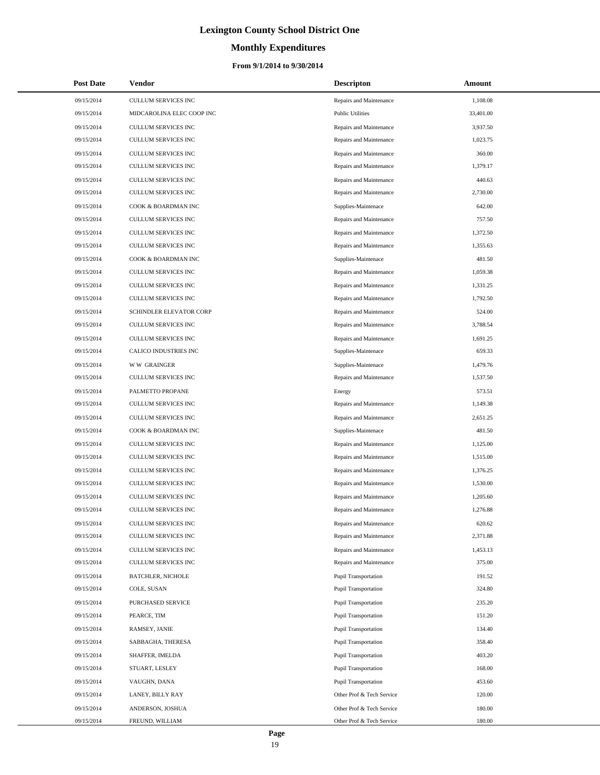# **Monthly Expenditures**

| <b>Post Date</b>         | <b>Vendor</b>                           | <b>Descripton</b>                                          | Amount           |
|--------------------------|-----------------------------------------|------------------------------------------------------------|------------------|
| 09/15/2014               | CULLUM SERVICES INC                     | Repairs and Maintenance                                    | 1,108.08         |
| 09/15/2014               | MIDCAROLINA ELEC COOP INC               | <b>Public Utilities</b>                                    | 33,401.00        |
| 09/15/2014               | CULLUM SERVICES INC                     | Repairs and Maintenance                                    | 3,937.50         |
| 09/15/2014               | CULLUM SERVICES INC                     | Repairs and Maintenance                                    | 1,023.75         |
| 09/15/2014               | <b>CULLUM SERVICES INC</b>              | Repairs and Maintenance                                    | 360.00           |
| 09/15/2014               | CULLUM SERVICES INC                     | Repairs and Maintenance                                    | 1,379.17         |
| 09/15/2014               | CULLUM SERVICES INC                     | Repairs and Maintenance                                    | 440.63           |
| 09/15/2014               | CULLUM SERVICES INC                     | Repairs and Maintenance                                    | 2,730.00         |
| 09/15/2014               | COOK & BOARDMAN INC                     | Supplies-Maintenace                                        | 642.00           |
| 09/15/2014               | CULLUM SERVICES INC                     | Repairs and Maintenance                                    | 757.50           |
| 09/15/2014               | CULLUM SERVICES INC                     | Repairs and Maintenance                                    | 1,372.50         |
| 09/15/2014               | CULLUM SERVICES INC                     | Repairs and Maintenance                                    | 1,355.63         |
| 09/15/2014               | COOK & BOARDMAN INC                     | Supplies-Maintenace                                        | 481.50           |
| 09/15/2014               | CULLUM SERVICES INC                     | Repairs and Maintenance                                    | 1,059.38         |
| 09/15/2014               | CULLUM SERVICES INC                     | Repairs and Maintenance                                    | 1,331.25         |
| 09/15/2014               | CULLUM SERVICES INC                     | Repairs and Maintenance                                    | 1,792.50         |
| 09/15/2014               | SCHINDLER ELEVATOR CORP                 | Repairs and Maintenance                                    | 524.00           |
| 09/15/2014               | CULLUM SERVICES INC                     | Repairs and Maintenance                                    | 3,788.54         |
| 09/15/2014               | CULLUM SERVICES INC                     | Repairs and Maintenance                                    | 1,691.25         |
| 09/15/2014               | <b>CALICO INDUSTRIES INC</b>            | Supplies-Maintenace                                        | 659.33           |
| 09/15/2014               | <b>WW GRAINGER</b>                      | Supplies-Maintenace                                        | 1,479.76         |
| 09/15/2014               | CULLUM SERVICES INC                     | Repairs and Maintenance                                    | 1,537.50         |
| 09/15/2014               | PALMETTO PROPANE                        | Energy                                                     | 573.51           |
| 09/15/2014               | CULLUM SERVICES INC                     | Repairs and Maintenance                                    | 1,149.38         |
| 09/15/2014               | CULLUM SERVICES INC                     | Repairs and Maintenance                                    | 2,651.25         |
| 09/15/2014               | COOK & BOARDMAN INC                     | Supplies-Maintenace                                        | 481.50           |
| 09/15/2014               | CULLUM SERVICES INC                     | Repairs and Maintenance                                    | 1,125.00         |
| 09/15/2014               | CULLUM SERVICES INC                     | Repairs and Maintenance                                    | 1,515.00         |
| 09/15/2014               | <b>CULLUM SERVICES INC</b>              | Repairs and Maintenance                                    | 1,376.25         |
| 09/15/2014               | CULLUM SERVICES INC                     | Repairs and Maintenance                                    | 1,530.00         |
| 09/15/2014               | CULLUM SERVICES INC                     | Repairs and Maintenance                                    | 1,205.60         |
| 09/15/2014               | CULLUM SERVICES INC                     | Repairs and Maintenance                                    | 1,276.88         |
| 09/15/2014               | CULLUM SERVICES INC                     | Repairs and Maintenance                                    | 620.62           |
| 09/15/2014               | <b>CULLUM SERVICES INC</b>              | Repairs and Maintenance                                    | 2,371.88         |
| 09/15/2014               | <b>CULLUM SERVICES INC</b>              | Repairs and Maintenance                                    | 1,453.13         |
| 09/15/2014               | CULLUM SERVICES INC                     | Repairs and Maintenance                                    | 375.00           |
| 09/15/2014               | <b>BATCHLER, NICHOLE</b><br>COLE, SUSAN | <b>Pupil Transportation</b>                                | 191.52           |
| 09/15/2014               |                                         | <b>Pupil Transportation</b>                                | 324.80           |
| 09/15/2014<br>09/15/2014 | PURCHASED SERVICE                       | <b>Pupil Transportation</b>                                | 235.20<br>151.20 |
|                          | PEARCE, TIM                             | <b>Pupil Transportation</b>                                |                  |
| 09/15/2014<br>09/15/2014 | RAMSEY, JANIE                           | <b>Pupil Transportation</b>                                | 134.40<br>358.40 |
| 09/15/2014               | SABBAGHA, THERESA<br>SHAFFER, IMELDA    | <b>Pupil Transportation</b>                                | 403.20           |
| 09/15/2014               | STUART, LESLEY                          | <b>Pupil Transportation</b><br><b>Pupil Transportation</b> | 168.00           |
| 09/15/2014               | VAUGHN, DANA                            | <b>Pupil Transportation</b>                                | 453.60           |
| 09/15/2014               | LANEY, BILLY RAY                        | Other Prof & Tech Service                                  | 120.00           |
| 09/15/2014               | ANDERSON, JOSHUA                        | Other Prof & Tech Service                                  | 180.00           |
| 09/15/2014               | FREUND, WILLIAM                         | Other Prof & Tech Service                                  | 180.00           |
|                          |                                         |                                                            |                  |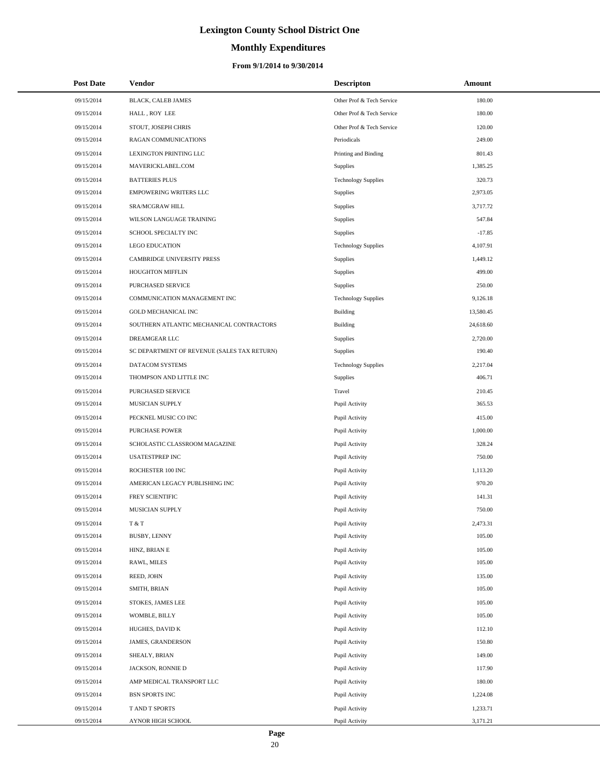# **Monthly Expenditures**

|            | <b>Post Date</b> | Vendor                                      | <b>Descripton</b>          | Amount    |
|------------|------------------|---------------------------------------------|----------------------------|-----------|
|            | 09/15/2014       | <b>BLACK, CALEB JAMES</b>                   | Other Prof & Tech Service  | 180.00    |
|            | 09/15/2014       | HALL, ROY LEE                               | Other Prof & Tech Service  | 180.00    |
|            | 09/15/2014       | STOUT, JOSEPH CHRIS                         | Other Prof & Tech Service  | 120.00    |
|            | 09/15/2014       | RAGAN COMMUNICATIONS                        | Periodicals                | 249.00    |
|            | 09/15/2014       | LEXINGTON PRINTING LLC                      | Printing and Binding       | 801.43    |
|            | 09/15/2014       | MAVERICKLABEL.COM                           | <b>Supplies</b>            | 1,385.25  |
|            | 09/15/2014       | <b>BATTERIES PLUS</b>                       | <b>Technology Supplies</b> | 320.73    |
|            | 09/15/2014       | <b>EMPOWERING WRITERS LLC</b>               | Supplies                   | 2,973.05  |
|            | 09/15/2014       | SRA/MCGRAW HILL                             | Supplies                   | 3,717.72  |
|            | 09/15/2014       | WILSON LANGUAGE TRAINING                    | <b>Supplies</b>            | 547.84    |
|            | 09/15/2014       | SCHOOL SPECIALTY INC                        | <b>Supplies</b>            | $-17.85$  |
|            | 09/15/2014       | <b>LEGO EDUCATION</b>                       | <b>Technology Supplies</b> | 4,107.91  |
|            | 09/15/2014       | CAMBRIDGE UNIVERSITY PRESS                  | <b>Supplies</b>            | 1,449.12  |
|            | 09/15/2014       | HOUGHTON MIFFLIN                            | Supplies                   | 499.00    |
|            | 09/15/2014       | PURCHASED SERVICE                           | <b>Supplies</b>            | 250.00    |
|            | 09/15/2014       | COMMUNICATION MANAGEMENT INC                | <b>Technology Supplies</b> | 9,126.18  |
|            | 09/15/2014       | <b>GOLD MECHANICAL INC</b>                  | <b>Building</b>            | 13,580.45 |
|            | 09/15/2014       | SOUTHERN ATLANTIC MECHANICAL CONTRACTORS    | Building                   | 24,618.60 |
|            | 09/15/2014       | DREAMGEAR LLC                               | Supplies                   | 2,720.00  |
|            | 09/15/2014       | SC DEPARTMENT OF REVENUE (SALES TAX RETURN) | <b>Supplies</b>            | 190.40    |
|            | 09/15/2014       | DATACOM SYSTEMS                             | <b>Technology Supplies</b> | 2,217.04  |
|            | 09/15/2014       | THOMPSON AND LITTLE INC                     | <b>Supplies</b>            | 406.71    |
|            | 09/15/2014       | PURCHASED SERVICE                           | Travel                     | 210.45    |
|            | 09/15/2014       | MUSICIAN SUPPLY                             | Pupil Activity             | 365.53    |
|            | 09/15/2014       | PECKNEL MUSIC CO INC                        | Pupil Activity             | 415.00    |
|            | 09/15/2014       | PURCHASE POWER                              | Pupil Activity             | 1,000.00  |
|            | 09/15/2014       | SCHOLASTIC CLASSROOM MAGAZINE               | Pupil Activity             | 328.24    |
|            | 09/15/2014       | <b>USATESTPREP INC</b>                      | Pupil Activity             | 750.00    |
|            | 09/15/2014       | ROCHESTER 100 INC                           | Pupil Activity             | 1,113.20  |
|            | 09/15/2014       | AMERICAN LEGACY PUBLISHING INC              | Pupil Activity             | 970.20    |
|            | 09/15/2014       | FREY SCIENTIFIC                             | Pupil Activity             | 141.31    |
| 09/15/2014 |                  | MUSICIAN SUPPLY                             | Pupil Activity             | 750.00    |
|            | 09/15/2014       | T & T                                       | Pupil Activity             | 2,473.31  |
|            | 09/15/2014       | <b>BUSBY, LENNY</b>                         | Pupil Activity             | 105.00    |
|            | 09/15/2014       | HINZ, BRIAN E                               | Pupil Activity             | 105.00    |
|            | 09/15/2014       | RAWL, MILES                                 | Pupil Activity             | 105.00    |
|            | 09/15/2014       | REED, JOHN                                  | Pupil Activity             | 135.00    |
|            | 09/15/2014       | SMITH, BRIAN                                | Pupil Activity             | 105.00    |
|            | 09/15/2014       | STOKES, JAMES LEE                           | Pupil Activity             | 105.00    |
|            | 09/15/2014       | WOMBLE, BILLY                               | Pupil Activity             | 105.00    |
|            | 09/15/2014       | HUGHES, DAVID K                             | Pupil Activity             | 112.10    |
|            | 09/15/2014       | JAMES, GRANDERSON                           | Pupil Activity             | 150.80    |
|            | 09/15/2014       | SHEALY, BRIAN                               | Pupil Activity             | 149.00    |
|            | 09/15/2014       | JACKSON, RONNIE D                           | Pupil Activity             | 117.90    |
|            | 09/15/2014       | AMP MEDICAL TRANSPORT LLC                   | Pupil Activity             | 180.00    |
|            | 09/15/2014       | <b>BSN SPORTS INC</b>                       | Pupil Activity             | 1,224.08  |
|            | 09/15/2014       | T AND T SPORTS                              | Pupil Activity             | 1,233.71  |
|            | 09/15/2014       | AYNOR HIGH SCHOOL                           | Pupil Activity             | 3,171.21  |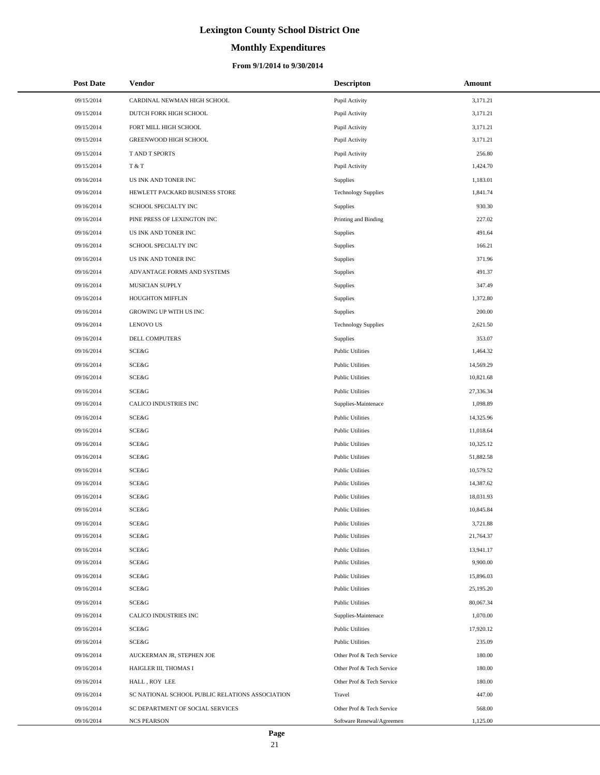# **Monthly Expenditures**

#### **From 9/1/2014 to 9/30/2014**

| 3,171.21<br>09/15/2014<br>CARDINAL NEWMAN HIGH SCHOOL<br>Pupil Activity<br>09/15/2014<br>DUTCH FORK HIGH SCHOOL<br>Pupil Activity<br>3,171.21<br>09/15/2014<br>FORT MILL HIGH SCHOOL<br>Pupil Activity<br>3,171.21<br>09/15/2014<br>GREENWOOD HIGH SCHOOL<br>Pupil Activity<br>3,171.21<br>09/15/2014<br>T AND T SPORTS<br>Pupil Activity<br>256.80<br>T & T<br>1,424.70<br>09/15/2014<br>Pupil Activity<br>1,183.01<br>09/16/2014<br>US INK AND TONER INC<br>Supplies<br>1,841.74<br>09/16/2014<br>HEWLETT PACKARD BUSINESS STORE<br><b>Technology Supplies</b><br>09/16/2014<br>SCHOOL SPECIALTY INC<br>Supplies<br>930.30<br>227.02<br>09/16/2014<br>PINE PRESS OF LEXINGTON INC<br>Printing and Binding<br>09/16/2014<br>US INK AND TONER INC<br>Supplies<br>491.64<br>166.21<br>09/16/2014<br>SCHOOL SPECIALTY INC<br>Supplies<br>371.96<br>09/16/2014<br>US INK AND TONER INC<br>Supplies<br>491.37<br>09/16/2014<br>ADVANTAGE FORMS AND SYSTEMS<br>Supplies<br>347.49<br>09/16/2014<br>MUSICIAN SUPPLY<br>Supplies<br>1,372.80<br>09/16/2014<br>HOUGHTON MIFFLIN<br>Supplies<br>200.00<br>09/16/2014<br>GROWING UP WITH US INC<br>Supplies<br>09/16/2014<br><b>LENOVO US</b><br><b>Technology Supplies</b><br>2,621.50<br>353.07<br>09/16/2014<br><b>DELL COMPUTERS</b><br>Supplies<br><b>SCE&amp;G</b><br>1,464.32<br>09/16/2014<br><b>Public Utilities</b><br>09/16/2014<br>SCE&G<br><b>Public Utilities</b><br>14,569.29<br><b>SCE&amp;G</b><br>09/16/2014<br><b>Public Utilities</b><br>10,821.68<br><b>SCE&amp;G</b><br>09/16/2014<br><b>Public Utilities</b><br>27,336.34<br>CALICO INDUSTRIES INC<br>1,098.89<br>09/16/2014<br>Supplies-Maintenace<br>09/16/2014<br>SCE&G<br><b>Public Utilities</b><br>14,325.96<br>09/16/2014<br>SCE&G<br><b>Public Utilities</b><br>11,018.64<br><b>SCE&amp;G</b><br>09/16/2014<br><b>Public Utilities</b><br>10,325.12<br><b>SCE&amp;G</b><br>09/16/2014<br><b>Public Utilities</b><br>51,882.58<br><b>SCE&amp;G</b><br>09/16/2014<br><b>Public Utilities</b><br>10,579.52<br><b>SCE&amp;G</b><br>09/16/2014<br><b>Public Utilities</b><br>14,387.62<br>09/16/2014<br>SCE&G<br><b>Public Utilities</b><br>18,031.93<br>SCE&G<br>09/16/2014<br><b>Public Utilities</b><br>10,845.84<br>SCE&G<br>09/16/2014<br><b>Public Utilities</b><br>3,721.88<br><b>SCE&amp;G</b><br>21,764.37<br>09/16/2014<br><b>Public Utilities</b><br><b>SCE&amp;G</b><br>09/16/2014<br><b>Public Utilities</b><br>13,941.17<br><b>SCE&amp;G</b><br>9,900.00<br>09/16/2014<br><b>Public Utilities</b><br>09/16/2014<br>SCE&G<br><b>Public Utilities</b><br>15,896.03<br>09/16/2014<br>SCE&G<br><b>Public Utilities</b><br>25,195.20<br>09/16/2014<br>SCE&G<br><b>Public Utilities</b><br>80,067.34<br>CALICO INDUSTRIES INC<br>1,070.00<br>09/16/2014<br>Supplies-Maintenace<br>09/16/2014<br>SCE&G<br><b>Public Utilities</b><br>17,920.12<br>09/16/2014<br>SCE&G<br><b>Public Utilities</b><br>235.09<br>09/16/2014<br>AUCKERMAN JR, STEPHEN JOE<br>Other Prof & Tech Service<br>180.00<br>180.00<br>09/16/2014<br>HAIGLER III, THOMAS I<br>Other Prof & Tech Service<br>09/16/2014<br>HALL, ROY LEE<br>Other Prof & Tech Service<br>180.00<br>09/16/2014<br>SC NATIONAL SCHOOL PUBLIC RELATIONS ASSOCIATION<br>447.00<br>Travel<br>09/16/2014<br>SC DEPARTMENT OF SOCIAL SERVICES<br>Other Prof & Tech Service<br>568.00<br>09/16/2014<br><b>NCS PEARSON</b><br>1,125.00<br>Software Renewal/Agreemen | <b>Post Date</b> | Vendor | <b>Descripton</b> | Amount |
|------------------------------------------------------------------------------------------------------------------------------------------------------------------------------------------------------------------------------------------------------------------------------------------------------------------------------------------------------------------------------------------------------------------------------------------------------------------------------------------------------------------------------------------------------------------------------------------------------------------------------------------------------------------------------------------------------------------------------------------------------------------------------------------------------------------------------------------------------------------------------------------------------------------------------------------------------------------------------------------------------------------------------------------------------------------------------------------------------------------------------------------------------------------------------------------------------------------------------------------------------------------------------------------------------------------------------------------------------------------------------------------------------------------------------------------------------------------------------------------------------------------------------------------------------------------------------------------------------------------------------------------------------------------------------------------------------------------------------------------------------------------------------------------------------------------------------------------------------------------------------------------------------------------------------------------------------------------------------------------------------------------------------------------------------------------------------------------------------------------------------------------------------------------------------------------------------------------------------------------------------------------------------------------------------------------------------------------------------------------------------------------------------------------------------------------------------------------------------------------------------------------------------------------------------------------------------------------------------------------------------------------------------------------------------------------------------------------------------------------------------------------------------------------------------------------------------------------------------------------------------------------------------------------------------------------------------------------------------------------------------------------------------------------------------------------------------------------------------------------------------------------------------------------------------------------------------------------------------------------------------------------------------------------------------------------------------------------------------------------------------------------------------------------------------------|------------------|--------|-------------------|--------|
|                                                                                                                                                                                                                                                                                                                                                                                                                                                                                                                                                                                                                                                                                                                                                                                                                                                                                                                                                                                                                                                                                                                                                                                                                                                                                                                                                                                                                                                                                                                                                                                                                                                                                                                                                                                                                                                                                                                                                                                                                                                                                                                                                                                                                                                                                                                                                                                                                                                                                                                                                                                                                                                                                                                                                                                                                                                                                                                                                                                                                                                                                                                                                                                                                                                                                                                                                                                                                                    |                  |        |                   |        |
|                                                                                                                                                                                                                                                                                                                                                                                                                                                                                                                                                                                                                                                                                                                                                                                                                                                                                                                                                                                                                                                                                                                                                                                                                                                                                                                                                                                                                                                                                                                                                                                                                                                                                                                                                                                                                                                                                                                                                                                                                                                                                                                                                                                                                                                                                                                                                                                                                                                                                                                                                                                                                                                                                                                                                                                                                                                                                                                                                                                                                                                                                                                                                                                                                                                                                                                                                                                                                                    |                  |        |                   |        |
|                                                                                                                                                                                                                                                                                                                                                                                                                                                                                                                                                                                                                                                                                                                                                                                                                                                                                                                                                                                                                                                                                                                                                                                                                                                                                                                                                                                                                                                                                                                                                                                                                                                                                                                                                                                                                                                                                                                                                                                                                                                                                                                                                                                                                                                                                                                                                                                                                                                                                                                                                                                                                                                                                                                                                                                                                                                                                                                                                                                                                                                                                                                                                                                                                                                                                                                                                                                                                                    |                  |        |                   |        |
|                                                                                                                                                                                                                                                                                                                                                                                                                                                                                                                                                                                                                                                                                                                                                                                                                                                                                                                                                                                                                                                                                                                                                                                                                                                                                                                                                                                                                                                                                                                                                                                                                                                                                                                                                                                                                                                                                                                                                                                                                                                                                                                                                                                                                                                                                                                                                                                                                                                                                                                                                                                                                                                                                                                                                                                                                                                                                                                                                                                                                                                                                                                                                                                                                                                                                                                                                                                                                                    |                  |        |                   |        |
|                                                                                                                                                                                                                                                                                                                                                                                                                                                                                                                                                                                                                                                                                                                                                                                                                                                                                                                                                                                                                                                                                                                                                                                                                                                                                                                                                                                                                                                                                                                                                                                                                                                                                                                                                                                                                                                                                                                                                                                                                                                                                                                                                                                                                                                                                                                                                                                                                                                                                                                                                                                                                                                                                                                                                                                                                                                                                                                                                                                                                                                                                                                                                                                                                                                                                                                                                                                                                                    |                  |        |                   |        |
|                                                                                                                                                                                                                                                                                                                                                                                                                                                                                                                                                                                                                                                                                                                                                                                                                                                                                                                                                                                                                                                                                                                                                                                                                                                                                                                                                                                                                                                                                                                                                                                                                                                                                                                                                                                                                                                                                                                                                                                                                                                                                                                                                                                                                                                                                                                                                                                                                                                                                                                                                                                                                                                                                                                                                                                                                                                                                                                                                                                                                                                                                                                                                                                                                                                                                                                                                                                                                                    |                  |        |                   |        |
|                                                                                                                                                                                                                                                                                                                                                                                                                                                                                                                                                                                                                                                                                                                                                                                                                                                                                                                                                                                                                                                                                                                                                                                                                                                                                                                                                                                                                                                                                                                                                                                                                                                                                                                                                                                                                                                                                                                                                                                                                                                                                                                                                                                                                                                                                                                                                                                                                                                                                                                                                                                                                                                                                                                                                                                                                                                                                                                                                                                                                                                                                                                                                                                                                                                                                                                                                                                                                                    |                  |        |                   |        |
|                                                                                                                                                                                                                                                                                                                                                                                                                                                                                                                                                                                                                                                                                                                                                                                                                                                                                                                                                                                                                                                                                                                                                                                                                                                                                                                                                                                                                                                                                                                                                                                                                                                                                                                                                                                                                                                                                                                                                                                                                                                                                                                                                                                                                                                                                                                                                                                                                                                                                                                                                                                                                                                                                                                                                                                                                                                                                                                                                                                                                                                                                                                                                                                                                                                                                                                                                                                                                                    |                  |        |                   |        |
|                                                                                                                                                                                                                                                                                                                                                                                                                                                                                                                                                                                                                                                                                                                                                                                                                                                                                                                                                                                                                                                                                                                                                                                                                                                                                                                                                                                                                                                                                                                                                                                                                                                                                                                                                                                                                                                                                                                                                                                                                                                                                                                                                                                                                                                                                                                                                                                                                                                                                                                                                                                                                                                                                                                                                                                                                                                                                                                                                                                                                                                                                                                                                                                                                                                                                                                                                                                                                                    |                  |        |                   |        |
|                                                                                                                                                                                                                                                                                                                                                                                                                                                                                                                                                                                                                                                                                                                                                                                                                                                                                                                                                                                                                                                                                                                                                                                                                                                                                                                                                                                                                                                                                                                                                                                                                                                                                                                                                                                                                                                                                                                                                                                                                                                                                                                                                                                                                                                                                                                                                                                                                                                                                                                                                                                                                                                                                                                                                                                                                                                                                                                                                                                                                                                                                                                                                                                                                                                                                                                                                                                                                                    |                  |        |                   |        |
|                                                                                                                                                                                                                                                                                                                                                                                                                                                                                                                                                                                                                                                                                                                                                                                                                                                                                                                                                                                                                                                                                                                                                                                                                                                                                                                                                                                                                                                                                                                                                                                                                                                                                                                                                                                                                                                                                                                                                                                                                                                                                                                                                                                                                                                                                                                                                                                                                                                                                                                                                                                                                                                                                                                                                                                                                                                                                                                                                                                                                                                                                                                                                                                                                                                                                                                                                                                                                                    |                  |        |                   |        |
|                                                                                                                                                                                                                                                                                                                                                                                                                                                                                                                                                                                                                                                                                                                                                                                                                                                                                                                                                                                                                                                                                                                                                                                                                                                                                                                                                                                                                                                                                                                                                                                                                                                                                                                                                                                                                                                                                                                                                                                                                                                                                                                                                                                                                                                                                                                                                                                                                                                                                                                                                                                                                                                                                                                                                                                                                                                                                                                                                                                                                                                                                                                                                                                                                                                                                                                                                                                                                                    |                  |        |                   |        |
|                                                                                                                                                                                                                                                                                                                                                                                                                                                                                                                                                                                                                                                                                                                                                                                                                                                                                                                                                                                                                                                                                                                                                                                                                                                                                                                                                                                                                                                                                                                                                                                                                                                                                                                                                                                                                                                                                                                                                                                                                                                                                                                                                                                                                                                                                                                                                                                                                                                                                                                                                                                                                                                                                                                                                                                                                                                                                                                                                                                                                                                                                                                                                                                                                                                                                                                                                                                                                                    |                  |        |                   |        |
|                                                                                                                                                                                                                                                                                                                                                                                                                                                                                                                                                                                                                                                                                                                                                                                                                                                                                                                                                                                                                                                                                                                                                                                                                                                                                                                                                                                                                                                                                                                                                                                                                                                                                                                                                                                                                                                                                                                                                                                                                                                                                                                                                                                                                                                                                                                                                                                                                                                                                                                                                                                                                                                                                                                                                                                                                                                                                                                                                                                                                                                                                                                                                                                                                                                                                                                                                                                                                                    |                  |        |                   |        |
|                                                                                                                                                                                                                                                                                                                                                                                                                                                                                                                                                                                                                                                                                                                                                                                                                                                                                                                                                                                                                                                                                                                                                                                                                                                                                                                                                                                                                                                                                                                                                                                                                                                                                                                                                                                                                                                                                                                                                                                                                                                                                                                                                                                                                                                                                                                                                                                                                                                                                                                                                                                                                                                                                                                                                                                                                                                                                                                                                                                                                                                                                                                                                                                                                                                                                                                                                                                                                                    |                  |        |                   |        |
|                                                                                                                                                                                                                                                                                                                                                                                                                                                                                                                                                                                                                                                                                                                                                                                                                                                                                                                                                                                                                                                                                                                                                                                                                                                                                                                                                                                                                                                                                                                                                                                                                                                                                                                                                                                                                                                                                                                                                                                                                                                                                                                                                                                                                                                                                                                                                                                                                                                                                                                                                                                                                                                                                                                                                                                                                                                                                                                                                                                                                                                                                                                                                                                                                                                                                                                                                                                                                                    |                  |        |                   |        |
|                                                                                                                                                                                                                                                                                                                                                                                                                                                                                                                                                                                                                                                                                                                                                                                                                                                                                                                                                                                                                                                                                                                                                                                                                                                                                                                                                                                                                                                                                                                                                                                                                                                                                                                                                                                                                                                                                                                                                                                                                                                                                                                                                                                                                                                                                                                                                                                                                                                                                                                                                                                                                                                                                                                                                                                                                                                                                                                                                                                                                                                                                                                                                                                                                                                                                                                                                                                                                                    |                  |        |                   |        |
|                                                                                                                                                                                                                                                                                                                                                                                                                                                                                                                                                                                                                                                                                                                                                                                                                                                                                                                                                                                                                                                                                                                                                                                                                                                                                                                                                                                                                                                                                                                                                                                                                                                                                                                                                                                                                                                                                                                                                                                                                                                                                                                                                                                                                                                                                                                                                                                                                                                                                                                                                                                                                                                                                                                                                                                                                                                                                                                                                                                                                                                                                                                                                                                                                                                                                                                                                                                                                                    |                  |        |                   |        |
|                                                                                                                                                                                                                                                                                                                                                                                                                                                                                                                                                                                                                                                                                                                                                                                                                                                                                                                                                                                                                                                                                                                                                                                                                                                                                                                                                                                                                                                                                                                                                                                                                                                                                                                                                                                                                                                                                                                                                                                                                                                                                                                                                                                                                                                                                                                                                                                                                                                                                                                                                                                                                                                                                                                                                                                                                                                                                                                                                                                                                                                                                                                                                                                                                                                                                                                                                                                                                                    |                  |        |                   |        |
|                                                                                                                                                                                                                                                                                                                                                                                                                                                                                                                                                                                                                                                                                                                                                                                                                                                                                                                                                                                                                                                                                                                                                                                                                                                                                                                                                                                                                                                                                                                                                                                                                                                                                                                                                                                                                                                                                                                                                                                                                                                                                                                                                                                                                                                                                                                                                                                                                                                                                                                                                                                                                                                                                                                                                                                                                                                                                                                                                                                                                                                                                                                                                                                                                                                                                                                                                                                                                                    |                  |        |                   |        |
|                                                                                                                                                                                                                                                                                                                                                                                                                                                                                                                                                                                                                                                                                                                                                                                                                                                                                                                                                                                                                                                                                                                                                                                                                                                                                                                                                                                                                                                                                                                                                                                                                                                                                                                                                                                                                                                                                                                                                                                                                                                                                                                                                                                                                                                                                                                                                                                                                                                                                                                                                                                                                                                                                                                                                                                                                                                                                                                                                                                                                                                                                                                                                                                                                                                                                                                                                                                                                                    |                  |        |                   |        |
|                                                                                                                                                                                                                                                                                                                                                                                                                                                                                                                                                                                                                                                                                                                                                                                                                                                                                                                                                                                                                                                                                                                                                                                                                                                                                                                                                                                                                                                                                                                                                                                                                                                                                                                                                                                                                                                                                                                                                                                                                                                                                                                                                                                                                                                                                                                                                                                                                                                                                                                                                                                                                                                                                                                                                                                                                                                                                                                                                                                                                                                                                                                                                                                                                                                                                                                                                                                                                                    |                  |        |                   |        |
|                                                                                                                                                                                                                                                                                                                                                                                                                                                                                                                                                                                                                                                                                                                                                                                                                                                                                                                                                                                                                                                                                                                                                                                                                                                                                                                                                                                                                                                                                                                                                                                                                                                                                                                                                                                                                                                                                                                                                                                                                                                                                                                                                                                                                                                                                                                                                                                                                                                                                                                                                                                                                                                                                                                                                                                                                                                                                                                                                                                                                                                                                                                                                                                                                                                                                                                                                                                                                                    |                  |        |                   |        |
|                                                                                                                                                                                                                                                                                                                                                                                                                                                                                                                                                                                                                                                                                                                                                                                                                                                                                                                                                                                                                                                                                                                                                                                                                                                                                                                                                                                                                                                                                                                                                                                                                                                                                                                                                                                                                                                                                                                                                                                                                                                                                                                                                                                                                                                                                                                                                                                                                                                                                                                                                                                                                                                                                                                                                                                                                                                                                                                                                                                                                                                                                                                                                                                                                                                                                                                                                                                                                                    |                  |        |                   |        |
|                                                                                                                                                                                                                                                                                                                                                                                                                                                                                                                                                                                                                                                                                                                                                                                                                                                                                                                                                                                                                                                                                                                                                                                                                                                                                                                                                                                                                                                                                                                                                                                                                                                                                                                                                                                                                                                                                                                                                                                                                                                                                                                                                                                                                                                                                                                                                                                                                                                                                                                                                                                                                                                                                                                                                                                                                                                                                                                                                                                                                                                                                                                                                                                                                                                                                                                                                                                                                                    |                  |        |                   |        |
|                                                                                                                                                                                                                                                                                                                                                                                                                                                                                                                                                                                                                                                                                                                                                                                                                                                                                                                                                                                                                                                                                                                                                                                                                                                                                                                                                                                                                                                                                                                                                                                                                                                                                                                                                                                                                                                                                                                                                                                                                                                                                                                                                                                                                                                                                                                                                                                                                                                                                                                                                                                                                                                                                                                                                                                                                                                                                                                                                                                                                                                                                                                                                                                                                                                                                                                                                                                                                                    |                  |        |                   |        |
|                                                                                                                                                                                                                                                                                                                                                                                                                                                                                                                                                                                                                                                                                                                                                                                                                                                                                                                                                                                                                                                                                                                                                                                                                                                                                                                                                                                                                                                                                                                                                                                                                                                                                                                                                                                                                                                                                                                                                                                                                                                                                                                                                                                                                                                                                                                                                                                                                                                                                                                                                                                                                                                                                                                                                                                                                                                                                                                                                                                                                                                                                                                                                                                                                                                                                                                                                                                                                                    |                  |        |                   |        |
|                                                                                                                                                                                                                                                                                                                                                                                                                                                                                                                                                                                                                                                                                                                                                                                                                                                                                                                                                                                                                                                                                                                                                                                                                                                                                                                                                                                                                                                                                                                                                                                                                                                                                                                                                                                                                                                                                                                                                                                                                                                                                                                                                                                                                                                                                                                                                                                                                                                                                                                                                                                                                                                                                                                                                                                                                                                                                                                                                                                                                                                                                                                                                                                                                                                                                                                                                                                                                                    |                  |        |                   |        |
|                                                                                                                                                                                                                                                                                                                                                                                                                                                                                                                                                                                                                                                                                                                                                                                                                                                                                                                                                                                                                                                                                                                                                                                                                                                                                                                                                                                                                                                                                                                                                                                                                                                                                                                                                                                                                                                                                                                                                                                                                                                                                                                                                                                                                                                                                                                                                                                                                                                                                                                                                                                                                                                                                                                                                                                                                                                                                                                                                                                                                                                                                                                                                                                                                                                                                                                                                                                                                                    |                  |        |                   |        |
|                                                                                                                                                                                                                                                                                                                                                                                                                                                                                                                                                                                                                                                                                                                                                                                                                                                                                                                                                                                                                                                                                                                                                                                                                                                                                                                                                                                                                                                                                                                                                                                                                                                                                                                                                                                                                                                                                                                                                                                                                                                                                                                                                                                                                                                                                                                                                                                                                                                                                                                                                                                                                                                                                                                                                                                                                                                                                                                                                                                                                                                                                                                                                                                                                                                                                                                                                                                                                                    |                  |        |                   |        |
|                                                                                                                                                                                                                                                                                                                                                                                                                                                                                                                                                                                                                                                                                                                                                                                                                                                                                                                                                                                                                                                                                                                                                                                                                                                                                                                                                                                                                                                                                                                                                                                                                                                                                                                                                                                                                                                                                                                                                                                                                                                                                                                                                                                                                                                                                                                                                                                                                                                                                                                                                                                                                                                                                                                                                                                                                                                                                                                                                                                                                                                                                                                                                                                                                                                                                                                                                                                                                                    |                  |        |                   |        |
|                                                                                                                                                                                                                                                                                                                                                                                                                                                                                                                                                                                                                                                                                                                                                                                                                                                                                                                                                                                                                                                                                                                                                                                                                                                                                                                                                                                                                                                                                                                                                                                                                                                                                                                                                                                                                                                                                                                                                                                                                                                                                                                                                                                                                                                                                                                                                                                                                                                                                                                                                                                                                                                                                                                                                                                                                                                                                                                                                                                                                                                                                                                                                                                                                                                                                                                                                                                                                                    |                  |        |                   |        |
|                                                                                                                                                                                                                                                                                                                                                                                                                                                                                                                                                                                                                                                                                                                                                                                                                                                                                                                                                                                                                                                                                                                                                                                                                                                                                                                                                                                                                                                                                                                                                                                                                                                                                                                                                                                                                                                                                                                                                                                                                                                                                                                                                                                                                                                                                                                                                                                                                                                                                                                                                                                                                                                                                                                                                                                                                                                                                                                                                                                                                                                                                                                                                                                                                                                                                                                                                                                                                                    |                  |        |                   |        |
|                                                                                                                                                                                                                                                                                                                                                                                                                                                                                                                                                                                                                                                                                                                                                                                                                                                                                                                                                                                                                                                                                                                                                                                                                                                                                                                                                                                                                                                                                                                                                                                                                                                                                                                                                                                                                                                                                                                                                                                                                                                                                                                                                                                                                                                                                                                                                                                                                                                                                                                                                                                                                                                                                                                                                                                                                                                                                                                                                                                                                                                                                                                                                                                                                                                                                                                                                                                                                                    |                  |        |                   |        |
|                                                                                                                                                                                                                                                                                                                                                                                                                                                                                                                                                                                                                                                                                                                                                                                                                                                                                                                                                                                                                                                                                                                                                                                                                                                                                                                                                                                                                                                                                                                                                                                                                                                                                                                                                                                                                                                                                                                                                                                                                                                                                                                                                                                                                                                                                                                                                                                                                                                                                                                                                                                                                                                                                                                                                                                                                                                                                                                                                                                                                                                                                                                                                                                                                                                                                                                                                                                                                                    |                  |        |                   |        |
|                                                                                                                                                                                                                                                                                                                                                                                                                                                                                                                                                                                                                                                                                                                                                                                                                                                                                                                                                                                                                                                                                                                                                                                                                                                                                                                                                                                                                                                                                                                                                                                                                                                                                                                                                                                                                                                                                                                                                                                                                                                                                                                                                                                                                                                                                                                                                                                                                                                                                                                                                                                                                                                                                                                                                                                                                                                                                                                                                                                                                                                                                                                                                                                                                                                                                                                                                                                                                                    |                  |        |                   |        |
|                                                                                                                                                                                                                                                                                                                                                                                                                                                                                                                                                                                                                                                                                                                                                                                                                                                                                                                                                                                                                                                                                                                                                                                                                                                                                                                                                                                                                                                                                                                                                                                                                                                                                                                                                                                                                                                                                                                                                                                                                                                                                                                                                                                                                                                                                                                                                                                                                                                                                                                                                                                                                                                                                                                                                                                                                                                                                                                                                                                                                                                                                                                                                                                                                                                                                                                                                                                                                                    |                  |        |                   |        |
|                                                                                                                                                                                                                                                                                                                                                                                                                                                                                                                                                                                                                                                                                                                                                                                                                                                                                                                                                                                                                                                                                                                                                                                                                                                                                                                                                                                                                                                                                                                                                                                                                                                                                                                                                                                                                                                                                                                                                                                                                                                                                                                                                                                                                                                                                                                                                                                                                                                                                                                                                                                                                                                                                                                                                                                                                                                                                                                                                                                                                                                                                                                                                                                                                                                                                                                                                                                                                                    |                  |        |                   |        |
|                                                                                                                                                                                                                                                                                                                                                                                                                                                                                                                                                                                                                                                                                                                                                                                                                                                                                                                                                                                                                                                                                                                                                                                                                                                                                                                                                                                                                                                                                                                                                                                                                                                                                                                                                                                                                                                                                                                                                                                                                                                                                                                                                                                                                                                                                                                                                                                                                                                                                                                                                                                                                                                                                                                                                                                                                                                                                                                                                                                                                                                                                                                                                                                                                                                                                                                                                                                                                                    |                  |        |                   |        |
|                                                                                                                                                                                                                                                                                                                                                                                                                                                                                                                                                                                                                                                                                                                                                                                                                                                                                                                                                                                                                                                                                                                                                                                                                                                                                                                                                                                                                                                                                                                                                                                                                                                                                                                                                                                                                                                                                                                                                                                                                                                                                                                                                                                                                                                                                                                                                                                                                                                                                                                                                                                                                                                                                                                                                                                                                                                                                                                                                                                                                                                                                                                                                                                                                                                                                                                                                                                                                                    |                  |        |                   |        |
|                                                                                                                                                                                                                                                                                                                                                                                                                                                                                                                                                                                                                                                                                                                                                                                                                                                                                                                                                                                                                                                                                                                                                                                                                                                                                                                                                                                                                                                                                                                                                                                                                                                                                                                                                                                                                                                                                                                                                                                                                                                                                                                                                                                                                                                                                                                                                                                                                                                                                                                                                                                                                                                                                                                                                                                                                                                                                                                                                                                                                                                                                                                                                                                                                                                                                                                                                                                                                                    |                  |        |                   |        |
|                                                                                                                                                                                                                                                                                                                                                                                                                                                                                                                                                                                                                                                                                                                                                                                                                                                                                                                                                                                                                                                                                                                                                                                                                                                                                                                                                                                                                                                                                                                                                                                                                                                                                                                                                                                                                                                                                                                                                                                                                                                                                                                                                                                                                                                                                                                                                                                                                                                                                                                                                                                                                                                                                                                                                                                                                                                                                                                                                                                                                                                                                                                                                                                                                                                                                                                                                                                                                                    |                  |        |                   |        |
|                                                                                                                                                                                                                                                                                                                                                                                                                                                                                                                                                                                                                                                                                                                                                                                                                                                                                                                                                                                                                                                                                                                                                                                                                                                                                                                                                                                                                                                                                                                                                                                                                                                                                                                                                                                                                                                                                                                                                                                                                                                                                                                                                                                                                                                                                                                                                                                                                                                                                                                                                                                                                                                                                                                                                                                                                                                                                                                                                                                                                                                                                                                                                                                                                                                                                                                                                                                                                                    |                  |        |                   |        |
|                                                                                                                                                                                                                                                                                                                                                                                                                                                                                                                                                                                                                                                                                                                                                                                                                                                                                                                                                                                                                                                                                                                                                                                                                                                                                                                                                                                                                                                                                                                                                                                                                                                                                                                                                                                                                                                                                                                                                                                                                                                                                                                                                                                                                                                                                                                                                                                                                                                                                                                                                                                                                                                                                                                                                                                                                                                                                                                                                                                                                                                                                                                                                                                                                                                                                                                                                                                                                                    |                  |        |                   |        |
|                                                                                                                                                                                                                                                                                                                                                                                                                                                                                                                                                                                                                                                                                                                                                                                                                                                                                                                                                                                                                                                                                                                                                                                                                                                                                                                                                                                                                                                                                                                                                                                                                                                                                                                                                                                                                                                                                                                                                                                                                                                                                                                                                                                                                                                                                                                                                                                                                                                                                                                                                                                                                                                                                                                                                                                                                                                                                                                                                                                                                                                                                                                                                                                                                                                                                                                                                                                                                                    |                  |        |                   |        |
|                                                                                                                                                                                                                                                                                                                                                                                                                                                                                                                                                                                                                                                                                                                                                                                                                                                                                                                                                                                                                                                                                                                                                                                                                                                                                                                                                                                                                                                                                                                                                                                                                                                                                                                                                                                                                                                                                                                                                                                                                                                                                                                                                                                                                                                                                                                                                                                                                                                                                                                                                                                                                                                                                                                                                                                                                                                                                                                                                                                                                                                                                                                                                                                                                                                                                                                                                                                                                                    |                  |        |                   |        |
|                                                                                                                                                                                                                                                                                                                                                                                                                                                                                                                                                                                                                                                                                                                                                                                                                                                                                                                                                                                                                                                                                                                                                                                                                                                                                                                                                                                                                                                                                                                                                                                                                                                                                                                                                                                                                                                                                                                                                                                                                                                                                                                                                                                                                                                                                                                                                                                                                                                                                                                                                                                                                                                                                                                                                                                                                                                                                                                                                                                                                                                                                                                                                                                                                                                                                                                                                                                                                                    |                  |        |                   |        |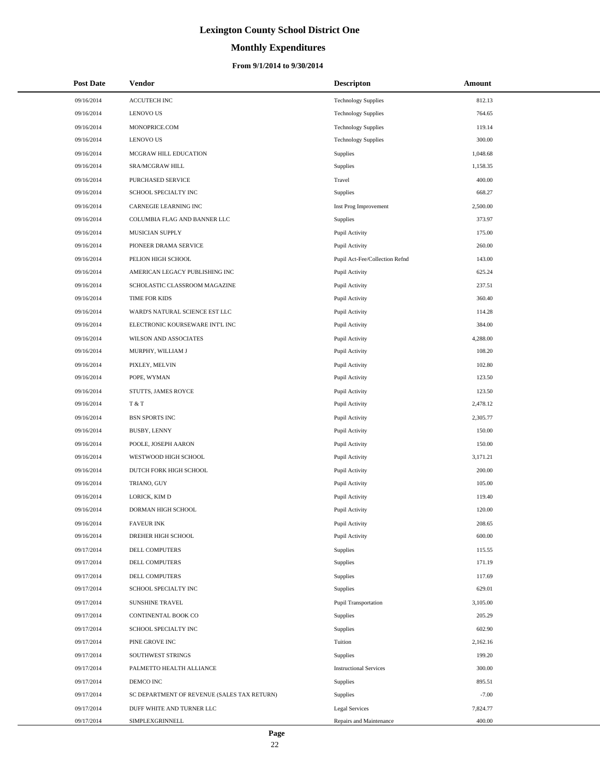# **Monthly Expenditures**

#### **From 9/1/2014 to 9/30/2014**

| <b>Post Date</b> | <b>Vendor</b>                               | <b>Descripton</b>              | Amount   |
|------------------|---------------------------------------------|--------------------------------|----------|
| 09/16/2014       | ACCUTECH INC                                | <b>Technology Supplies</b>     | 812.13   |
| 09/16/2014       | <b>LENOVO US</b>                            | <b>Technology Supplies</b>     | 764.65   |
| 09/16/2014       | MONOPRICE.COM                               | <b>Technology Supplies</b>     | 119.14   |
| 09/16/2014       | <b>LENOVO US</b>                            | <b>Technology Supplies</b>     | 300.00   |
| 09/16/2014       | MCGRAW HILL EDUCATION                       | Supplies                       | 1,048.68 |
| 09/16/2014       | SRA/MCGRAW HILL                             | <b>Supplies</b>                | 1,158.35 |
| 09/16/2014       | PURCHASED SERVICE                           | Travel                         | 400.00   |
| 09/16/2014       | SCHOOL SPECIALTY INC                        | <b>Supplies</b>                | 668.27   |
| 09/16/2014       | CARNEGIE LEARNING INC                       | Inst Prog Improvement          | 2,500.00 |
| 09/16/2014       | COLUMBIA FLAG AND BANNER LLC                | Supplies                       | 373.97   |
| 09/16/2014       | MUSICIAN SUPPLY                             | Pupil Activity                 | 175.00   |
| 09/16/2014       | PIONEER DRAMA SERVICE                       | Pupil Activity                 | 260.00   |
| 09/16/2014       | PELION HIGH SCHOOL                          | Pupil Act-Fee/Collection Refnd | 143.00   |
| 09/16/2014       | AMERICAN LEGACY PUBLISHING INC              | Pupil Activity                 | 625.24   |
| 09/16/2014       | SCHOLASTIC CLASSROOM MAGAZINE               | Pupil Activity                 | 237.51   |
| 09/16/2014       | TIME FOR KIDS                               | Pupil Activity                 | 360.40   |
| 09/16/2014       | WARD'S NATURAL SCIENCE EST LLC              | Pupil Activity                 | 114.28   |
| 09/16/2014       | ELECTRONIC KOURSEWARE INT'L INC             | Pupil Activity                 | 384.00   |
| 09/16/2014       | WILSON AND ASSOCIATES                       | Pupil Activity                 | 4,288.00 |
| 09/16/2014       | MURPHY, WILLIAM J                           | Pupil Activity                 | 108.20   |
| 09/16/2014       | PIXLEY, MELVIN                              | Pupil Activity                 | 102.80   |
| 09/16/2014       | POPE, WYMAN                                 | Pupil Activity                 | 123.50   |
| 09/16/2014       | STUTTS, JAMES ROYCE                         | Pupil Activity                 | 123.50   |
| 09/16/2014       | T & T                                       | Pupil Activity                 | 2,478.12 |
| 09/16/2014       | <b>BSN SPORTS INC</b>                       | Pupil Activity                 | 2,305.77 |
| 09/16/2014       | BUSBY, LENNY                                | Pupil Activity                 | 150.00   |
| 09/16/2014       | POOLE, JOSEPH AARON                         | Pupil Activity                 | 150.00   |
| 09/16/2014       | WESTWOOD HIGH SCHOOL                        | Pupil Activity                 | 3,171.21 |
| 09/16/2014       | DUTCH FORK HIGH SCHOOL                      | Pupil Activity                 | 200.00   |
| 09/16/2014       | TRIANO, GUY                                 | Pupil Activity                 | 105.00   |
| 09/16/2014       | LORICK, KIM D                               | Pupil Activity                 | 119.40   |
| 09/16/2014       | DORMAN HIGH SCHOOL                          | Pupil Activity                 | 120.00   |
| 09/16/2014       | <b>FAVEUR INK</b>                           | Pupil Activity                 | 208.65   |
| 09/16/2014       | DREHER HIGH SCHOOL                          | Pupil Activity                 | 600.00   |
| 09/17/2014       | DELL COMPUTERS                              | Supplies                       | 115.55   |
| 09/17/2014       | DELL COMPUTERS                              | <b>Supplies</b>                | 171.19   |
| 09/17/2014       | DELL COMPUTERS                              | <b>Supplies</b>                | 117.69   |
| 09/17/2014       | SCHOOL SPECIALTY INC                        | <b>Supplies</b>                | 629.01   |
| 09/17/2014       | <b>SUNSHINE TRAVEL</b>                      | <b>Pupil Transportation</b>    | 3,105.00 |
| 09/17/2014       | CONTINENTAL BOOK CO                         | Supplies                       | 205.29   |
| 09/17/2014       | SCHOOL SPECIALTY INC                        | Supplies                       | 602.90   |
| 09/17/2014       | PINE GROVE INC                              | Tuition                        | 2,162.16 |
| 09/17/2014       | SOUTHWEST STRINGS                           | Supplies                       | 199.20   |
| 09/17/2014       | PALMETTO HEALTH ALLIANCE                    | <b>Instructional Services</b>  | 300.00   |
| 09/17/2014       | DEMCO INC                                   | <b>Supplies</b>                | 895.51   |
| 09/17/2014       | SC DEPARTMENT OF REVENUE (SALES TAX RETURN) | <b>Supplies</b>                | $-7.00$  |
| 09/17/2014       | DUFF WHITE AND TURNER LLC                   | <b>Legal Services</b>          | 7,824.77 |
| 09/17/2014       | SIMPLEXGRINNELL                             | Repairs and Maintenance        | 400.00   |

÷.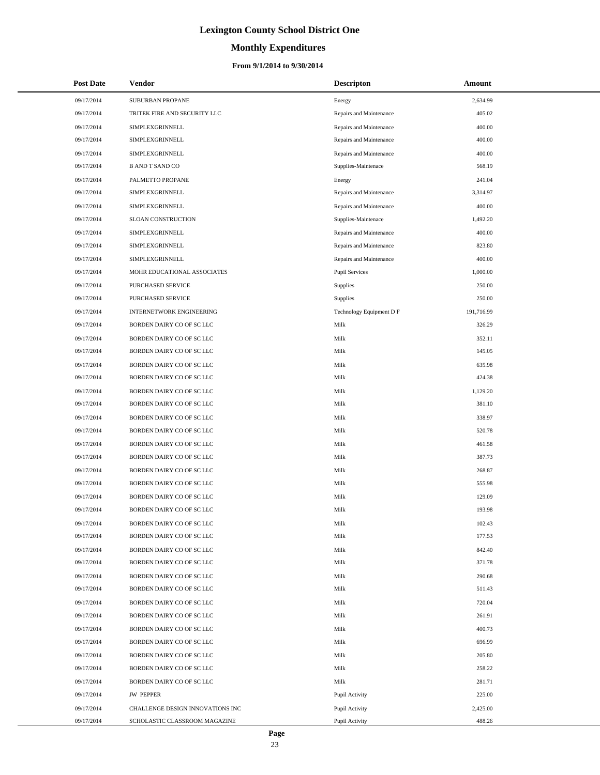# **Monthly Expenditures**

#### **From 9/1/2014 to 9/30/2014**

| <b>Post Date</b> | Vendor                           | <b>Descripton</b>        | Amount     |
|------------------|----------------------------------|--------------------------|------------|
| 09/17/2014       | SUBURBAN PROPANE                 | Energy                   | 2,634.99   |
| 09/17/2014       | TRITEK FIRE AND SECURITY LLC     | Repairs and Maintenance  | 405.02     |
| 09/17/2014       | SIMPLEXGRINNELL                  | Repairs and Maintenance  | 400.00     |
| 09/17/2014       | SIMPLEXGRINNELL                  | Repairs and Maintenance  | 400.00     |
| 09/17/2014       | SIMPLEXGRINNELL                  | Repairs and Maintenance  | 400.00     |
| 09/17/2014       | <b>B AND T SAND CO</b>           | Supplies-Maintenace      | 568.19     |
| 09/17/2014       | PALMETTO PROPANE                 | Energy                   | 241.04     |
| 09/17/2014       | SIMPLEXGRINNELL                  | Repairs and Maintenance  | 3,314.97   |
| 09/17/2014       | SIMPLEXGRINNELL                  | Repairs and Maintenance  | 400.00     |
| 09/17/2014       | SLOAN CONSTRUCTION               | Supplies-Maintenace      | 1,492.20   |
| 09/17/2014       | SIMPLEXGRINNELL                  | Repairs and Maintenance  | 400.00     |
| 09/17/2014       | SIMPLEXGRINNELL                  | Repairs and Maintenance  | 823.80     |
| 09/17/2014       | SIMPLEXGRINNELL                  | Repairs and Maintenance  | 400.00     |
| 09/17/2014       | MOHR EDUCATIONAL ASSOCIATES      | <b>Pupil Services</b>    | 1,000.00   |
| 09/17/2014       | PURCHASED SERVICE                | Supplies                 | 250.00     |
| 09/17/2014       | PURCHASED SERVICE                | Supplies                 | 250.00     |
| 09/17/2014       | <b>INTERNETWORK ENGINEERING</b>  | Technology Equipment D F | 191,716.99 |
| 09/17/2014       | BORDEN DAIRY CO OF SC LLC        | Milk                     | 326.29     |
| 09/17/2014       | BORDEN DAIRY CO OF SC LLC        | Milk                     | 352.11     |
| 09/17/2014       | BORDEN DAIRY CO OF SC LLC        | Milk                     | 145.05     |
| 09/17/2014       | BORDEN DAIRY CO OF SC LLC        | Milk                     | 635.98     |
| 09/17/2014       | BORDEN DAIRY CO OF SC LLC        | Milk                     | 424.38     |
| 09/17/2014       | BORDEN DAIRY CO OF SC LLC        | Milk                     | 1,129.20   |
| 09/17/2014       | BORDEN DAIRY CO OF SC LLC        | Milk                     | 381.10     |
| 09/17/2014       | BORDEN DAIRY CO OF SC LLC        | Milk                     | 338.97     |
| 09/17/2014       | BORDEN DAIRY CO OF SC LLC        | Milk                     | 520.78     |
| 09/17/2014       | BORDEN DAIRY CO OF SC LLC        | Milk                     | 461.58     |
| 09/17/2014       | BORDEN DAIRY CO OF SC LLC        | Milk                     | 387.73     |
| 09/17/2014       | BORDEN DAIRY CO OF SC LLC        | Milk                     | 268.87     |
| 09/17/2014       | BORDEN DAIRY CO OF SC LLC        | Milk                     | 555.98     |
| 09/17/2014       | BORDEN DAIRY CO OF SC LLC        | Milk                     | 129.09     |
| 09/17/2014       | BORDEN DAIRY CO OF SC LLC        | Milk                     | 193.98     |
| 09/17/2014       | BORDEN DAIRY CO OF SC LLC        | Milk                     | 102.43     |
| 09/17/2014       | BORDEN DAIRY CO OF SC LLC        | Milk                     | 177.53     |
| 09/17/2014       | BORDEN DAIRY CO OF SC LLC        | Milk                     | 842.40     |
| 09/17/2014       | BORDEN DAIRY CO OF SC LLC        | Milk                     | 371.78     |
| 09/17/2014       | BORDEN DAIRY CO OF SC LLC        | Milk                     | 290.68     |
| 09/17/2014       | BORDEN DAIRY CO OF SC LLC        | Milk                     | 511.43     |
| 09/17/2014       | BORDEN DAIRY CO OF SC LLC        | Milk                     | 720.04     |
| 09/17/2014       | BORDEN DAIRY CO OF SC LLC        | Milk                     | 261.91     |
| 09/17/2014       | BORDEN DAIRY CO OF SC LLC        | Milk                     | 400.73     |
| 09/17/2014       | BORDEN DAIRY CO OF SC LLC        | Milk                     | 696.99     |
| 09/17/2014       | BORDEN DAIRY CO OF SC LLC        | Milk                     | 205.80     |
| 09/17/2014       | BORDEN DAIRY CO OF SC LLC        | Milk                     | 258.22     |
| 09/17/2014       | BORDEN DAIRY CO OF SC LLC        | Milk                     | 281.71     |
| 09/17/2014       | <b>JW PEPPER</b>                 | Pupil Activity           | 225.00     |
| 09/17/2014       | CHALLENGE DESIGN INNOVATIONS INC | Pupil Activity           | 2,425.00   |
| 09/17/2014       | SCHOLASTIC CLASSROOM MAGAZINE    | Pupil Activity           | 488.26     |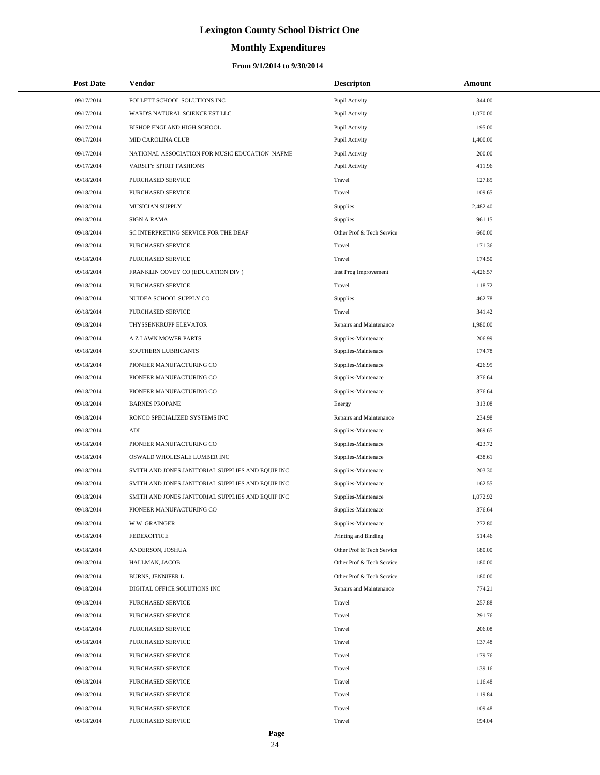# **Monthly Expenditures**

| <b>Post Date</b> | Vendor                                            | <b>Descripton</b>         | Amount   |  |
|------------------|---------------------------------------------------|---------------------------|----------|--|
| 09/17/2014       | FOLLETT SCHOOL SOLUTIONS INC                      | Pupil Activity            | 344.00   |  |
| 09/17/2014       | WARD'S NATURAL SCIENCE EST LLC                    | Pupil Activity            | 1,070.00 |  |
| 09/17/2014       | BISHOP ENGLAND HIGH SCHOOL                        | Pupil Activity            | 195.00   |  |
| 09/17/2014       | MID CAROLINA CLUB                                 | Pupil Activity            | 1,400.00 |  |
| 09/17/2014       | NATIONAL ASSOCIATION FOR MUSIC EDUCATION NAFME    | Pupil Activity            | 200.00   |  |
| 09/17/2014       | VARSITY SPIRIT FASHIONS                           | Pupil Activity            | 411.96   |  |
| 09/18/2014       | <b>PURCHASED SERVICE</b>                          | Travel                    | 127.85   |  |
| 09/18/2014       | PURCHASED SERVICE                                 | Travel                    | 109.65   |  |
| 09/18/2014       | MUSICIAN SUPPLY                                   | Supplies                  | 2,482.40 |  |
| 09/18/2014       | <b>SIGN A RAMA</b>                                | Supplies                  | 961.15   |  |
| 09/18/2014       | SC INTERPRETING SERVICE FOR THE DEAF              | Other Prof & Tech Service | 660.00   |  |
| 09/18/2014       | PURCHASED SERVICE                                 | Travel                    | 171.36   |  |
| 09/18/2014       | PURCHASED SERVICE                                 | Travel                    | 174.50   |  |
| 09/18/2014       | FRANKLIN COVEY CO (EDUCATION DIV)                 | Inst Prog Improvement     | 4,426.57 |  |
| 09/18/2014       | PURCHASED SERVICE                                 | Travel                    | 118.72   |  |
| 09/18/2014       | NUIDEA SCHOOL SUPPLY CO                           | Supplies                  | 462.78   |  |
| 09/18/2014       | PURCHASED SERVICE                                 | Travel                    | 341.42   |  |
| 09/18/2014       | THYSSENKRUPP ELEVATOR                             | Repairs and Maintenance   | 1,980.00 |  |
| 09/18/2014       | A Z LAWN MOWER PARTS                              | Supplies-Maintenace       | 206.99   |  |
| 09/18/2014       | SOUTHERN LUBRICANTS                               | Supplies-Maintenace       | 174.78   |  |
| 09/18/2014       | PIONEER MANUFACTURING CO                          | Supplies-Maintenace       | 426.95   |  |
| 09/18/2014       | PIONEER MANUFACTURING CO                          | Supplies-Maintenace       | 376.64   |  |
| 09/18/2014       | PIONEER MANUFACTURING CO                          | Supplies-Maintenace       | 376.64   |  |
| 09/18/2014       | <b>BARNES PROPANE</b>                             | Energy                    | 313.08   |  |
| 09/18/2014       | RONCO SPECIALIZED SYSTEMS INC                     | Repairs and Maintenance   | 234.98   |  |
| 09/18/2014       | ADI                                               | Supplies-Maintenace       | 369.65   |  |
| 09/18/2014       | PIONEER MANUFACTURING CO                          | Supplies-Maintenace       | 423.72   |  |
| 09/18/2014       | OSWALD WHOLESALE LUMBER INC                       | Supplies-Maintenace       | 438.61   |  |
| 09/18/2014       | SMITH AND JONES JANITORIAL SUPPLIES AND EQUIP INC | Supplies-Maintenace       | 203.30   |  |
| 09/18/2014       | SMITH AND JONES JANITORIAL SUPPLIES AND EQUIP INC | Supplies-Maintenace       | 162.55   |  |
| 09/18/2014       | SMITH AND JONES JANITORIAL SUPPLIES AND EQUIP INC | Supplies-Maintenace       | 1,072.92 |  |
| 09/18/2014       | PIONEER MANUFACTURING CO                          | Supplies-Maintenace       | 376.64   |  |
| 09/18/2014       | <b>WW GRAINGER</b>                                | Supplies-Maintenace       | 272.80   |  |
| 09/18/2014       | <b>FEDEXOFFICE</b>                                | Printing and Binding      | 514.46   |  |
| 09/18/2014       | ANDERSON, JOSHUA                                  | Other Prof & Tech Service | 180.00   |  |
| 09/18/2014       | HALLMAN, JACOB                                    | Other Prof & Tech Service | 180.00   |  |
| 09/18/2014       | <b>BURNS, JENNIFER L</b>                          | Other Prof & Tech Service | 180.00   |  |
| 09/18/2014       | DIGITAL OFFICE SOLUTIONS INC                      | Repairs and Maintenance   | 774.21   |  |
| 09/18/2014       | <b>PURCHASED SERVICE</b>                          | Travel                    | 257.88   |  |
| 09/18/2014       | <b>PURCHASED SERVICE</b>                          | Travel                    | 291.76   |  |
| 09/18/2014       | PURCHASED SERVICE                                 | Travel                    | 206.08   |  |
| 09/18/2014       | PURCHASED SERVICE                                 | Travel                    | 137.48   |  |
| 09/18/2014       | PURCHASED SERVICE                                 | Travel                    | 179.76   |  |
| 09/18/2014       | PURCHASED SERVICE                                 | Travel                    | 139.16   |  |
| 09/18/2014       | PURCHASED SERVICE                                 | Travel                    | 116.48   |  |
| 09/18/2014       | PURCHASED SERVICE                                 | Travel                    | 119.84   |  |
| 09/18/2014       | PURCHASED SERVICE                                 | Travel                    | 109.48   |  |
| 09/18/2014       | PURCHASED SERVICE                                 | Travel                    | 194.04   |  |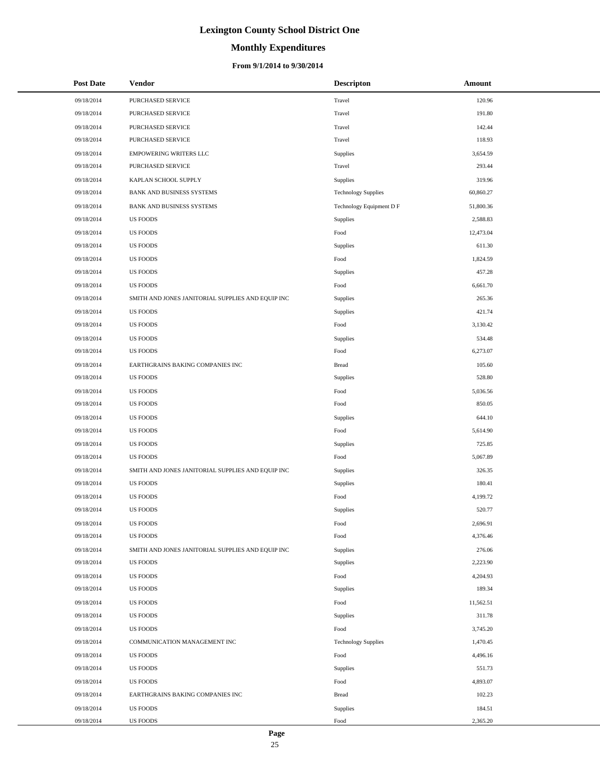# **Monthly Expenditures**

| <b>Post Date</b> | <b>Vendor</b>                                     | <b>Descripton</b>          | Amount    |
|------------------|---------------------------------------------------|----------------------------|-----------|
| 09/18/2014       | PURCHASED SERVICE                                 | Travel                     | 120.96    |
| 09/18/2014       | PURCHASED SERVICE                                 | Travel                     | 191.80    |
| 09/18/2014       | PURCHASED SERVICE                                 | Travel                     | 142.44    |
| 09/18/2014       | PURCHASED SERVICE                                 | Travel                     | 118.93    |
| 09/18/2014       | <b>EMPOWERING WRITERS LLC</b>                     | Supplies                   | 3,654.59  |
| 09/18/2014       | PURCHASED SERVICE                                 | Travel                     | 293.44    |
| 09/18/2014       | KAPLAN SCHOOL SUPPLY                              | Supplies                   | 319.96    |
| 09/18/2014       | BANK AND BUSINESS SYSTEMS                         | <b>Technology Supplies</b> | 60,860.27 |
| 09/18/2014       | BANK AND BUSINESS SYSTEMS                         | Technology Equipment D F   | 51,800.36 |
| 09/18/2014       | <b>US FOODS</b>                                   | Supplies                   | 2,588.83  |
| 09/18/2014       | <b>US FOODS</b>                                   | Food                       | 12,473.04 |
| 09/18/2014       | <b>US FOODS</b>                                   | Supplies                   | 611.30    |
| 09/18/2014       | <b>US FOODS</b>                                   | Food                       | 1,824.59  |
| 09/18/2014       | <b>US FOODS</b>                                   | Supplies                   | 457.28    |
| 09/18/2014       | <b>US FOODS</b>                                   | Food                       | 6,661.70  |
| 09/18/2014       | SMITH AND JONES JANITORIAL SUPPLIES AND EQUIP INC | Supplies                   | 265.36    |
| 09/18/2014       | <b>US FOODS</b>                                   | Supplies                   | 421.74    |
| 09/18/2014       | <b>US FOODS</b>                                   | Food                       | 3,130.42  |
| 09/18/2014       | <b>US FOODS</b>                                   | Supplies                   | 534.48    |
| 09/18/2014       | <b>US FOODS</b>                                   | Food                       | 6,273.07  |
| 09/18/2014       | EARTHGRAINS BAKING COMPANIES INC                  | <b>Bread</b>               | 105.60    |
| 09/18/2014       | <b>US FOODS</b>                                   | Supplies                   | 528.80    |
| 09/18/2014       | <b>US FOODS</b>                                   | Food                       | 5,036.56  |
| 09/18/2014       | <b>US FOODS</b>                                   | Food                       | 850.05    |
| 09/18/2014       | <b>US FOODS</b>                                   | Supplies                   | 644.10    |
| 09/18/2014       | <b>US FOODS</b>                                   | Food                       | 5,614.90  |
| 09/18/2014       | <b>US FOODS</b>                                   | Supplies                   | 725.85    |
| 09/18/2014       | <b>US FOODS</b>                                   | Food                       | 5,067.89  |
| 09/18/2014       | SMITH AND JONES JANITORIAL SUPPLIES AND EQUIP INC | Supplies                   | 326.35    |
| 09/18/2014       | <b>US FOODS</b>                                   | Supplies                   | 180.41    |
| 09/18/2014       | <b>US FOODS</b>                                   | Food                       | 4,199.72  |
| 09/18/2014       | <b>US FOODS</b>                                   | Supplies                   | 520.77    |
| 09/18/2014       | <b>US FOODS</b>                                   | Food                       | 2,696.91  |
| 09/18/2014       | <b>US FOODS</b>                                   | Food                       | 4,376.46  |
| 09/18/2014       | SMITH AND JONES JANITORIAL SUPPLIES AND EQUIP INC | Supplies                   | 276.06    |
| 09/18/2014       | <b>US FOODS</b>                                   | Supplies                   | 2,223.90  |
| 09/18/2014       | <b>US FOODS</b>                                   | Food                       | 4,204.93  |
| 09/18/2014       | <b>US FOODS</b>                                   | Supplies                   | 189.34    |
| 09/18/2014       | <b>US FOODS</b>                                   | Food                       | 11,562.51 |
| 09/18/2014       | <b>US FOODS</b>                                   | Supplies                   | 311.78    |
| 09/18/2014       | <b>US FOODS</b>                                   | Food                       | 3,745.20  |
| 09/18/2014       | COMMUNICATION MANAGEMENT INC                      | <b>Technology Supplies</b> | 1,470.45  |
| 09/18/2014       | <b>US FOODS</b>                                   | Food                       | 4,496.16  |
| 09/18/2014       | <b>US FOODS</b>                                   | Supplies                   | 551.73    |
| 09/18/2014       | <b>US FOODS</b>                                   | Food                       | 4,893.07  |
| 09/18/2014       | EARTHGRAINS BAKING COMPANIES INC                  | <b>Bread</b>               | 102.23    |
| 09/18/2014       | <b>US FOODS</b>                                   | Supplies                   | 184.51    |
| 09/18/2014       | <b>US FOODS</b>                                   | Food                       | 2,365.20  |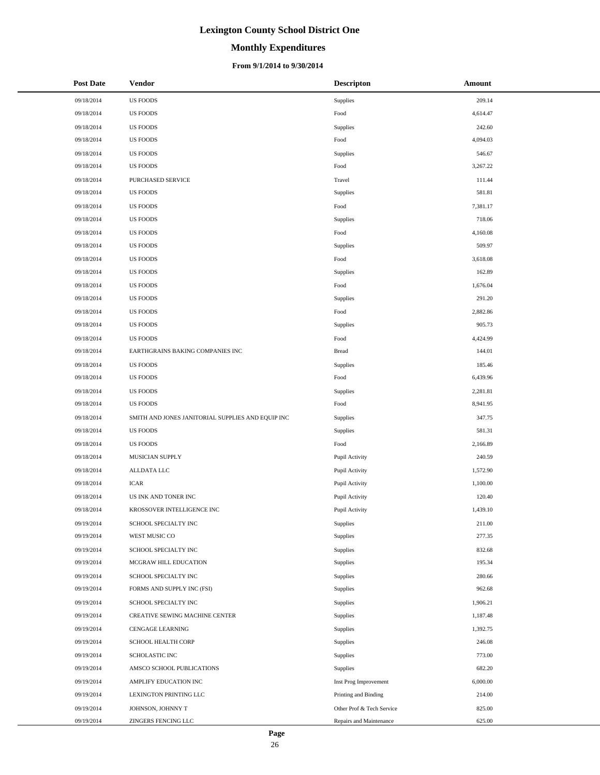# **Monthly Expenditures**

#### **From 9/1/2014 to 9/30/2014**

| <b>Post Date</b> | Vendor                                            | <b>Descripton</b>         | Amount   |
|------------------|---------------------------------------------------|---------------------------|----------|
| 09/18/2014       | <b>US FOODS</b>                                   | Supplies                  | 209.14   |
| 09/18/2014       | <b>US FOODS</b>                                   | Food                      | 4,614.47 |
| 09/18/2014       | <b>US FOODS</b>                                   | Supplies                  | 242.60   |
| 09/18/2014       | <b>US FOODS</b>                                   | Food                      | 4,094.03 |
| 09/18/2014       | <b>US FOODS</b>                                   | Supplies                  | 546.67   |
| 09/18/2014       | <b>US FOODS</b>                                   | Food                      | 3,267.22 |
| 09/18/2014       | PURCHASED SERVICE                                 | Travel                    | 111.44   |
| 09/18/2014       | <b>US FOODS</b>                                   | <b>Supplies</b>           | 581.81   |
| 09/18/2014       | <b>US FOODS</b>                                   | Food                      | 7,381.17 |
| 09/18/2014       | <b>US FOODS</b>                                   | Supplies                  | 718.06   |
| 09/18/2014       | <b>US FOODS</b>                                   | Food                      | 4,160.08 |
| 09/18/2014       | <b>US FOODS</b>                                   | Supplies                  | 509.97   |
| 09/18/2014       | <b>US FOODS</b>                                   | Food                      | 3,618.08 |
| 09/18/2014       | <b>US FOODS</b>                                   | Supplies                  | 162.89   |
| 09/18/2014       | <b>US FOODS</b>                                   | Food                      | 1,676.04 |
| 09/18/2014       | <b>US FOODS</b>                                   | Supplies                  | 291.20   |
| 09/18/2014       | <b>US FOODS</b>                                   | Food                      | 2,882.86 |
| 09/18/2014       | <b>US FOODS</b>                                   | Supplies                  | 905.73   |
| 09/18/2014       | <b>US FOODS</b>                                   | Food                      | 4,424.99 |
| 09/18/2014       | EARTHGRAINS BAKING COMPANIES INC                  | <b>Bread</b>              | 144.01   |
| 09/18/2014       | <b>US FOODS</b>                                   | Supplies                  | 185.46   |
| 09/18/2014       | <b>US FOODS</b>                                   | Food                      | 6,439.96 |
| 09/18/2014       | <b>US FOODS</b>                                   | Supplies                  | 2,281.81 |
| 09/18/2014       | <b>US FOODS</b>                                   | Food                      | 8,941.95 |
| 09/18/2014       | SMITH AND JONES JANITORIAL SUPPLIES AND EQUIP INC | Supplies                  | 347.75   |
| 09/18/2014       | <b>US FOODS</b>                                   | Supplies                  | 581.31   |
| 09/18/2014       | <b>US FOODS</b>                                   | Food                      | 2,166.89 |
| 09/18/2014       | MUSICIAN SUPPLY                                   | Pupil Activity            | 240.59   |
| 09/18/2014       | ALLDATA LLC                                       | Pupil Activity            | 1,572.90 |
| 09/18/2014       | <b>ICAR</b>                                       | Pupil Activity            | 1,100.00 |
| 09/18/2014       | US INK AND TONER INC                              | Pupil Activity            | 120.40   |
| 09/18/2014       | KROSSOVER INTELLIGENCE INC                        | Pupil Activity            | 1,439.10 |
| 09/19/2014       | SCHOOL SPECIALTY INC                              | Supplies                  | 211.00   |
| 09/19/2014       | WEST MUSIC CO                                     | Supplies                  | 277.35   |
| 09/19/2014       | SCHOOL SPECIALTY INC                              | Supplies                  | 832.68   |
| 09/19/2014       | MCGRAW HILL EDUCATION                             | Supplies                  | 195.34   |
| 09/19/2014       | SCHOOL SPECIALTY INC                              | Supplies                  | 280.66   |
| 09/19/2014       | FORMS AND SUPPLY INC (FSI)                        | Supplies                  | 962.68   |
| 09/19/2014       | SCHOOL SPECIALTY INC                              | Supplies                  | 1,906.21 |
| 09/19/2014       | CREATIVE SEWING MACHINE CENTER                    | Supplies                  | 1,187.48 |
| 09/19/2014       | <b>CENGAGE LEARNING</b>                           | Supplies                  | 1,392.75 |
| 09/19/2014       | SCHOOL HEALTH CORP                                | Supplies                  | 246.08   |
| 09/19/2014       | SCHOLASTIC INC                                    | Supplies                  | 773.00   |
| 09/19/2014       | AMSCO SCHOOL PUBLICATIONS                         | Supplies                  | 682.20   |
| 09/19/2014       | AMPLIFY EDUCATION INC                             | Inst Prog Improvement     | 6,000.00 |
| 09/19/2014       | LEXINGTON PRINTING LLC                            | Printing and Binding      | 214.00   |
| 09/19/2014       | JOHNSON, JOHNNY T                                 | Other Prof & Tech Service | 825.00   |
| 09/19/2014       | ZINGERS FENCING LLC                               | Repairs and Maintenance   | 625.00   |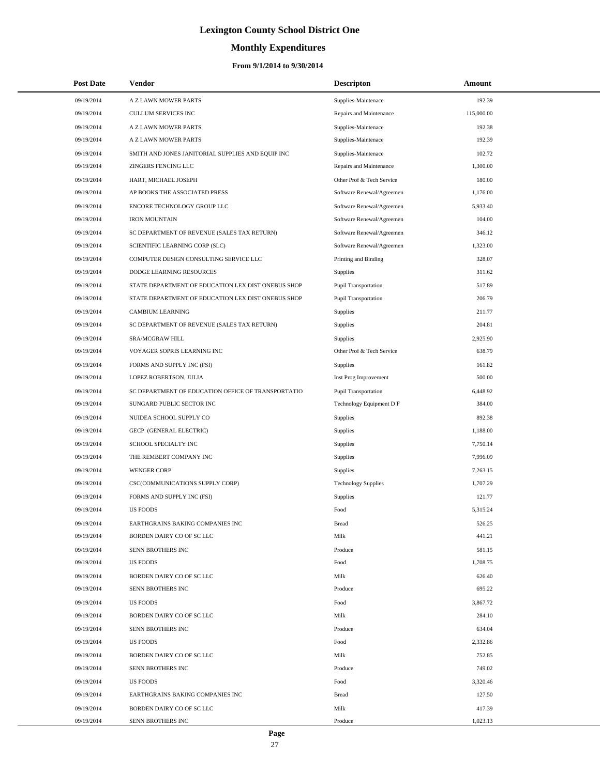# **Monthly Expenditures**

#### **From 9/1/2014 to 9/30/2014**

| <b>Post Date</b> | Vendor                                             | <b>Descripton</b>          | Amount     |
|------------------|----------------------------------------------------|----------------------------|------------|
| 09/19/2014       | A Z LAWN MOWER PARTS                               | Supplies-Maintenace        | 192.39     |
| 09/19/2014       | <b>CULLUM SERVICES INC</b>                         | Repairs and Maintenance    | 115,000.00 |
| 09/19/2014       | A Z LAWN MOWER PARTS                               | Supplies-Maintenace        | 192.38     |
| 09/19/2014       | A Z LAWN MOWER PARTS                               | Supplies-Maintenace        | 192.39     |
| 09/19/2014       | SMITH AND JONES JANITORIAL SUPPLIES AND EQUIP INC  | Supplies-Maintenace        | 102.72     |
| 09/19/2014       | ZINGERS FENCING LLC                                | Repairs and Maintenance    | 1,300.00   |
| 09/19/2014       | HART, MICHAEL JOSEPH                               | Other Prof & Tech Service  | 180.00     |
| 09/19/2014       | AP BOOKS THE ASSOCIATED PRESS                      | Software Renewal/Agreemen  | 1,176.00   |
| 09/19/2014       | ENCORE TECHNOLOGY GROUP LLC                        | Software Renewal/Agreemen  | 5,933.40   |
| 09/19/2014       | <b>IRON MOUNTAIN</b>                               | Software Renewal/Agreemen  | 104.00     |
| 09/19/2014       | SC DEPARTMENT OF REVENUE (SALES TAX RETURN)        | Software Renewal/Agreemen  | 346.12     |
| 09/19/2014       | SCIENTIFIC LEARNING CORP (SLC)                     | Software Renewal/Agreemen  | 1,323.00   |
| 09/19/2014       | COMPUTER DESIGN CONSULTING SERVICE LLC             | Printing and Binding       | 328.07     |
| 09/19/2014       | DODGE LEARNING RESOURCES                           | Supplies                   | 311.62     |
| 09/19/2014       | STATE DEPARTMENT OF EDUCATION LEX DIST ONEBUS SHOP | Pupil Transportation       | 517.89     |
| 09/19/2014       | STATE DEPARTMENT OF EDUCATION LEX DIST ONEBUS SHOP | Pupil Transportation       | 206.79     |
| 09/19/2014       | CAMBIUM LEARNING                                   | <b>Supplies</b>            | 211.77     |
| 09/19/2014       | SC DEPARTMENT OF REVENUE (SALES TAX RETURN)        | Supplies                   | 204.81     |
| 09/19/2014       | SRA/MCGRAW HILL                                    | Supplies                   | 2,925.90   |
| 09/19/2014       | VOYAGER SOPRIS LEARNING INC                        | Other Prof & Tech Service  | 638.79     |
| 09/19/2014       | FORMS AND SUPPLY INC (FSI)                         | <b>Supplies</b>            | 161.82     |
| 09/19/2014       | LOPEZ ROBERTSON, JULIA                             | Inst Prog Improvement      | 500.00     |
| 09/19/2014       | SC DEPARTMENT OF EDUCATION OFFICE OF TRANSPORTATIO | Pupil Transportation       | 6,448.92   |
| 09/19/2014       | SUNGARD PUBLIC SECTOR INC                          | Technology Equipment D F   | 384.00     |
| 09/19/2014       | NUIDEA SCHOOL SUPPLY CO                            | Supplies                   | 892.38     |
| 09/19/2014       | GECP (GENERAL ELECTRIC)                            | Supplies                   | 1,188.00   |
| 09/19/2014       | SCHOOL SPECIALTY INC                               | Supplies                   | 7,750.14   |
| 09/19/2014       | THE REMBERT COMPANY INC                            | Supplies                   | 7.996.09   |
| 09/19/2014       | <b>WENGER CORP</b>                                 | Supplies                   | 7,263.15   |
| 09/19/2014       | CSC(COMMUNICATIONS SUPPLY CORP)                    | <b>Technology Supplies</b> | 1,707.29   |
| 09/19/2014       | FORMS AND SUPPLY INC (FSI)                         | Supplies                   | 121.77     |
| 09/19/2014       | <b>US FOODS</b>                                    | Food                       | 5,315.24   |
| 09/19/2014       | EARTHGRAINS BAKING COMPANIES INC                   | <b>Bread</b>               | 526.25     |
| 09/19/2014       | BORDEN DAIRY CO OF SC LLC                          | Milk                       | 441.21     |
| 09/19/2014       | SENN BROTHERS INC                                  | Produce                    | 581.15     |
| 09/19/2014       | US FOODS                                           | Food                       | 1,708.75   |
| 09/19/2014       | BORDEN DAIRY CO OF SC LLC                          | Milk                       | 626.40     |
| 09/19/2014       | SENN BROTHERS INC                                  | Produce                    | 695.22     |
| 09/19/2014       | US FOODS                                           | Food                       | 3,867.72   |
| 09/19/2014       | BORDEN DAIRY CO OF SC LLC                          | Milk                       | 284.10     |
| 09/19/2014       | SENN BROTHERS INC                                  | Produce                    | 634.04     |
| 09/19/2014       | <b>US FOODS</b>                                    | Food                       | 2,332.86   |
| 09/19/2014       | BORDEN DAIRY CO OF SC LLC                          | Milk                       | 752.85     |
| 09/19/2014       | SENN BROTHERS INC                                  | Produce                    | 749.02     |
| 09/19/2014       | US FOODS                                           | Food                       | 3,320.46   |
| 09/19/2014       | EARTHGRAINS BAKING COMPANIES INC                   | <b>Bread</b>               | 127.50     |
| 09/19/2014       | BORDEN DAIRY CO OF SC LLC                          | Milk                       | 417.39     |
| 09/19/2014       | SENN BROTHERS INC                                  | Produce                    | 1,023.13   |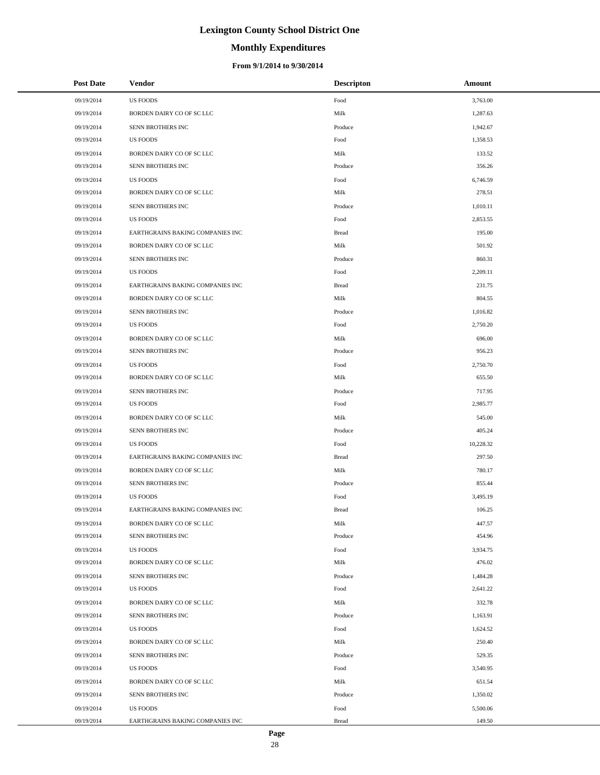# **Monthly Expenditures**

| <b>Post Date</b> | <b>Vendor</b>                    | <b>Descripton</b> | Amount    |
|------------------|----------------------------------|-------------------|-----------|
| 09/19/2014       | <b>US FOODS</b>                  | Food              | 3,763.00  |
| 09/19/2014       | BORDEN DAIRY CO OF SC LLC        | Milk              | 1,287.63  |
| 09/19/2014       | SENN BROTHERS INC                | Produce           | 1,942.67  |
| 09/19/2014       | <b>US FOODS</b>                  | Food              | 1,358.53  |
| 09/19/2014       | BORDEN DAIRY CO OF SC LLC        | Milk              | 133.52    |
| 09/19/2014       | SENN BROTHERS INC                | Produce           | 356.26    |
| 09/19/2014       | <b>US FOODS</b>                  | Food              | 6,746.59  |
| 09/19/2014       | BORDEN DAIRY CO OF SC LLC        | Milk              | 278.51    |
| 09/19/2014       | SENN BROTHERS INC                | Produce           | 1,010.11  |
| 09/19/2014       | <b>US FOODS</b>                  | Food              | 2,853.55  |
| 09/19/2014       | EARTHGRAINS BAKING COMPANIES INC | <b>Bread</b>      | 195.00    |
| 09/19/2014       | BORDEN DAIRY CO OF SC LLC        | Milk              | 501.92    |
| 09/19/2014       | SENN BROTHERS INC                | Produce           | 860.31    |
| 09/19/2014       | <b>US FOODS</b>                  | Food              | 2,209.11  |
| 09/19/2014       | EARTHGRAINS BAKING COMPANIES INC | <b>Bread</b>      | 231.75    |
| 09/19/2014       | BORDEN DAIRY CO OF SC LLC        | Milk              | 804.55    |
| 09/19/2014       | SENN BROTHERS INC                | Produce           | 1,016.82  |
| 09/19/2014       | <b>US FOODS</b>                  | Food              | 2,750.20  |
| 09/19/2014       | BORDEN DAIRY CO OF SC LLC        | Milk              | 696.00    |
| 09/19/2014       | SENN BROTHERS INC                | Produce           | 956.23    |
| 09/19/2014       | <b>US FOODS</b>                  | Food              | 2,750.70  |
| 09/19/2014       | BORDEN DAIRY CO OF SC LLC        | Milk              | 655.50    |
| 09/19/2014       | SENN BROTHERS INC                | Produce           | 717.95    |
| 09/19/2014       | <b>US FOODS</b>                  | Food              | 2,985.77  |
| 09/19/2014       | BORDEN DAIRY CO OF SC LLC        | Milk              | 545.00    |
| 09/19/2014       | SENN BROTHERS INC                | Produce           | 405.24    |
| 09/19/2014       | <b>US FOODS</b>                  | Food              | 10,228.32 |
| 09/19/2014       | EARTHGRAINS BAKING COMPANIES INC | <b>Bread</b>      | 297.50    |
| 09/19/2014       | BORDEN DAIRY CO OF SC LLC        | Milk              | 780.17    |
| 09/19/2014       | SENN BROTHERS INC                | Produce           | 855.44    |
| 09/19/2014       | <b>US FOODS</b>                  | Food              | 3,495.19  |
| 09/19/2014       | EARTHGRAINS BAKING COMPANIES INC | <b>Bread</b>      | 106.25    |
| 09/19/2014       | BORDEN DAIRY CO OF SC LLC        | Milk              | 447.57    |
| 09/19/2014       | SENN BROTHERS INC                | Produce           | 454.96    |
| 09/19/2014       | <b>US FOODS</b>                  | Food              | 3,934.75  |
| 09/19/2014       | BORDEN DAIRY CO OF SC LLC        | Milk              | 476.02    |
| 09/19/2014       | SENN BROTHERS INC                | Produce           | 1,484.28  |
| 09/19/2014       | <b>US FOODS</b>                  | Food              | 2,641.22  |
| 09/19/2014       | BORDEN DAIRY CO OF SC LLC        | Milk              | 332.78    |
| 09/19/2014       | SENN BROTHERS INC                | Produce           | 1,163.91  |
| 09/19/2014       | <b>US FOODS</b>                  | Food              | 1,624.52  |
| 09/19/2014       | BORDEN DAIRY CO OF SC LLC        | Milk              | 250.40    |
| 09/19/2014       | SENN BROTHERS INC                | Produce           | 529.35    |
| 09/19/2014       | <b>US FOODS</b>                  | Food              | 3,540.95  |
| 09/19/2014       | BORDEN DAIRY CO OF SC LLC        | Milk              | 651.54    |
| 09/19/2014       | SENN BROTHERS INC                | Produce           | 1,350.02  |
| 09/19/2014       | <b>US FOODS</b>                  | Food              | 5,500.06  |
| 09/19/2014       | EARTHGRAINS BAKING COMPANIES INC | <b>Bread</b>      | 149.50    |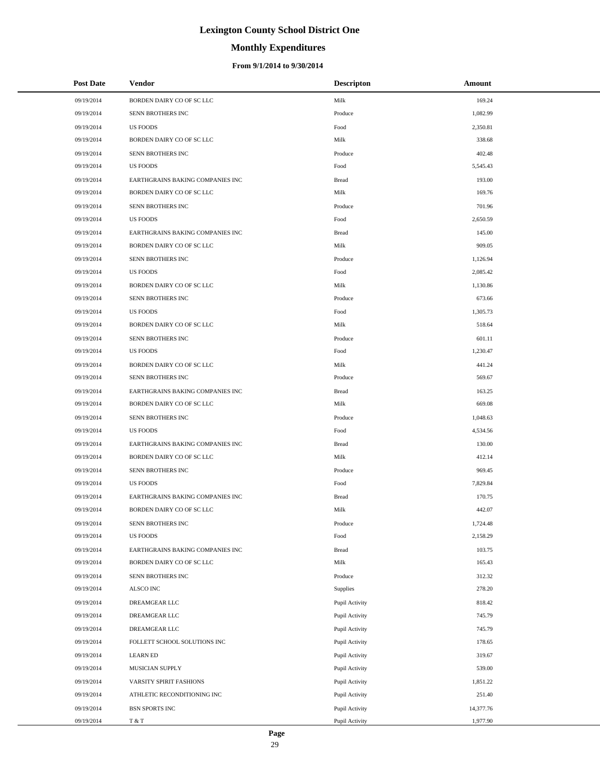# **Monthly Expenditures**

| <b>Post Date</b> | Vendor                           | <b>Descripton</b> | Amount    |
|------------------|----------------------------------|-------------------|-----------|
| 09/19/2014       | BORDEN DAIRY CO OF SC LLC        | Milk              | 169.24    |
| 09/19/2014       | SENN BROTHERS INC                | Produce           | 1,082.99  |
| 09/19/2014       | <b>US FOODS</b>                  | Food              | 2,350.81  |
| 09/19/2014       | BORDEN DAIRY CO OF SC LLC        | Milk              | 338.68    |
| 09/19/2014       | SENN BROTHERS INC                | Produce           | 402.48    |
| 09/19/2014       | <b>US FOODS</b>                  | Food              | 5,545.43  |
| 09/19/2014       | EARTHGRAINS BAKING COMPANIES INC | <b>Bread</b>      | 193.00    |
| 09/19/2014       | BORDEN DAIRY CO OF SC LLC        | Milk              | 169.76    |
| 09/19/2014       | SENN BROTHERS INC                | Produce           | 701.96    |
| 09/19/2014       | US FOODS                         | Food              | 2,650.59  |
| 09/19/2014       | EARTHGRAINS BAKING COMPANIES INC | <b>Bread</b>      | 145.00    |
| 09/19/2014       | BORDEN DAIRY CO OF SC LLC        | Milk              | 909.05    |
| 09/19/2014       | SENN BROTHERS INC                | Produce           | 1,126.94  |
| 09/19/2014       | <b>US FOODS</b>                  | Food              | 2,085.42  |
| 09/19/2014       | BORDEN DAIRY CO OF SC LLC        | Milk              | 1,130.86  |
| 09/19/2014       | SENN BROTHERS INC                | Produce           | 673.66    |
| 09/19/2014       | US FOODS                         | Food              | 1,305.73  |
| 09/19/2014       | BORDEN DAIRY CO OF SC LLC        | Milk              | 518.64    |
| 09/19/2014       | SENN BROTHERS INC                | Produce           | 601.11    |
| 09/19/2014       | US FOODS                         | Food              | 1,230.47  |
| 09/19/2014       | BORDEN DAIRY CO OF SC LLC        | Milk              | 441.24    |
| 09/19/2014       | SENN BROTHERS INC                | Produce           | 569.67    |
| 09/19/2014       | EARTHGRAINS BAKING COMPANIES INC | <b>Bread</b>      | 163.25    |
| 09/19/2014       | BORDEN DAIRY CO OF SC LLC        | Milk              | 669.08    |
| 09/19/2014       | SENN BROTHERS INC                | Produce           | 1,048.63  |
| 09/19/2014       | US FOODS                         | Food              | 4,534.56  |
| 09/19/2014       | EARTHGRAINS BAKING COMPANIES INC | <b>Bread</b>      | 130.00    |
| 09/19/2014       | BORDEN DAIRY CO OF SC LLC        | Milk              | 412.14    |
| 09/19/2014       | SENN BROTHERS INC                | Produce           | 969.45    |
| 09/19/2014       | <b>US FOODS</b>                  | Food              | 7,829.84  |
| 09/19/2014       | EARTHGRAINS BAKING COMPANIES INC | <b>Bread</b>      | 170.75    |
| 09/19/2014       | BORDEN DAIRY CO OF SC LLC        | Milk              | 442.07    |
| 09/19/2014       | SENN BROTHERS INC                | Produce           | 1,724.48  |
| 09/19/2014       | <b>US FOODS</b>                  | Food              | 2,158.29  |
| 09/19/2014       | EARTHGRAINS BAKING COMPANIES INC | <b>Bread</b>      | 103.75    |
| 09/19/2014       | BORDEN DAIRY CO OF SC LLC        | Milk              | 165.43    |
| 09/19/2014       | SENN BROTHERS INC                | Produce           | 312.32    |
| 09/19/2014       | ALSCO INC                        | Supplies          | 278.20    |
| 09/19/2014       | DREAMGEAR LLC                    | Pupil Activity    | 818.42    |
| 09/19/2014       | DREAMGEAR LLC                    | Pupil Activity    | 745.79    |
| 09/19/2014       | DREAMGEAR LLC                    | Pupil Activity    | 745.79    |
| 09/19/2014       | FOLLETT SCHOOL SOLUTIONS INC     | Pupil Activity    | 178.65    |
| 09/19/2014       | <b>LEARN ED</b>                  | Pupil Activity    | 319.67    |
| 09/19/2014       | MUSICIAN SUPPLY                  | Pupil Activity    | 539.00    |
| 09/19/2014       | VARSITY SPIRIT FASHIONS          | Pupil Activity    | 1,851.22  |
| 09/19/2014       | ATHLETIC RECONDITIONING INC      | Pupil Activity    | 251.40    |
| 09/19/2014       | BSN SPORTS INC                   | Pupil Activity    | 14,377.76 |
| 09/19/2014       | T & T                            | Pupil Activity    | 1,977.90  |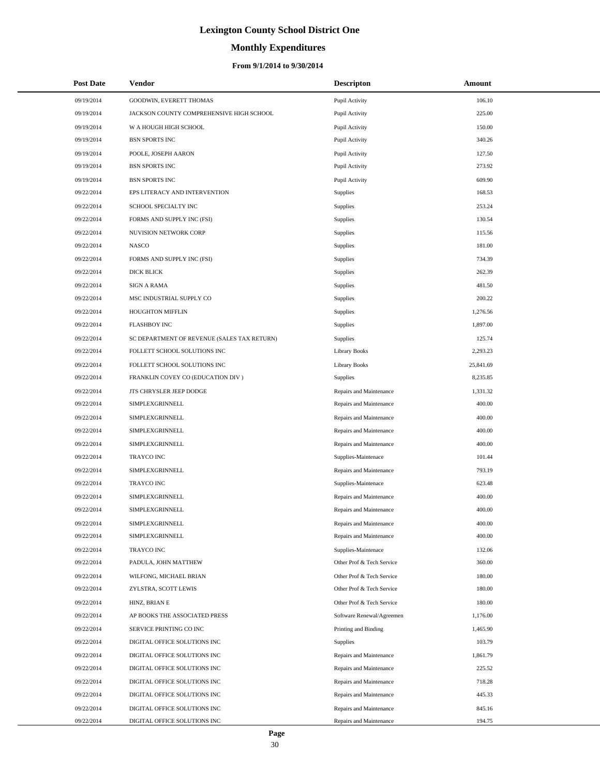# **Monthly Expenditures**

| <b>Post Date</b> | Vendor                                      | <b>Descripton</b>         | Amount    |
|------------------|---------------------------------------------|---------------------------|-----------|
| 09/19/2014       | GOODWIN, EVERETT THOMAS                     | Pupil Activity            | 106.10    |
| 09/19/2014       | JACKSON COUNTY COMPREHENSIVE HIGH SCHOOL    | Pupil Activity            | 225.00    |
| 09/19/2014       | W A HOUGH HIGH SCHOOL                       | Pupil Activity            | 150.00    |
| 09/19/2014       | <b>BSN SPORTS INC</b>                       | Pupil Activity            | 340.26    |
| 09/19/2014       | POOLE, JOSEPH AARON                         | Pupil Activity            | 127.50    |
| 09/19/2014       | <b>BSN SPORTS INC</b>                       | Pupil Activity            | 273.92    |
| 09/19/2014       | <b>BSN SPORTS INC</b>                       | Pupil Activity            | 609.90    |
| 09/22/2014       | EPS LITERACY AND INTERVENTION               | Supplies                  | 168.53    |
| 09/22/2014       | SCHOOL SPECIALTY INC                        | Supplies                  | 253.24    |
| 09/22/2014       | FORMS AND SUPPLY INC (FSI)                  | Supplies                  | 130.54    |
| 09/22/2014       | NUVISION NETWORK CORP                       | Supplies                  | 115.56    |
| 09/22/2014       | <b>NASCO</b>                                | Supplies                  | 181.00    |
| 09/22/2014       | FORMS AND SUPPLY INC (FSI)                  | Supplies                  | 734.39    |
| 09/22/2014       | DICK BLICK                                  | Supplies                  | 262.39    |
| 09/22/2014       | <b>SIGN A RAMA</b>                          | Supplies                  | 481.50    |
| 09/22/2014       | MSC INDUSTRIAL SUPPLY CO                    | Supplies                  | 200.22    |
| 09/22/2014       | <b>HOUGHTON MIFFLIN</b>                     | <b>Supplies</b>           | 1,276.56  |
| 09/22/2014       | <b>FLASHBOY INC</b>                         | Supplies                  | 1,897.00  |
| 09/22/2014       | SC DEPARTMENT OF REVENUE (SALES TAX RETURN) | Supplies                  | 125.74    |
| 09/22/2014       | FOLLETT SCHOOL SOLUTIONS INC                | <b>Library Books</b>      | 2,293.23  |
| 09/22/2014       | FOLLETT SCHOOL SOLUTIONS INC                | <b>Library Books</b>      | 25,841.69 |
| 09/22/2014       | FRANKLIN COVEY CO (EDUCATION DIV)           | <b>Supplies</b>           | 8,235.85  |
| 09/22/2014       | JTS CHRYSLER JEEP DODGE                     | Repairs and Maintenance   | 1,331.32  |
| 09/22/2014       | SIMPLEXGRINNELL                             | Repairs and Maintenance   | 400.00    |
| 09/22/2014       | SIMPLEXGRINNELL                             | Repairs and Maintenance   | 400.00    |
| 09/22/2014       | SIMPLEXGRINNELL                             | Repairs and Maintenance   | 400.00    |
| 09/22/2014       | SIMPLEXGRINNELL                             | Repairs and Maintenance   | 400.00    |
| 09/22/2014       | <b>TRAYCO INC</b>                           | Supplies-Maintenace       | 101.44    |
| 09/22/2014       | SIMPLEXGRINNELL                             | Repairs and Maintenance   | 793.19    |
| 09/22/2014       | TRAYCO INC                                  | Supplies-Maintenace       | 623.48    |
| 09/22/2014       | SIMPLEXGRINNELL                             | Repairs and Maintenance   | 400.00    |
| 09/22/2014       | SIMPLEXGRINNELL                             | Repairs and Maintenance   | 400.00    |
| 09/22/2014       | SIMPLEXGRINNELL                             | Repairs and Maintenance   | 400.00    |
| 09/22/2014       | SIMPLEXGRINNELL                             | Repairs and Maintenance   | 400.00    |
| 09/22/2014       | TRAYCO INC                                  | Supplies-Maintenace       | 132.06    |
| 09/22/2014       | PADULA, JOHN MATTHEW                        | Other Prof & Tech Service | 360.00    |
| 09/22/2014       | WILFONG, MICHAEL BRIAN                      | Other Prof & Tech Service | 180.00    |
| 09/22/2014       | ZYLSTRA, SCOTT LEWIS                        | Other Prof & Tech Service | 180.00    |
| 09/22/2014       | HINZ, BRIAN E                               | Other Prof & Tech Service | 180.00    |
| 09/22/2014       | AP BOOKS THE ASSOCIATED PRESS               | Software Renewal/Agreemen | 1,176.00  |
| 09/22/2014       | SERVICE PRINTING CO INC                     | Printing and Binding      | 1,465.90  |
| 09/22/2014       | DIGITAL OFFICE SOLUTIONS INC                | <b>Supplies</b>           | 103.79    |
| 09/22/2014       | DIGITAL OFFICE SOLUTIONS INC                | Repairs and Maintenance   | 1,861.79  |
| 09/22/2014       | DIGITAL OFFICE SOLUTIONS INC                | Repairs and Maintenance   | 225.52    |
| 09/22/2014       | DIGITAL OFFICE SOLUTIONS INC                | Repairs and Maintenance   | 718.28    |
| 09/22/2014       | DIGITAL OFFICE SOLUTIONS INC                | Repairs and Maintenance   | 445.33    |
| 09/22/2014       | DIGITAL OFFICE SOLUTIONS INC                | Repairs and Maintenance   | 845.16    |
| 09/22/2014       | DIGITAL OFFICE SOLUTIONS INC                | Repairs and Maintenance   | 194.75    |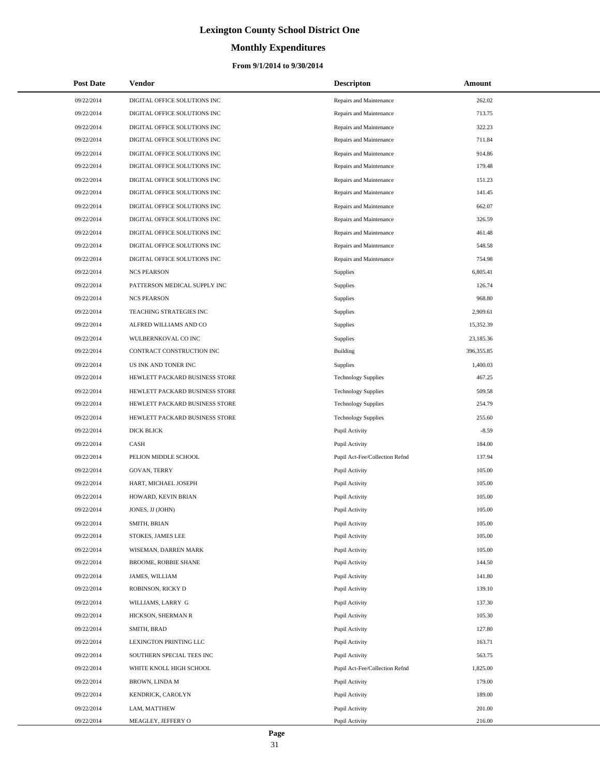# **Monthly Expenditures**

#### **From 9/1/2014 to 9/30/2014**

| <b>Post Date</b> | <b>Vendor</b>                  | <b>Descripton</b>              | Amount     |
|------------------|--------------------------------|--------------------------------|------------|
| 09/22/2014       | DIGITAL OFFICE SOLUTIONS INC   | Repairs and Maintenance        | 262.02     |
| 09/22/2014       | DIGITAL OFFICE SOLUTIONS INC   | Repairs and Maintenance        | 713.75     |
| 09/22/2014       | DIGITAL OFFICE SOLUTIONS INC   | Repairs and Maintenance        | 322.23     |
| 09/22/2014       | DIGITAL OFFICE SOLUTIONS INC   | Repairs and Maintenance        | 711.84     |
| 09/22/2014       | DIGITAL OFFICE SOLUTIONS INC   | Repairs and Maintenance        | 914.86     |
| 09/22/2014       | DIGITAL OFFICE SOLUTIONS INC   | Repairs and Maintenance        | 179.48     |
| 09/22/2014       | DIGITAL OFFICE SOLUTIONS INC   | Repairs and Maintenance        | 151.23     |
| 09/22/2014       | DIGITAL OFFICE SOLUTIONS INC   | Repairs and Maintenance        | 141.45     |
| 09/22/2014       | DIGITAL OFFICE SOLUTIONS INC   | Repairs and Maintenance        | 662.07     |
| 09/22/2014       | DIGITAL OFFICE SOLUTIONS INC   | Repairs and Maintenance        | 326.59     |
| 09/22/2014       | DIGITAL OFFICE SOLUTIONS INC   | Repairs and Maintenance        | 461.48     |
| 09/22/2014       | DIGITAL OFFICE SOLUTIONS INC   | Repairs and Maintenance        | 548.58     |
| 09/22/2014       | DIGITAL OFFICE SOLUTIONS INC   | Repairs and Maintenance        | 754.98     |
| 09/22/2014       | <b>NCS PEARSON</b>             | Supplies                       | 6,805.41   |
| 09/22/2014       | PATTERSON MEDICAL SUPPLY INC   | Supplies                       | 126.74     |
| 09/22/2014       | <b>NCS PEARSON</b>             | Supplies                       | 968.80     |
| 09/22/2014       | TEACHING STRATEGIES INC        | Supplies                       | 2,909.61   |
| 09/22/2014       | ALFRED WILLIAMS AND CO         | Supplies                       | 15,352.39  |
| 09/22/2014       | WULBERNKOVAL CO INC            | Supplies                       | 23,185.36  |
| 09/22/2014       | CONTRACT CONSTRUCTION INC      | Building                       | 396,355.85 |
| 09/22/2014       | US INK AND TONER INC           | Supplies                       | 1,400.03   |
| 09/22/2014       | HEWLETT PACKARD BUSINESS STORE | <b>Technology Supplies</b>     | 467.25     |
| 09/22/2014       | HEWLETT PACKARD BUSINESS STORE | <b>Technology Supplies</b>     | 509.58     |
| 09/22/2014       | HEWLETT PACKARD BUSINESS STORE | <b>Technology Supplies</b>     | 254.79     |
| 09/22/2014       | HEWLETT PACKARD BUSINESS STORE | <b>Technology Supplies</b>     | 255.60     |
| 09/22/2014       | <b>DICK BLICK</b>              | Pupil Activity                 | $-8.59$    |
| 09/22/2014       | CASH                           | Pupil Activity                 | 184.00     |
| 09/22/2014       | PELION MIDDLE SCHOOL           | Pupil Act-Fee/Collection Refnd | 137.94     |
| 09/22/2014       | <b>GOVAN, TERRY</b>            | Pupil Activity                 | 105.00     |
| 09/22/2014       | HART, MICHAEL JOSEPH           | Pupil Activity                 | 105.00     |
| 09/22/2014       | HOWARD, KEVIN BRIAN            | Pupil Activity                 | 105.00     |
| 09/22/2014       | JONES, JJ (JOHN)               | Pupil Activity                 | 105.00     |
| 09/22/2014       | SMITH, BRIAN                   | Pupil Activity                 | 105.00     |
| 09/22/2014       | STOKES, JAMES LEE              | Pupil Activity                 | 105.00     |
| 09/22/2014       | WISEMAN, DARREN MARK           | Pupil Activity                 | 105.00     |
| 09/22/2014       | BROOME, ROBBIE SHANE           | Pupil Activity                 | 144.50     |
| 09/22/2014       | JAMES, WILLIAM                 | Pupil Activity                 | 141.80     |
| 09/22/2014       | ROBINSON, RICKY D              | Pupil Activity                 | 139.10     |
| 09/22/2014       | WILLIAMS, LARRY G              | Pupil Activity                 | 137.30     |
| 09/22/2014       | HICKSON, SHERMAN R             | Pupil Activity                 | 105.30     |
| 09/22/2014       | SMITH, BRAD                    | Pupil Activity                 | 127.80     |
| 09/22/2014       | LEXINGTON PRINTING LLC         | Pupil Activity                 | 163.71     |
| 09/22/2014       | SOUTHERN SPECIAL TEES INC      | Pupil Activity                 | 563.75     |
| 09/22/2014       | WHITE KNOLL HIGH SCHOOL        | Pupil Act-Fee/Collection Refnd | 1,825.00   |
| 09/22/2014       | BROWN, LINDA M                 | Pupil Activity                 | 179.00     |
| 09/22/2014       | KENDRICK, CAROLYN              | Pupil Activity                 | 189.00     |
| 09/22/2014       | LAM, MATTHEW                   | Pupil Activity                 | 201.00     |
| 09/22/2014       | MEAGLEY, JEFFERY O             | Pupil Activity                 | 216.00     |

÷.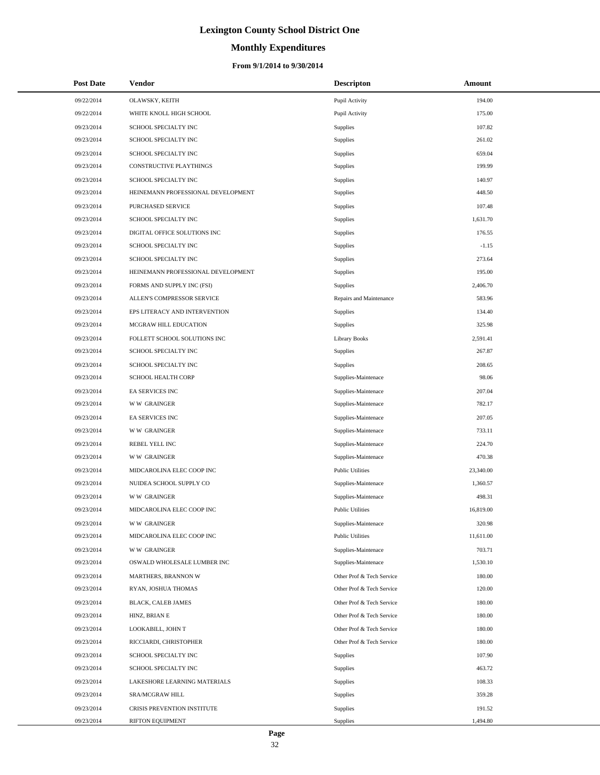# **Monthly Expenditures**

| <b>Post Date</b> | Vendor                             | <b>Descripton</b>         | Amount    |
|------------------|------------------------------------|---------------------------|-----------|
| 09/22/2014       | OLAWSKY, KEITH                     | Pupil Activity            | 194.00    |
| 09/22/2014       | WHITE KNOLL HIGH SCHOOL            | Pupil Activity            | 175.00    |
| 09/23/2014       | SCHOOL SPECIALTY INC               | Supplies                  | 107.82    |
| 09/23/2014       | SCHOOL SPECIALTY INC               | Supplies                  | 261.02    |
| 09/23/2014       | SCHOOL SPECIALTY INC               | Supplies                  | 659.04    |
| 09/23/2014       | CONSTRUCTIVE PLAYTHINGS            | Supplies                  | 199.99    |
| 09/23/2014       | SCHOOL SPECIALTY INC               | Supplies                  | 140.97    |
| 09/23/2014       | HEINEMANN PROFESSIONAL DEVELOPMENT | Supplies                  | 448.50    |
| 09/23/2014       | PURCHASED SERVICE                  | Supplies                  | 107.48    |
| 09/23/2014       | SCHOOL SPECIALTY INC               | Supplies                  | 1,631.70  |
| 09/23/2014       | DIGITAL OFFICE SOLUTIONS INC       | Supplies                  | 176.55    |
| 09/23/2014       | SCHOOL SPECIALTY INC               | Supplies                  | $-1.15$   |
| 09/23/2014       | SCHOOL SPECIALTY INC               | Supplies                  | 273.64    |
| 09/23/2014       | HEINEMANN PROFESSIONAL DEVELOPMENT | Supplies                  | 195.00    |
| 09/23/2014       | FORMS AND SUPPLY INC (FSI)         | <b>Supplies</b>           | 2,406.70  |
| 09/23/2014       | ALLEN'S COMPRESSOR SERVICE         | Repairs and Maintenance   | 583.96    |
| 09/23/2014       | EPS LITERACY AND INTERVENTION      | Supplies                  | 134.40    |
| 09/23/2014       | MCGRAW HILL EDUCATION              | <b>Supplies</b>           | 325.98    |
| 09/23/2014       | FOLLETT SCHOOL SOLUTIONS INC       | <b>Library Books</b>      | 2,591.41  |
| 09/23/2014       | SCHOOL SPECIALTY INC               | <b>Supplies</b>           | 267.87    |
| 09/23/2014       | SCHOOL SPECIALTY INC               | <b>Supplies</b>           | 208.65    |
| 09/23/2014       | SCHOOL HEALTH CORP                 | Supplies-Maintenace       | 98.06     |
| 09/23/2014       | EA SERVICES INC                    | Supplies-Maintenace       | 207.04    |
| 09/23/2014       | <b>WW GRAINGER</b>                 | Supplies-Maintenace       | 782.17    |
| 09/23/2014       | EA SERVICES INC                    | Supplies-Maintenace       | 207.05    |
| 09/23/2014       | <b>WW GRAINGER</b>                 | Supplies-Maintenace       | 733.11    |
| 09/23/2014       | REBEL YELL INC                     | Supplies-Maintenace       | 224.70    |
| 09/23/2014       | <b>WW GRAINGER</b>                 | Supplies-Maintenace       | 470.38    |
| 09/23/2014       | MIDCAROLINA ELEC COOP INC          | <b>Public Utilities</b>   | 23,340.00 |
| 09/23/2014       | NUIDEA SCHOOL SUPPLY CO            | Supplies-Maintenace       | 1,360.57  |
| 09/23/2014       | <b>WW GRAINGER</b>                 | Supplies-Maintenace       | 498.31    |
| 09/23/2014       | MIDCAROLINA ELEC COOP INC          | <b>Public Utilities</b>   | 16,819.00 |
| 09/23/2014       | <b>WW GRAINGER</b>                 | Supplies-Maintenace       | 320.98    |
| 09/23/2014       | MIDCAROLINA ELEC COOP INC          | <b>Public Utilities</b>   | 11,611.00 |
| 09/23/2014       | <b>WW GRAINGER</b>                 | Supplies-Maintenace       | 703.71    |
| 09/23/2014       | OSWALD WHOLESALE LUMBER INC        | Supplies-Maintenace       | 1,530.10  |
| 09/23/2014       | MARTHERS, BRANNON W                | Other Prof & Tech Service | 180.00    |
| 09/23/2014       | RYAN, JOSHUA THOMAS                | Other Prof & Tech Service | 120.00    |
| 09/23/2014       | BLACK, CALEB JAMES                 | Other Prof & Tech Service | 180.00    |
| 09/23/2014       | HINZ, BRIAN E                      | Other Prof & Tech Service | 180.00    |
| 09/23/2014       | LOOKABILL, JOHN T                  | Other Prof & Tech Service | 180.00    |
| 09/23/2014       | RICCIARDI, CHRISTOPHER             | Other Prof & Tech Service | 180.00    |
| 09/23/2014       | SCHOOL SPECIALTY INC               | <b>Supplies</b>           | 107.90    |
| 09/23/2014       | SCHOOL SPECIALTY INC               | Supplies                  | 463.72    |
| 09/23/2014       | LAKESHORE LEARNING MATERIALS       | <b>Supplies</b>           | 108.33    |
| 09/23/2014       | SRA/MCGRAW HILL                    | <b>Supplies</b>           | 359.28    |
| 09/23/2014       | CRISIS PREVENTION INSTITUTE        | <b>Supplies</b>           | 191.52    |
| 09/23/2014       | RIFTON EQUIPMENT                   | Supplies                  | 1,494.80  |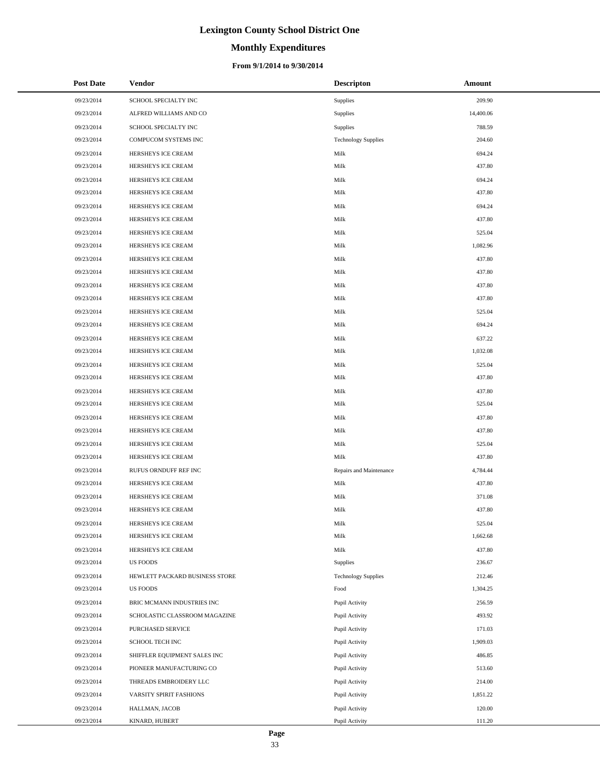# **Monthly Expenditures**

#### **From 9/1/2014 to 9/30/2014**

| <b>Post Date</b> | Vendor                         | <b>Descripton</b>          | Amount    |
|------------------|--------------------------------|----------------------------|-----------|
| 09/23/2014       | SCHOOL SPECIALTY INC           | Supplies                   | 209.90    |
| 09/23/2014       | ALFRED WILLIAMS AND CO         | <b>Supplies</b>            | 14,400.06 |
| 09/23/2014       | SCHOOL SPECIALTY INC           | Supplies                   | 788.59    |
| 09/23/2014       | COMPUCOM SYSTEMS INC           | <b>Technology Supplies</b> | 204.60    |
| 09/23/2014       | HERSHEYS ICE CREAM             | Milk                       | 694.24    |
| 09/23/2014       | HERSHEYS ICE CREAM             | Milk                       | 437.80    |
| 09/23/2014       | HERSHEYS ICE CREAM             | Milk                       | 694.24    |
| 09/23/2014       | HERSHEYS ICE CREAM             | Milk                       | 437.80    |
| 09/23/2014       | HERSHEYS ICE CREAM             | Milk                       | 694.24    |
| 09/23/2014       | HERSHEYS ICE CREAM             | Milk                       | 437.80    |
| 09/23/2014       | HERSHEYS ICE CREAM             | Milk                       | 525.04    |
| 09/23/2014       | HERSHEYS ICE CREAM             | Milk                       | 1,082.96  |
| 09/23/2014       | HERSHEYS ICE CREAM             | Milk                       | 437.80    |
| 09/23/2014       | HERSHEYS ICE CREAM             | Milk                       | 437.80    |
| 09/23/2014       | HERSHEYS ICE CREAM             | Milk                       | 437.80    |
| 09/23/2014       | HERSHEYS ICE CREAM             | Milk                       | 437.80    |
| 09/23/2014       | HERSHEYS ICE CREAM             | Milk                       | 525.04    |
| 09/23/2014       | HERSHEYS ICE CREAM             | Milk                       | 694.24    |
| 09/23/2014       | HERSHEYS ICE CREAM             | Milk                       | 637.22    |
| 09/23/2014       | HERSHEYS ICE CREAM             | Milk                       | 1,032.08  |
| 09/23/2014       | HERSHEYS ICE CREAM             | Milk                       | 525.04    |
| 09/23/2014       | HERSHEYS ICE CREAM             | Milk                       | 437.80    |
| 09/23/2014       | HERSHEYS ICE CREAM             | Milk                       | 437.80    |
| 09/23/2014       | HERSHEYS ICE CREAM             | Milk                       | 525.04    |
| 09/23/2014       | HERSHEYS ICE CREAM             | Milk                       | 437.80    |
| 09/23/2014       | HERSHEYS ICE CREAM             | Milk                       | 437.80    |
| 09/23/2014       | HERSHEYS ICE CREAM             | Milk                       | 525.04    |
| 09/23/2014       | HERSHEYS ICE CREAM             | Milk                       | 437.80    |
| 09/23/2014       | RUFUS ORNDUFF REF INC          | Repairs and Maintenance    | 4,784.44  |
| 09/23/2014       | HERSHEYS ICE CREAM             | Milk                       | 437.80    |
| 09/23/2014       | HERSHEYS ICE CREAM             | Milk                       | 371.08    |
| 09/23/2014       | HERSHEYS ICE CREAM             | Milk                       | 437.80    |
| 09/23/2014       | HERSHEYS ICE CREAM             | Milk                       | 525.04    |
| 09/23/2014       | HERSHEYS ICE CREAM             | Milk                       | 1,662.68  |
| 09/23/2014       | HERSHEYS ICE CREAM             | Milk                       | 437.80    |
| 09/23/2014       | <b>US FOODS</b>                | Supplies                   | 236.67    |
| 09/23/2014       | HEWLETT PACKARD BUSINESS STORE | <b>Technology Supplies</b> | 212.46    |
| 09/23/2014       | <b>US FOODS</b>                | Food                       | 1,304.25  |
| 09/23/2014       | BRIC MCMANN INDUSTRIES INC     | Pupil Activity             | 256.59    |
| 09/23/2014       | SCHOLASTIC CLASSROOM MAGAZINE  | Pupil Activity             | 493.92    |
| 09/23/2014       | PURCHASED SERVICE              | Pupil Activity             | 171.03    |
| 09/23/2014       | <b>SCHOOL TECH INC</b>         | Pupil Activity             | 1,909.03  |
| 09/23/2014       | SHIFFLER EQUIPMENT SALES INC   | Pupil Activity             | 486.85    |
| 09/23/2014       | PIONEER MANUFACTURING CO       | Pupil Activity             | 513.60    |
| 09/23/2014       | THREADS EMBROIDERY LLC         | Pupil Activity             | 214.00    |
| 09/23/2014       | VARSITY SPIRIT FASHIONS        | Pupil Activity             | 1,851.22  |
| 09/23/2014       | HALLMAN, JACOB                 | Pupil Activity             | 120.00    |
| 09/23/2014       | KINARD, HUBERT                 | Pupil Activity             | 111.20    |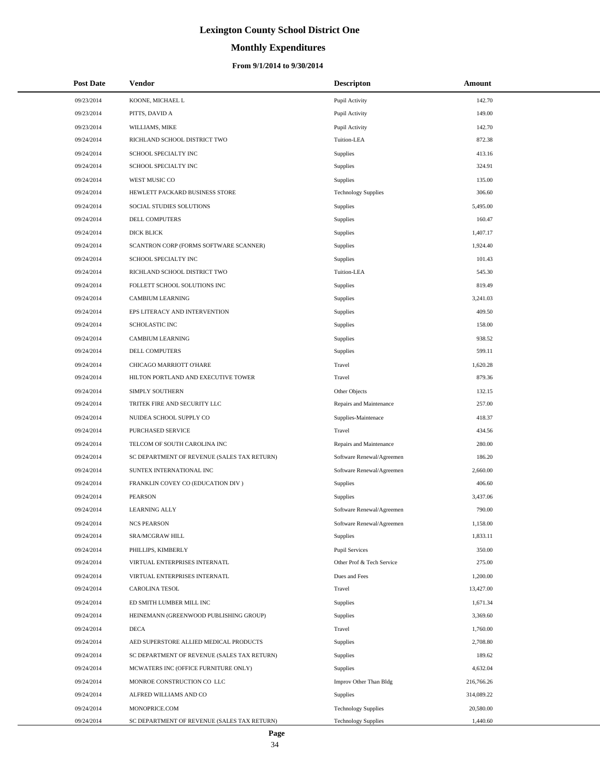# **Monthly Expenditures**

#### **From 9/1/2014 to 9/30/2014**

| <b>Post Date</b> | Vendor                                      | <b>Descripton</b>          | Amount     |
|------------------|---------------------------------------------|----------------------------|------------|
| 09/23/2014       | KOONE, MICHAEL L                            | Pupil Activity             | 142.70     |
| 09/23/2014       | PITTS, DAVID A                              | Pupil Activity             | 149.00     |
| 09/23/2014       | WILLIAMS, MIKE                              | Pupil Activity             | 142.70     |
| 09/24/2014       | RICHLAND SCHOOL DISTRICT TWO                | Tuition-LEA                | 872.38     |
| 09/24/2014       | SCHOOL SPECIALTY INC                        | <b>Supplies</b>            | 413.16     |
| 09/24/2014       | SCHOOL SPECIALTY INC                        | <b>Supplies</b>            | 324.91     |
| 09/24/2014       | WEST MUSIC CO                               | <b>Supplies</b>            | 135.00     |
| 09/24/2014       | HEWLETT PACKARD BUSINESS STORE              | <b>Technology Supplies</b> | 306.60     |
| 09/24/2014       | SOCIAL STUDIES SOLUTIONS                    | Supplies                   | 5,495.00   |
| 09/24/2014       | DELL COMPUTERS                              | Supplies                   | 160.47     |
| 09/24/2014       | <b>DICK BLICK</b>                           | Supplies                   | 1,407.17   |
| 09/24/2014       | SCANTRON CORP (FORMS SOFTWARE SCANNER)      | Supplies                   | 1,924.40   |
| 09/24/2014       | SCHOOL SPECIALTY INC                        | Supplies                   | 101.43     |
| 09/24/2014       | RICHLAND SCHOOL DISTRICT TWO                | Tuition-LEA                | 545.30     |
| 09/24/2014       | FOLLETT SCHOOL SOLUTIONS INC                | Supplies                   | 819.49     |
| 09/24/2014       | <b>CAMBIUM LEARNING</b>                     | Supplies                   | 3,241.03   |
| 09/24/2014       | EPS LITERACY AND INTERVENTION               | Supplies                   | 409.50     |
| 09/24/2014       | <b>SCHOLASTIC INC</b>                       | Supplies                   | 158.00     |
| 09/24/2014       | <b>CAMBIUM LEARNING</b>                     | Supplies                   | 938.52     |
| 09/24/2014       | DELL COMPUTERS                              | Supplies                   | 599.11     |
| 09/24/2014       | CHICAGO MARRIOTT O'HARE                     | Travel                     | 1,620.28   |
| 09/24/2014       | HILTON PORTLAND AND EXECUTIVE TOWER         | Travel                     | 879.36     |
| 09/24/2014       | SIMPLY SOUTHERN                             | Other Objects              | 132.15     |
| 09/24/2014       | TRITEK FIRE AND SECURITY LLC                | Repairs and Maintenance    | 257.00     |
| 09/24/2014       | NUIDEA SCHOOL SUPPLY CO                     | Supplies-Maintenace        | 418.37     |
| 09/24/2014       | PURCHASED SERVICE                           | Travel                     | 434.56     |
| 09/24/2014       | TELCOM OF SOUTH CAROLINA INC                | Repairs and Maintenance    | 280.00     |
| 09/24/2014       | SC DEPARTMENT OF REVENUE (SALES TAX RETURN) | Software Renewal/Agreemen  | 186.20     |
| 09/24/2014       | SUNTEX INTERNATIONAL INC                    | Software Renewal/Agreemen  | 2,660.00   |
| 09/24/2014       | FRANKLIN COVEY CO (EDUCATION DIV)           | Supplies                   | 406.60     |
| 09/24/2014       | <b>PEARSON</b>                              | <b>Supplies</b>            | 3,437.06   |
| 09/24/2014       | <b>LEARNING ALLY</b>                        | Software Renewal/Agreemen  | 790.00     |
| 09/24/2014       | <b>NCS PEARSON</b>                          | Software Renewal/Agreemen  | 1,158.00   |
| 09/24/2014       | SRA/MCGRAW HILL                             | Supplies                   | 1,833.11   |
| 09/24/2014       | PHILLIPS, KIMBERLY                          | <b>Pupil Services</b>      | 350.00     |
| 09/24/2014       | VIRTUAL ENTERPRISES INTERNATL               | Other Prof & Tech Service  | 275.00     |
| 09/24/2014       | VIRTUAL ENTERPRISES INTERNATL               | Dues and Fees              | 1,200.00   |
| 09/24/2014       | CAROLINA TESOL                              | Travel                     | 13,427.00  |
| 09/24/2014       | ED SMITH LUMBER MILL INC                    | Supplies                   | 1,671.34   |
| 09/24/2014       | HEINEMANN (GREENWOOD PUBLISHING GROUP)      | Supplies                   | 3,369.60   |
| 09/24/2014       | <b>DECA</b>                                 | Travel                     | 1,760.00   |
| 09/24/2014       | AED SUPERSTORE ALLIED MEDICAL PRODUCTS      | Supplies                   | 2,708.80   |
| 09/24/2014       | SC DEPARTMENT OF REVENUE (SALES TAX RETURN) | Supplies                   | 189.62     |
| 09/24/2014       | MCWATERS INC (OFFICE FURNITURE ONLY)        | Supplies                   | 4,632.04   |
| 09/24/2014       | MONROE CONSTRUCTION CO LLC                  | Improv Other Than Bldg     | 216,766.26 |
| 09/24/2014       | ALFRED WILLIAMS AND CO                      | Supplies                   | 314,089.22 |
| 09/24/2014       | MONOPRICE.COM                               | <b>Technology Supplies</b> | 20,580.00  |
| 09/24/2014       | SC DEPARTMENT OF REVENUE (SALES TAX RETURN) | <b>Technology Supplies</b> | 1,440.60   |

÷.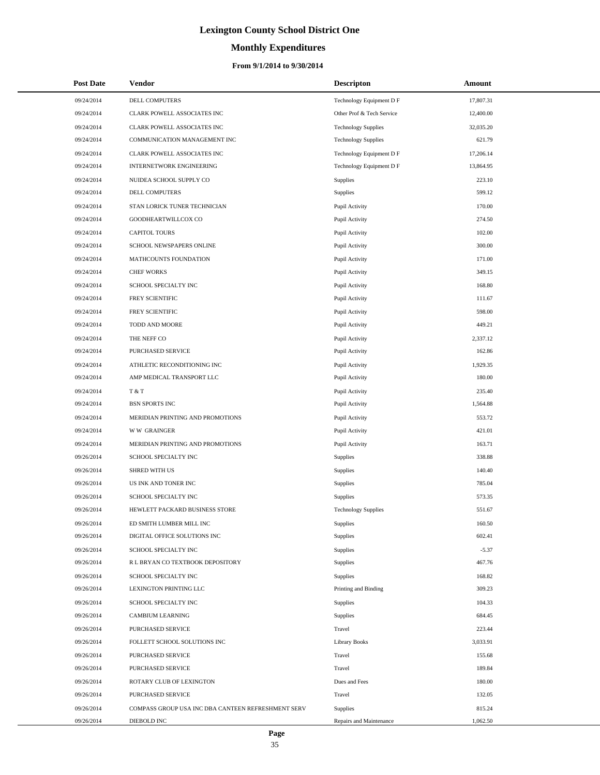# **Monthly Expenditures**

#### **From 9/1/2014 to 9/30/2014**

| <b>Post Date</b> | <b>Vendor</b>                                      | <b>Descripton</b>          | Amount    |
|------------------|----------------------------------------------------|----------------------------|-----------|
| 09/24/2014       | DELL COMPUTERS                                     | Technology Equipment D F   | 17,807.31 |
| 09/24/2014       | CLARK POWELL ASSOCIATES INC                        | Other Prof & Tech Service  | 12,400.00 |
| 09/24/2014       | CLARK POWELL ASSOCIATES INC                        | <b>Technology Supplies</b> | 32,035.20 |
| 09/24/2014       | COMMUNICATION MANAGEMENT INC                       | <b>Technology Supplies</b> | 621.79    |
| 09/24/2014       | CLARK POWELL ASSOCIATES INC                        | Technology Equipment D F   | 17,206.14 |
| 09/24/2014       | INTERNETWORK ENGINEERING                           | Technology Equipment D F   | 13,864.95 |
| 09/24/2014       | NUIDEA SCHOOL SUPPLY CO                            | <b>Supplies</b>            | 223.10    |
| 09/24/2014       | DELL COMPUTERS                                     | Supplies                   | 599.12    |
| 09/24/2014       | STAN LORICK TUNER TECHNICIAN                       | Pupil Activity             | 170.00    |
| 09/24/2014       | GOODHEARTWILLCOX CO                                | Pupil Activity             | 274.50    |
| 09/24/2014       | <b>CAPITOL TOURS</b>                               | Pupil Activity             | 102.00    |
| 09/24/2014       | SCHOOL NEWSPAPERS ONLINE                           | Pupil Activity             | 300.00    |
| 09/24/2014       | MATHCOUNTS FOUNDATION                              | Pupil Activity             | 171.00    |
| 09/24/2014       | <b>CHEF WORKS</b>                                  | Pupil Activity             | 349.15    |
| 09/24/2014       | SCHOOL SPECIALTY INC                               | Pupil Activity             | 168.80    |
| 09/24/2014       | FREY SCIENTIFIC                                    | Pupil Activity             | 111.67    |
| 09/24/2014       | FREY SCIENTIFIC                                    | Pupil Activity             | 598.00    |
| 09/24/2014       | TODD AND MOORE                                     | Pupil Activity             | 449.21    |
| 09/24/2014       | THE NEFF CO                                        | Pupil Activity             | 2,337.12  |
| 09/24/2014       | PURCHASED SERVICE                                  | Pupil Activity             | 162.86    |
| 09/24/2014       | ATHLETIC RECONDITIONING INC                        | Pupil Activity             | 1,929.35  |
| 09/24/2014       | AMP MEDICAL TRANSPORT LLC                          | Pupil Activity             | 180.00    |
| 09/24/2014       | T & T                                              | Pupil Activity             | 235.40    |
| 09/24/2014       | <b>BSN SPORTS INC</b>                              | Pupil Activity             | 1,564.88  |
| 09/24/2014       | MERIDIAN PRINTING AND PROMOTIONS                   | Pupil Activity             | 553.72    |
| 09/24/2014       | <b>WW GRAINGER</b>                                 | Pupil Activity             | 421.01    |
| 09/24/2014       | MERIDIAN PRINTING AND PROMOTIONS                   | Pupil Activity             | 163.71    |
| 09/26/2014       | SCHOOL SPECIALTY INC                               | Supplies                   | 338.88    |
| 09/26/2014       | SHRED WITH US                                      | Supplies                   | 140.40    |
| 09/26/2014       | US INK AND TONER INC                               | Supplies                   | 785.04    |
| 09/26/2014       | SCHOOL SPECIALTY INC                               | Supplies                   | 573.35    |
| 09/26/2014       | HEWLETT PACKARD BUSINESS STORE                     | <b>Technology Supplies</b> | 551.67    |
| 09/26/2014       | ED SMITH LUMBER MILL INC                           | Supplies                   | 160.50    |
| 09/26/2014       | DIGITAL OFFICE SOLUTIONS INC                       | Supplies                   | 602.41    |
| 09/26/2014       | SCHOOL SPECIALTY INC                               | Supplies                   | $-5.37$   |
| 09/26/2014       | R L BRYAN CO TEXTBOOK DEPOSITORY                   | Supplies                   | 467.76    |
| 09/26/2014       | SCHOOL SPECIALTY INC                               | Supplies                   | 168.82    |
| 09/26/2014       | LEXINGTON PRINTING LLC                             | Printing and Binding       | 309.23    |
| 09/26/2014       | SCHOOL SPECIALTY INC                               | Supplies                   | 104.33    |
| 09/26/2014       | <b>CAMBIUM LEARNING</b>                            | Supplies                   | 684.45    |
| 09/26/2014       | PURCHASED SERVICE                                  | Travel                     | 223.44    |
| 09/26/2014       | FOLLETT SCHOOL SOLUTIONS INC                       | <b>Library Books</b>       | 3,033.91  |
| 09/26/2014       | PURCHASED SERVICE                                  | Travel                     | 155.68    |
| 09/26/2014       | PURCHASED SERVICE                                  | Travel                     | 189.84    |
| 09/26/2014       | ROTARY CLUB OF LEXINGTON                           | Dues and Fees              | 180.00    |
| 09/26/2014       | PURCHASED SERVICE                                  | Travel                     | 132.05    |
| 09/26/2014       | COMPASS GROUP USA INC DBA CANTEEN REFRESHMENT SERV | Supplies                   | 815.24    |
| 09/26/2014       | DIEBOLD INC                                        | Repairs and Maintenance    | 1,062.50  |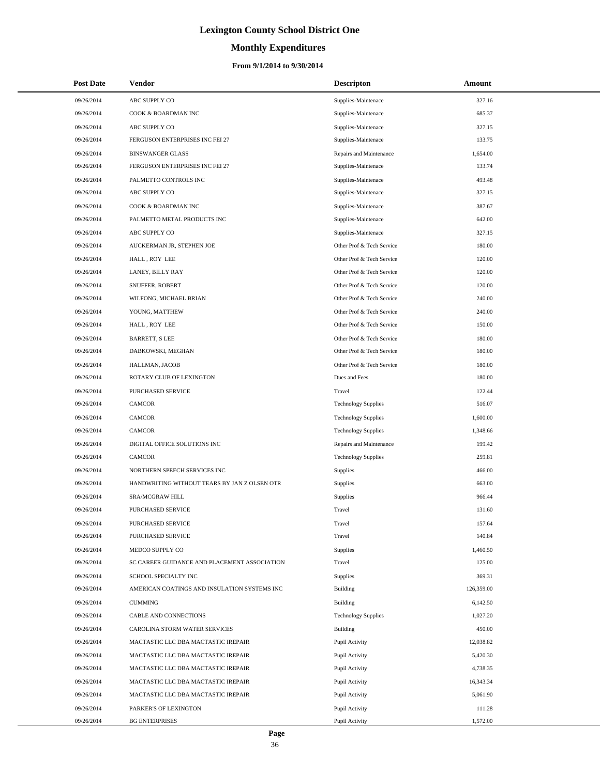# **Monthly Expenditures**

| <b>Post Date</b> | Vendor                                       | <b>Descripton</b>          | Amount     |
|------------------|----------------------------------------------|----------------------------|------------|
| 09/26/2014       | ABC SUPPLY CO                                | Supplies-Maintenace        | 327.16     |
| 09/26/2014       | COOK & BOARDMAN INC                          | Supplies-Maintenace        | 685.37     |
| 09/26/2014       | ABC SUPPLY CO                                | Supplies-Maintenace        | 327.15     |
| 09/26/2014       | FERGUSON ENTERPRISES INC FEI 27              | Supplies-Maintenace        | 133.75     |
| 09/26/2014       | <b>BINSWANGER GLASS</b>                      | Repairs and Maintenance    | 1,654.00   |
| 09/26/2014       | FERGUSON ENTERPRISES INC FEI 27              | Supplies-Maintenace        | 133.74     |
| 09/26/2014       | PALMETTO CONTROLS INC                        | Supplies-Maintenace        | 493.48     |
| 09/26/2014       | ABC SUPPLY CO                                | Supplies-Maintenace        | 327.15     |
| 09/26/2014       | COOK & BOARDMAN INC                          | Supplies-Maintenace        | 387.67     |
| 09/26/2014       | PALMETTO METAL PRODUCTS INC                  | Supplies-Maintenace        | 642.00     |
| 09/26/2014       | ABC SUPPLY CO                                | Supplies-Maintenace        | 327.15     |
| 09/26/2014       | AUCKERMAN JR, STEPHEN JOE                    | Other Prof & Tech Service  | 180.00     |
| 09/26/2014       | HALL, ROY LEE                                | Other Prof & Tech Service  | 120.00     |
| 09/26/2014       | LANEY, BILLY RAY                             | Other Prof & Tech Service  | 120.00     |
| 09/26/2014       | SNUFFER, ROBERT                              | Other Prof & Tech Service  | 120.00     |
| 09/26/2014       | WILFONG, MICHAEL BRIAN                       | Other Prof & Tech Service  | 240.00     |
| 09/26/2014       | YOUNG, MATTHEW                               | Other Prof & Tech Service  | 240.00     |
| 09/26/2014       | HALL, ROY LEE                                | Other Prof & Tech Service  | 150.00     |
| 09/26/2014       | <b>BARRETT, S LEE</b>                        | Other Prof & Tech Service  | 180.00     |
| 09/26/2014       | DABKOWSKI, MEGHAN                            | Other Prof & Tech Service  | 180.00     |
| 09/26/2014       | HALLMAN, JACOB                               | Other Prof & Tech Service  | 180.00     |
| 09/26/2014       | ROTARY CLUB OF LEXINGTON                     | Dues and Fees              | 180.00     |
| 09/26/2014       | PURCHASED SERVICE                            | Travel                     | 122.44     |
| 09/26/2014       | CAMCOR                                       | <b>Technology Supplies</b> | 516.07     |
| 09/26/2014       | <b>CAMCOR</b>                                | <b>Technology Supplies</b> | 1,600.00   |
| 09/26/2014       | <b>CAMCOR</b>                                | <b>Technology Supplies</b> | 1,348.66   |
| 09/26/2014       | DIGITAL OFFICE SOLUTIONS INC                 | Repairs and Maintenance    | 199.42     |
| 09/26/2014       | <b>CAMCOR</b>                                | <b>Technology Supplies</b> | 259.81     |
| 09/26/2014       | NORTHERN SPEECH SERVICES INC                 | Supplies                   | 466.00     |
| 09/26/2014       | HANDWRITING WITHOUT TEARS BY JAN Z OLSEN OTR | Supplies                   | 663.00     |
| 09/26/2014       | <b>SRA/MCGRAW HILL</b>                       | Supplies                   | 966.44     |
| 09/26/2014       | PURCHASED SERVICE                            | Travel                     | 131.60     |
| 09/26/2014       | PURCHASED SERVICE                            | Travel                     | 157.64     |
| 09/26/2014       | PURCHASED SERVICE                            | Travel                     | 140.84     |
| 09/26/2014       | MEDCO SUPPLY CO                              | Supplies                   | 1,460.50   |
| 09/26/2014       | SC CAREER GUIDANCE AND PLACEMENT ASSOCIATION | Travel                     | 125.00     |
| 09/26/2014       | SCHOOL SPECIALTY INC                         | Supplies                   | 369.31     |
| 09/26/2014       | AMERICAN COATINGS AND INSULATION SYSTEMS INC | Building                   | 126,359.00 |
| 09/26/2014       | <b>CUMMING</b>                               | Building                   | 6,142.50   |
| 09/26/2014       | CABLE AND CONNECTIONS                        | <b>Technology Supplies</b> | 1,027.20   |
| 09/26/2014       | CAROLINA STORM WATER SERVICES                | Building                   | 450.00     |
| 09/26/2014       | MACTASTIC LLC DBA MACTASTIC IREPAIR          | Pupil Activity             | 12,038.82  |
| 09/26/2014       | MACTASTIC LLC DBA MACTASTIC IREPAIR          | Pupil Activity             | 5,420.30   |
| 09/26/2014       | MACTASTIC LLC DBA MACTASTIC IREPAIR          | Pupil Activity             | 4,738.35   |
| 09/26/2014       | MACTASTIC LLC DBA MACTASTIC IREPAIR          | Pupil Activity             | 16,343.34  |
| 09/26/2014       | MACTASTIC LLC DBA MACTASTIC IREPAIR          | Pupil Activity             | 5,061.90   |
| 09/26/2014       | PARKER'S OF LEXINGTON                        | Pupil Activity             | 111.28     |
| 09/26/2014       | <b>BG ENTERPRISES</b>                        | Pupil Activity             | 1,572.00   |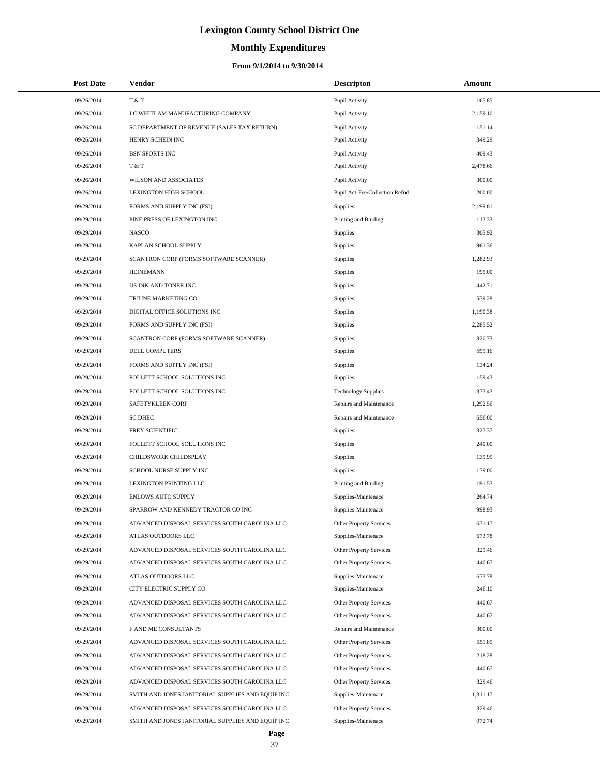# **Monthly Expenditures**

| <b>Post Date</b> | Vendor                                            | <b>Descripton</b>              | Amount   |
|------------------|---------------------------------------------------|--------------------------------|----------|
| 09/26/2014       | T & T                                             | Pupil Activity                 | 165.85   |
| 09/26/2014       | J C WHITLAM MANUFACTURING COMPANY                 | Pupil Activity                 | 2,159.10 |
| 09/26/2014       | SC DEPARTMENT OF REVENUE (SALES TAX RETURN)       | Pupil Activity                 | 151.14   |
| 09/26/2014       | HENRY SCHEIN INC                                  | Pupil Activity                 | 349.29   |
| 09/26/2014       | <b>BSN SPORTS INC</b>                             | Pupil Activity                 | 409.43   |
| 09/26/2014       | T & T                                             | Pupil Activity                 | 2,478.66 |
| 09/26/2014       | WILSON AND ASSOCIATES                             | Pupil Activity                 | 300.00   |
| 09/26/2014       | <b>LEXINGTON HIGH SCHOOL</b>                      | Pupil Act-Fee/Collection Refnd | 200.00   |
| 09/29/2014       | FORMS AND SUPPLY INC (FSI)                        | Supplies                       | 2,199.81 |
| 09/29/2014       | PINE PRESS OF LEXINGTON INC                       | Printing and Binding           | 113.33   |
| 09/29/2014       | <b>NASCO</b>                                      | Supplies                       | 305.92   |
| 09/29/2014       | KAPLAN SCHOOL SUPPLY                              | Supplies                       | 961.36   |
| 09/29/2014       | SCANTRON CORP (FORMS SOFTWARE SCANNER)            | Supplies                       | 1,282.93 |
| 09/29/2014       | <b>HEINEMANN</b>                                  | Supplies                       | 195.00   |
| 09/29/2014       | US INK AND TONER INC                              | Supplies                       | 442.71   |
| 09/29/2014       | TRIUNE MARKETING CO                               | Supplies                       | 539.28   |
| 09/29/2014       | DIGITAL OFFICE SOLUTIONS INC                      | Supplies                       | 1,190.38 |
| 09/29/2014       | FORMS AND SUPPLY INC (FSI)                        | Supplies                       | 2,285.52 |
| 09/29/2014       | SCANTRON CORP (FORMS SOFTWARE SCANNER)            | Supplies                       | 320.73   |
| 09/29/2014       | DELL COMPUTERS                                    | Supplies                       | 599.16   |
| 09/29/2014       | FORMS AND SUPPLY INC (FSI)                        | Supplies                       | 134.24   |
| 09/29/2014       | FOLLETT SCHOOL SOLUTIONS INC                      | Supplies                       | 159.43   |
| 09/29/2014       | FOLLETT SCHOOL SOLUTIONS INC                      | <b>Technology Supplies</b>     | 373.43   |
| 09/29/2014       | SAFETYKLEEN CORP                                  | Repairs and Maintenance        | 1,292.56 |
| 09/29/2014       | <b>SC DHEC</b>                                    | Repairs and Maintenance        | 656.00   |
| 09/29/2014       | FREY SCIENTIFIC                                   | Supplies                       | 327.37   |
| 09/29/2014       | FOLLETT SCHOOL SOLUTIONS INC                      | Supplies                       | 240.00   |
| 09/29/2014       | CHILDSWORK CHILDSPLAY                             | Supplies                       | 139.95   |
| 09/29/2014       | SCHOOL NURSE SUPPLY INC                           | Supplies                       | 179.00   |
| 09/29/2014       | LEXINGTON PRINTING LLC                            | Printing and Binding           | 191.53   |
| 09/29/2014       | <b>ENLOWS AUTO SUPPLY</b>                         | Supplies-Maintenace            | 264.74   |
| 09/29/2014       | SPARROW AND KENNEDY TRACTOR CO INC                | Supplies-Maintenace            | 998.93   |
| 09/29/2014       | ADVANCED DISPOSAL SERVICES SOUTH CAROLINA LLC     | Other Property Services        | 631.17   |
| 09/29/2014       | ATLAS OUTDOORS LLC                                | Supplies-Maintenace            | 673.78   |
| 09/29/2014       | ADVANCED DISPOSAL SERVICES SOUTH CAROLINA LLC     | Other Property Services        | 329.46   |
| 09/29/2014       | ADVANCED DISPOSAL SERVICES SOUTH CAROLINA LLC     | Other Property Services        | 440.67   |
| 09/29/2014       | ATLAS OUTDOORS LLC                                | Supplies-Maintenace            | 673.78   |
| 09/29/2014       | CITY ELECTRIC SUPPLY CO                           | Supplies-Maintenace            | 246.10   |
| 09/29/2014       | ADVANCED DISPOSAL SERVICES SOUTH CAROLINA LLC     | Other Property Services        | 440.67   |
| 09/29/2014       | ADVANCED DISPOSAL SERVICES SOUTH CAROLINA LLC     | <b>Other Property Services</b> | 440.67   |
| 09/29/2014       | F AND ME CONSULTANTS                              | Repairs and Maintenance        | 300.00   |
| 09/29/2014       | ADVANCED DISPOSAL SERVICES SOUTH CAROLINA LLC     | Other Property Services        | 551.85   |
| 09/29/2014       | ADVANCED DISPOSAL SERVICES SOUTH CAROLINA LLC     | Other Property Services        | 218.28   |
| 09/29/2014       | ADVANCED DISPOSAL SERVICES SOUTH CAROLINA LLC     | Other Property Services        | 440.67   |
| 09/29/2014       | ADVANCED DISPOSAL SERVICES SOUTH CAROLINA LLC     | Other Property Services        | 329.46   |
| 09/29/2014       | SMITH AND JONES JANITORIAL SUPPLIES AND EQUIP INC | Supplies-Maintenace            | 1,311.17 |
| 09/29/2014       | ADVANCED DISPOSAL SERVICES SOUTH CAROLINA LLC     | Other Property Services        | 329.46   |
| 09/29/2014       | SMITH AND JONES JANITORIAL SUPPLIES AND EQUIP INC | Supplies-Maintenace            | 972.74   |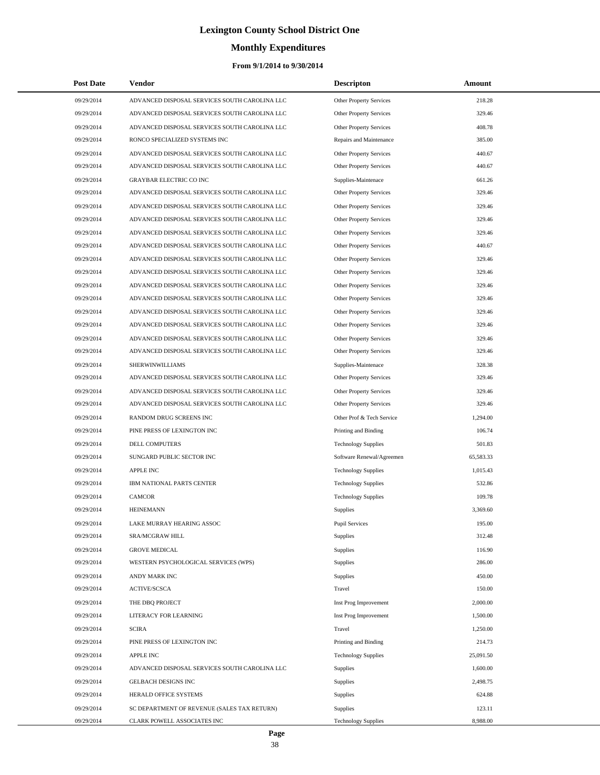# **Monthly Expenditures**

#### **From 9/1/2014 to 9/30/2014**

| <b>Post Date</b> | <b>Vendor</b>                                 | <b>Descripton</b>              | Amount    |
|------------------|-----------------------------------------------|--------------------------------|-----------|
| 09/29/2014       | ADVANCED DISPOSAL SERVICES SOUTH CAROLINA LLC | Other Property Services        | 218.28    |
| 09/29/2014       | ADVANCED DISPOSAL SERVICES SOUTH CAROLINA LLC | <b>Other Property Services</b> | 329.46    |
| 09/29/2014       | ADVANCED DISPOSAL SERVICES SOUTH CAROLINA LLC | Other Property Services        | 408.78    |
| 09/29/2014       | RONCO SPECIALIZED SYSTEMS INC                 | Repairs and Maintenance        | 385.00    |
| 09/29/2014       | ADVANCED DISPOSAL SERVICES SOUTH CAROLINA LLC | Other Property Services        | 440.67    |
| 09/29/2014       | ADVANCED DISPOSAL SERVICES SOUTH CAROLINA LLC | Other Property Services        | 440.67    |
| 09/29/2014       | <b>GRAYBAR ELECTRIC CO INC</b>                | Supplies-Maintenace            | 661.26    |
| 09/29/2014       | ADVANCED DISPOSAL SERVICES SOUTH CAROLINA LLC | <b>Other Property Services</b> | 329.46    |
| 09/29/2014       | ADVANCED DISPOSAL SERVICES SOUTH CAROLINA LLC | Other Property Services        | 329.46    |
| 09/29/2014       | ADVANCED DISPOSAL SERVICES SOUTH CAROLINA LLC | Other Property Services        | 329.46    |
| 09/29/2014       | ADVANCED DISPOSAL SERVICES SOUTH CAROLINA LLC | Other Property Services        | 329.46    |
| 09/29/2014       | ADVANCED DISPOSAL SERVICES SOUTH CAROLINA LLC | Other Property Services        | 440.67    |
| 09/29/2014       | ADVANCED DISPOSAL SERVICES SOUTH CAROLINA LLC | Other Property Services        | 329.46    |
| 09/29/2014       | ADVANCED DISPOSAL SERVICES SOUTH CAROLINA LLC | Other Property Services        | 329.46    |
| 09/29/2014       | ADVANCED DISPOSAL SERVICES SOUTH CAROLINA LLC | Other Property Services        | 329.46    |
| 09/29/2014       | ADVANCED DISPOSAL SERVICES SOUTH CAROLINA LLC | Other Property Services        | 329.46    |
| 09/29/2014       | ADVANCED DISPOSAL SERVICES SOUTH CAROLINA LLC | Other Property Services        | 329.46    |
| 09/29/2014       | ADVANCED DISPOSAL SERVICES SOUTH CAROLINA LLC | Other Property Services        | 329.46    |
| 09/29/2014       | ADVANCED DISPOSAL SERVICES SOUTH CAROLINA LLC | Other Property Services        | 329.46    |
| 09/29/2014       | ADVANCED DISPOSAL SERVICES SOUTH CAROLINA LLC | Other Property Services        | 329.46    |
| 09/29/2014       | SHERWINWILLIAMS                               | Supplies-Maintenace            | 328.38    |
| 09/29/2014       | ADVANCED DISPOSAL SERVICES SOUTH CAROLINA LLC | Other Property Services        | 329.46    |
| 09/29/2014       | ADVANCED DISPOSAL SERVICES SOUTH CAROLINA LLC | Other Property Services        | 329.46    |
| 09/29/2014       | ADVANCED DISPOSAL SERVICES SOUTH CAROLINA LLC | Other Property Services        | 329.46    |
| 09/29/2014       | RANDOM DRUG SCREENS INC                       | Other Prof & Tech Service      | 1,294.00  |
| 09/29/2014       | PINE PRESS OF LEXINGTON INC                   | Printing and Binding           | 106.74    |
| 09/29/2014       | DELL COMPUTERS                                | <b>Technology Supplies</b>     | 501.83    |
| 09/29/2014       | SUNGARD PUBLIC SECTOR INC                     | Software Renewal/Agreemen      | 65,583.33 |
| 09/29/2014       | <b>APPLE INC</b>                              | <b>Technology Supplies</b>     | 1,015.43  |
| 09/29/2014       | IBM NATIONAL PARTS CENTER                     | <b>Technology Supplies</b>     | 532.86    |
| 09/29/2014       | <b>CAMCOR</b>                                 | <b>Technology Supplies</b>     | 109.78    |
| 09/29/2014       | <b>HEINEMANN</b>                              | Supplies                       | 3,369.60  |
| 09/29/2014       | LAKE MURRAY HEARING ASSOC                     | <b>Pupil Services</b>          | 195.00    |
| 09/29/2014       | SRA/MCGRAW HILL                               | Supplies                       | 312.48    |
| 09/29/2014       | <b>GROVE MEDICAL</b>                          | Supplies                       | 116.90    |
| 09/29/2014       | WESTERN PSYCHOLOGICAL SERVICES (WPS)          | Supplies                       | 286.00    |
| 09/29/2014       | ANDY MARK INC                                 | Supplies                       | 450.00    |
| 09/29/2014       | <b>ACTIVE/SCSCA</b>                           | Travel                         | 150.00    |
| 09/29/2014       | THE DBO PROJECT                               | Inst Prog Improvement          | 2,000.00  |
| 09/29/2014       | LITERACY FOR LEARNING                         | Inst Prog Improvement          | 1,500.00  |
| 09/29/2014       | <b>SCIRA</b>                                  | Travel                         | 1,250.00  |
| 09/29/2014       | PINE PRESS OF LEXINGTON INC                   | Printing and Binding           | 214.73    |
| 09/29/2014       | <b>APPLE INC</b>                              | <b>Technology Supplies</b>     | 25,091.50 |
| 09/29/2014       | ADVANCED DISPOSAL SERVICES SOUTH CAROLINA LLC | Supplies                       | 1,600.00  |
| 09/29/2014       | GELBACH DESIGNS INC                           | Supplies                       | 2,498.75  |
| 09/29/2014       | HERALD OFFICE SYSTEMS                         | Supplies                       | 624.88    |
| 09/29/2014       | SC DEPARTMENT OF REVENUE (SALES TAX RETURN)   | Supplies                       | 123.11    |
| 09/29/2014       | CLARK POWELL ASSOCIATES INC                   | <b>Technology Supplies</b>     | 8,988.00  |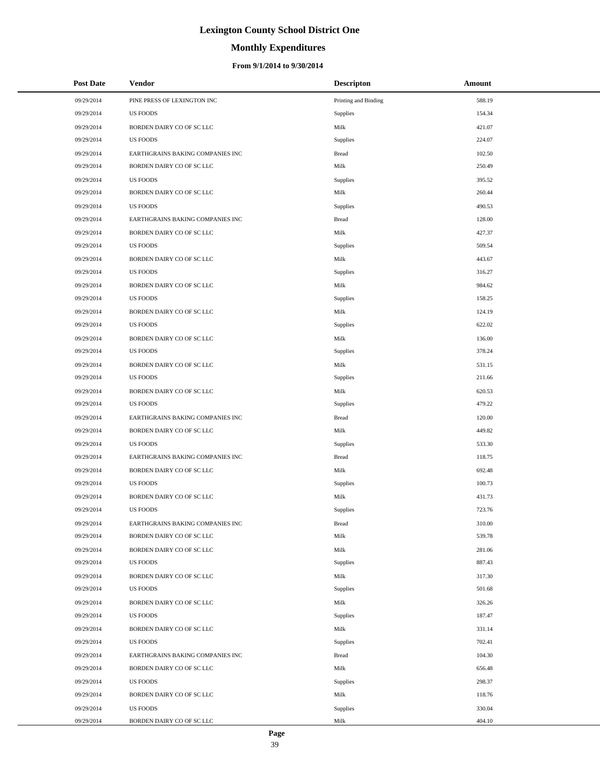# **Monthly Expenditures**

#### **From 9/1/2014 to 9/30/2014**

| <b>Post Date</b> | <b>Vendor</b>                    | <b>Descripton</b>    | Amount |
|------------------|----------------------------------|----------------------|--------|
| 09/29/2014       | PINE PRESS OF LEXINGTON INC      | Printing and Binding | 588.19 |
| 09/29/2014       | US FOODS                         | Supplies             | 154.34 |
| 09/29/2014       | BORDEN DAIRY CO OF SC LLC        | Milk                 | 421.07 |
| 09/29/2014       | <b>US FOODS</b>                  | Supplies             | 224.07 |
| 09/29/2014       | EARTHGRAINS BAKING COMPANIES INC | <b>Bread</b>         | 102.50 |
| 09/29/2014       | BORDEN DAIRY CO OF SC LLC        | Milk                 | 250.49 |
| 09/29/2014       | <b>US FOODS</b>                  | Supplies             | 395.52 |
| 09/29/2014       | BORDEN DAIRY CO OF SC LLC        | Milk                 | 260.44 |
| 09/29/2014       | <b>US FOODS</b>                  | Supplies             | 490.53 |
| 09/29/2014       | EARTHGRAINS BAKING COMPANIES INC | <b>Bread</b>         | 128.00 |
| 09/29/2014       | BORDEN DAIRY CO OF SC LLC        | Milk                 | 427.37 |
| 09/29/2014       | US FOODS                         | Supplies             | 509.54 |
| 09/29/2014       | BORDEN DAIRY CO OF SC LLC        | Milk                 | 443.67 |
| 09/29/2014       | <b>US FOODS</b>                  | Supplies             | 316.27 |
| 09/29/2014       | BORDEN DAIRY CO OF SC LLC        | Milk                 | 984.62 |
| 09/29/2014       | <b>US FOODS</b>                  | Supplies             | 158.25 |
| 09/29/2014       | BORDEN DAIRY CO OF SC LLC        | Milk                 | 124.19 |
| 09/29/2014       | <b>US FOODS</b>                  | Supplies             | 622.02 |
| 09/29/2014       | BORDEN DAIRY CO OF SC LLC        | Milk                 | 136.00 |
| 09/29/2014       | <b>US FOODS</b>                  | Supplies             | 378.24 |
| 09/29/2014       | BORDEN DAIRY CO OF SC LLC        | Milk                 | 531.15 |
| 09/29/2014       | <b>US FOODS</b>                  | Supplies             | 211.66 |
| 09/29/2014       | BORDEN DAIRY CO OF SC LLC        | Milk                 | 620.53 |
| 09/29/2014       | <b>US FOODS</b>                  | Supplies             | 479.22 |
| 09/29/2014       | EARTHGRAINS BAKING COMPANIES INC | <b>Bread</b>         | 120.00 |
| 09/29/2014       | BORDEN DAIRY CO OF SC LLC        | Milk                 | 449.82 |
| 09/29/2014       | <b>US FOODS</b>                  | Supplies             | 533.30 |
| 09/29/2014       | EARTHGRAINS BAKING COMPANIES INC | <b>Bread</b>         | 118.75 |
| 09/29/2014       | BORDEN DAIRY CO OF SC LLC        | Milk                 | 692.48 |
| 09/29/2014       | <b>US FOODS</b>                  | Supplies             | 100.73 |
| 09/29/2014       | BORDEN DAIRY CO OF SC LLC        | Milk                 | 431.73 |
| 09/29/2014       | <b>US FOODS</b>                  | Supplies             | 723.76 |
| 09/29/2014       | EARTHGRAINS BAKING COMPANIES INC | <b>Bread</b>         | 310.00 |
| 09/29/2014       | BORDEN DAIRY CO OF SC LLC        | Milk                 | 539.78 |
| 09/29/2014       | BORDEN DAIRY CO OF SC LLC        | Milk                 | 281.06 |
| 09/29/2014       | US FOODS                         | Supplies             | 887.43 |
| 09/29/2014       | BORDEN DAIRY CO OF SC LLC        | Milk                 | 317.30 |
| 09/29/2014       | US FOODS                         | Supplies             | 501.68 |
| 09/29/2014       | BORDEN DAIRY CO OF SC LLC        | Milk                 | 326.26 |
| 09/29/2014       | US FOODS                         | Supplies             | 187.47 |
| 09/29/2014       | BORDEN DAIRY CO OF SC LLC        | Milk                 | 331.14 |
| 09/29/2014       | US FOODS                         | Supplies             | 702.41 |
| 09/29/2014       | EARTHGRAINS BAKING COMPANIES INC | <b>Bread</b>         | 104.30 |
| 09/29/2014       | BORDEN DAIRY CO OF SC LLC        | Milk                 | 656.48 |
| 09/29/2014       | US FOODS                         | Supplies             | 298.37 |
| 09/29/2014       | BORDEN DAIRY CO OF SC LLC        | Milk                 | 118.76 |
| 09/29/2014       | <b>US FOODS</b>                  | Supplies             | 330.04 |
| 09/29/2014       | BORDEN DAIRY CO OF SC LLC        | Milk                 | 404.10 |

÷.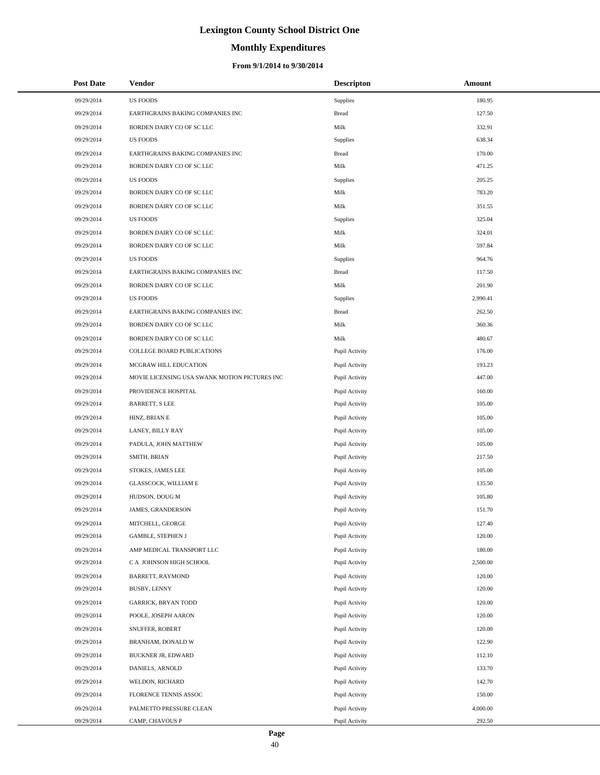# **Monthly Expenditures**

#### **From 9/1/2014 to 9/30/2014**

| <b>Post Date</b> | Vendor                                        | <b>Descripton</b> | Amount   |
|------------------|-----------------------------------------------|-------------------|----------|
| 09/29/2014       | <b>US FOODS</b>                               | Supplies          | 180.95   |
| 09/29/2014       | EARTHGRAINS BAKING COMPANIES INC              | <b>Bread</b>      | 127.50   |
| 09/29/2014       | BORDEN DAIRY CO OF SC LLC                     | Milk              | 332.91   |
| 09/29/2014       | <b>US FOODS</b>                               | Supplies          | 638.34   |
| 09/29/2014       | EARTHGRAINS BAKING COMPANIES INC              | <b>Bread</b>      | 170.00   |
| 09/29/2014       | BORDEN DAIRY CO OF SC LLC                     | Milk              | 471.25   |
| 09/29/2014       | <b>US FOODS</b>                               | Supplies          | 205.25   |
| 09/29/2014       | BORDEN DAIRY CO OF SC LLC                     | Milk              | 783.20   |
| 09/29/2014       | BORDEN DAIRY CO OF SC LLC                     | Milk              | 351.55   |
| 09/29/2014       | <b>US FOODS</b>                               | Supplies          | 325.04   |
| 09/29/2014       | BORDEN DAIRY CO OF SC LLC                     | Milk              | 324.01   |
| 09/29/2014       | BORDEN DAIRY CO OF SC LLC                     | Milk              | 597.84   |
| 09/29/2014       | <b>US FOODS</b>                               | Supplies          | 964.76   |
| 09/29/2014       | EARTHGRAINS BAKING COMPANIES INC              | <b>Bread</b>      | 117.50   |
| 09/29/2014       | BORDEN DAIRY CO OF SC LLC                     | Milk              | 201.90   |
| 09/29/2014       | <b>US FOODS</b>                               | Supplies          | 2,990.41 |
| 09/29/2014       | EARTHGRAINS BAKING COMPANIES INC              | <b>Bread</b>      | 262.50   |
| 09/29/2014       | BORDEN DAIRY CO OF SC LLC                     | Milk              | 360.36   |
| 09/29/2014       | BORDEN DAIRY CO OF SC LLC                     | Milk              | 480.67   |
| 09/29/2014       | COLLEGE BOARD PUBLICATIONS                    | Pupil Activity    | 176.00   |
| 09/29/2014       | MCGRAW HILL EDUCATION                         | Pupil Activity    | 193.23   |
| 09/29/2014       | MOVIE LICENSING USA SWANK MOTION PICTURES INC | Pupil Activity    | 447.00   |
| 09/29/2014       | PROVIDENCE HOSPITAL                           | Pupil Activity    | 160.00   |
| 09/29/2014       | <b>BARRETT, S LEE</b>                         | Pupil Activity    | 105.00   |
| 09/29/2014       | HINZ, BRIAN E                                 | Pupil Activity    | 105.00   |
| 09/29/2014       | LANEY, BILLY RAY                              | Pupil Activity    | 105.00   |
| 09/29/2014       | PADULA, JOHN MATTHEW                          | Pupil Activity    | 105.00   |
| 09/29/2014       | SMITH, BRIAN                                  | Pupil Activity    | 217.50   |
| 09/29/2014       | STOKES, JAMES LEE                             | Pupil Activity    | 105.00   |
| 09/29/2014       | GLASSCOCK, WILLIAM E                          | Pupil Activity    | 135.50   |
| 09/29/2014       | HUDSON, DOUG M                                | Pupil Activity    | 105.80   |
| 09/29/2014       | <b>JAMES, GRANDERSON</b>                      | Pupil Activity    | 151.70   |
| 09/29/2014       | MITCHELL, GEORGE                              | Pupil Activity    | 127.40   |
| 09/29/2014       | <b>GAMBLE, STEPHEN J</b>                      | Pupil Activity    | 120.00   |
| 09/29/2014       | AMP MEDICAL TRANSPORT LLC                     | Pupil Activity    | 180.00   |
| 09/29/2014       | C A JOHNSON HIGH SCHOOL                       | Pupil Activity    | 2,500.00 |
| 09/29/2014       | <b>BARRETT, RAYMOND</b>                       | Pupil Activity    | 120.00   |
| 09/29/2014       | BUSBY, LENNY                                  | Pupil Activity    | 120.00   |
| 09/29/2014       | <b>GARRICK, BRYAN TODD</b>                    | Pupil Activity    | 120.00   |
| 09/29/2014       | POOLE, JOSEPH AARON                           | Pupil Activity    | 120.00   |
| 09/29/2014       | SNUFFER, ROBERT                               | Pupil Activity    | 120.00   |
| 09/29/2014       | BRANHAM, DONALD W                             | Pupil Activity    | 122.90   |
| 09/29/2014       | BUCKNER JR, EDWARD                            | Pupil Activity    | 112.10   |
| 09/29/2014       | DANIELS, ARNOLD                               | Pupil Activity    | 133.70   |
| 09/29/2014       | WELDON, RICHARD                               | Pupil Activity    | 142.70   |
| 09/29/2014       | FLORENCE TENNIS ASSOC                         | Pupil Activity    | 150.00   |
| 09/29/2014       | PALMETTO PRESSURE CLEAN                       | Pupil Activity    | 4,000.00 |
| 09/29/2014       | CAMP, CHAVOUS P                               | Pupil Activity    | 292.50   |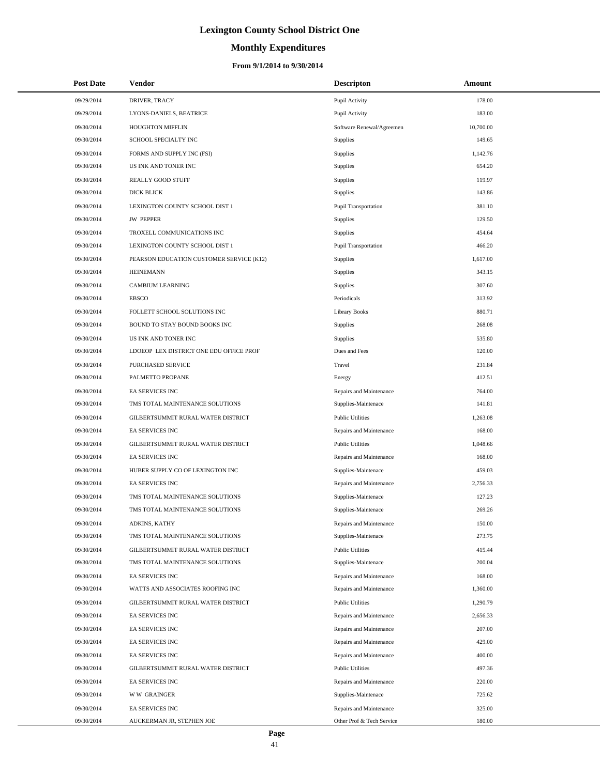# **Monthly Expenditures**

#### **From 9/1/2014 to 9/30/2014**

| <b>Post Date</b> | Vendor                                   | <b>Descripton</b>           | Amount    |  |
|------------------|------------------------------------------|-----------------------------|-----------|--|
| 09/29/2014       | DRIVER, TRACY                            | Pupil Activity              | 178.00    |  |
| 09/29/2014       | LYONS-DANIELS, BEATRICE                  | Pupil Activity              | 183.00    |  |
| 09/30/2014       | HOUGHTON MIFFLIN                         | Software Renewal/Agreemen   | 10,700.00 |  |
| 09/30/2014       | SCHOOL SPECIALTY INC                     | Supplies                    | 149.65    |  |
| 09/30/2014       | FORMS AND SUPPLY INC (FSI)               | Supplies                    | 1,142.76  |  |
| 09/30/2014       | US INK AND TONER INC                     | Supplies                    | 654.20    |  |
| 09/30/2014       | REALLY GOOD STUFF                        | Supplies                    | 119.97    |  |
| 09/30/2014       | DICK BLICK                               | Supplies                    | 143.86    |  |
| 09/30/2014       | LEXINGTON COUNTY SCHOOL DIST 1           | <b>Pupil Transportation</b> | 381.10    |  |
| 09/30/2014       | <b>JW PEPPER</b>                         | Supplies                    | 129.50    |  |
| 09/30/2014       | TROXELL COMMUNICATIONS INC               | Supplies                    | 454.64    |  |
| 09/30/2014       | LEXINGTON COUNTY SCHOOL DIST 1           | Pupil Transportation        | 466.20    |  |
| 09/30/2014       | PEARSON EDUCATION CUSTOMER SERVICE (K12) | Supplies                    | 1,617.00  |  |
| 09/30/2014       | <b>HEINEMANN</b>                         | Supplies                    | 343.15    |  |
| 09/30/2014       | <b>CAMBIUM LEARNING</b>                  | Supplies                    | 307.60    |  |
| 09/30/2014       | <b>EBSCO</b>                             | Periodicals                 | 313.92    |  |
| 09/30/2014       | FOLLETT SCHOOL SOLUTIONS INC             | <b>Library Books</b>        | 880.71    |  |
| 09/30/2014       | BOUND TO STAY BOUND BOOKS INC            | Supplies                    | 268.08    |  |
| 09/30/2014       | US INK AND TONER INC                     | Supplies                    | 535.80    |  |
| 09/30/2014       | LDOEOP LEX DISTRICT ONE EDU OFFICE PROF  | Dues and Fees               | 120.00    |  |
| 09/30/2014       | PURCHASED SERVICE                        | Travel                      | 231.84    |  |
| 09/30/2014       | PALMETTO PROPANE                         | Energy                      | 412.51    |  |
| 09/30/2014       | EA SERVICES INC                          | Repairs and Maintenance     | 764.00    |  |
| 09/30/2014       | TMS TOTAL MAINTENANCE SOLUTIONS          | Supplies-Maintenace         | 141.81    |  |
| 09/30/2014       | GILBERTSUMMIT RURAL WATER DISTRICT       | <b>Public Utilities</b>     | 1,263.08  |  |
| 09/30/2014       | EA SERVICES INC                          | Repairs and Maintenance     | 168.00    |  |
| 09/30/2014       | GILBERTSUMMIT RURAL WATER DISTRICT       | <b>Public Utilities</b>     | 1,048.66  |  |
| 09/30/2014       | EA SERVICES INC                          | Repairs and Maintenance     | 168.00    |  |
| 09/30/2014       | HUBER SUPPLY CO OF LEXINGTON INC         | Supplies-Maintenace         | 459.03    |  |
| 09/30/2014       | EA SERVICES INC                          | Repairs and Maintenance     | 2,756.33  |  |
| 09/30/2014       | TMS TOTAL MAINTENANCE SOLUTIONS          | Supplies-Maintenace         | 127.23    |  |
| 09/30/2014       | TMS TOTAL MAINTENANCE SOLUTIONS          | Supplies-Maintenace         | 269.26    |  |
| 09/30/2014       | ADKINS, KATHY                            | Repairs and Maintenance     | 150.00    |  |
| 09/30/2014       | TMS TOTAL MAINTENANCE SOLUTIONS          | Supplies-Maintenace         | 273.75    |  |
| 09/30/2014       | GILBERTSUMMIT RURAL WATER DISTRICT       | <b>Public Utilities</b>     | 415.44    |  |
| 09/30/2014       | TMS TOTAL MAINTENANCE SOLUTIONS          | Supplies-Maintenace         | 200.04    |  |
| 09/30/2014       | EA SERVICES INC                          | Repairs and Maintenance     | 168.00    |  |
| 09/30/2014       | WATTS AND ASSOCIATES ROOFING INC         | Repairs and Maintenance     | 1,360.00  |  |
| 09/30/2014       | GILBERTSUMMIT RURAL WATER DISTRICT       | <b>Public Utilities</b>     | 1,290.79  |  |
| 09/30/2014       | <b>EA SERVICES INC</b>                   | Repairs and Maintenance     | 2,656.33  |  |
| 09/30/2014       | EA SERVICES INC                          | Repairs and Maintenance     | 207.00    |  |
| 09/30/2014       | EA SERVICES INC                          | Repairs and Maintenance     | 429.00    |  |
| 09/30/2014       | EA SERVICES INC                          | Repairs and Maintenance     | 400.00    |  |
| 09/30/2014       | GILBERTSUMMIT RURAL WATER DISTRICT       | <b>Public Utilities</b>     | 497.36    |  |
| 09/30/2014       | EA SERVICES INC                          | Repairs and Maintenance     | 220.00    |  |
| 09/30/2014       | <b>WW GRAINGER</b>                       | Supplies-Maintenace         | 725.62    |  |
| 09/30/2014       | EA SERVICES INC                          | Repairs and Maintenance     | 325.00    |  |
| 09/30/2014       | AUCKERMAN JR, STEPHEN JOE                | Other Prof & Tech Service   | 180.00    |  |

÷.